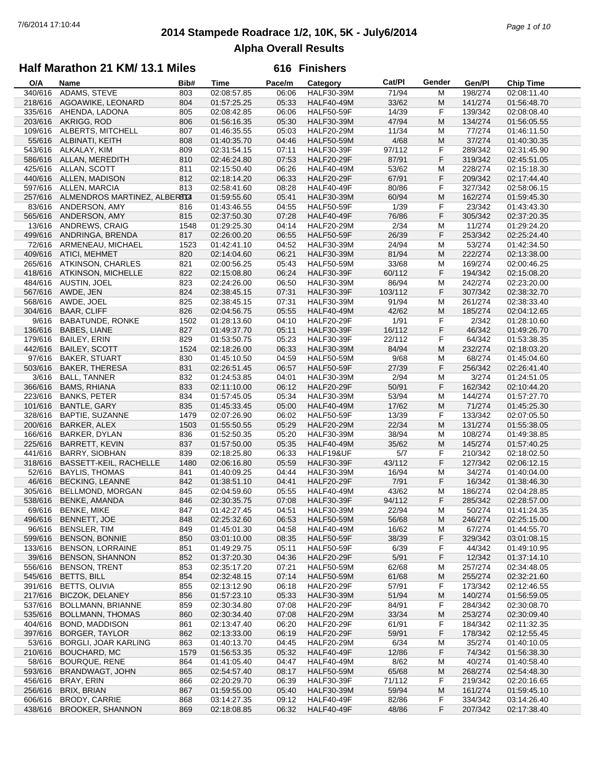## **2014 Stampede Roadrace 1/2, 10K, 5K - July6/2014** 7/6/2014 17:10:44 *Page 1 of 10* **Alpha Overall Results**

### **Half Marathon 21 KM/ 13.1 Miles**

| O/A     | Name                         | Bib# | Time        | Pace/m | Category          | Cat/PI  | Gender | Gen/Pl  | <b>Chip Time</b> |
|---------|------------------------------|------|-------------|--------|-------------------|---------|--------|---------|------------------|
| 340/616 | ADAMS, STEVE                 | 803  | 02:08:57.85 | 06:06  | <b>HALF30-39M</b> | 71/94   | М      | 198/274 | 02:08:11.40      |
| 218/616 | AGOAWIKE, LEONARD            | 804  | 01:57:25.25 | 05:33  | <b>HALF40-49M</b> | 33/62   | M      | 141/274 | 01:56:48.70      |
| 335/616 | AHENDA, LADONA               | 805  | 02:08:42.85 | 06:06  | <b>HALF50-59F</b> | 14/39   | F      | 139/342 | 02:08:08.40      |
| 203/616 | AKRIGG, ROD                  | 806  | 01:56:16.35 | 05:30  | <b>HALF30-39M</b> | 47/94   | M      | 134/274 | 01:56:05.55      |
| 109/616 | ALBERTS, MITCHELL            | 807  | 01:46:35.55 | 05:03  | <b>HALF20-29M</b> | 11/34   | M      | 77/274  | 01:46:11.50      |
| 55/616  |                              |      |             |        |                   |         | M      | 37/274  |                  |
|         | ALBINATI, KEITH              | 808  | 01:40:35.70 | 04:46  | <b>HALF50-59M</b> | 4/68    |        |         | 01:40:30.35      |
| 543/616 | ALKALAY, KIM                 | 809  | 02:31:54.15 | 07:11  | <b>HALF30-39F</b> | 97/112  | F      | 289/342 | 02:31:45.90      |
| 586/616 | ALLAN, MEREDITH              | 810  | 02:46:24.80 | 07:53  | <b>HALF20-29F</b> | 87/91   | F      | 319/342 | 02:45:51.05      |
| 425/616 | ALLAN, SCOTT                 | 811  | 02:15:50.40 | 06:26  | <b>HALF40-49M</b> | 53/62   | M      | 228/274 | 02:15:18.30      |
| 440/616 | ALLEN, MADISON               | 812  | 02:18:14.20 | 06:33  | <b>HALF20-29F</b> | 67/91   | F      | 209/342 | 02:17:44.40      |
| 597/616 | ALLEN, MARCIA                | 813  | 02:58:41.60 | 08:28  | <b>HALF40-49F</b> | 80/86   | F      | 327/342 | 02:58:06.15      |
| 257/616 | ALMENDROS MARTINEZ, ALBERATA |      | 01:59:55.60 | 05:41  | <b>HALF30-39M</b> | 60/94   | M      | 162/274 | 01:59:45.30      |
| 83/616  | ANDERSON, AMY                | 816  | 01:43:46.55 | 04:55  | <b>HALF50-59F</b> | 1/39    | F      | 23/342  | 01:43:43.30      |
| 565/616 | ANDERSON, AMY                | 815  | 02:37:50.30 | 07:28  | <b>HALF40-49F</b> | 76/86   | F      | 305/342 | 02:37:20.35      |
| 13/616  | ANDREWS, CRAIG               | 1548 | 01:29:25.30 | 04:14  | <b>HALF20-29M</b> | 2/34    | M      | 11/274  | 01:29:24.20      |
| 499/616 | ANDRINGA, BRENDA             | 817  | 02:26:00.20 | 06:55  | <b>HALF50-59F</b> | 26/39   | F      | 253/342 | 02:25:24.40      |
| 72/616  | ARMENEAU, MICHAEL            | 1523 | 01:42:41.10 | 04:52  | <b>HALF30-39M</b> | 24/94   | М      | 53/274  | 01:42:34.50      |
| 409/616 | ATICI, MEHMET                | 820  | 02:14:04.60 | 06:21  | <b>HALF30-39M</b> | 81/94   | M      | 222/274 | 02:13:38.00      |
| 265/616 | <b>ATKINSON, CHARLES</b>     | 821  | 02:00:56.25 | 05:43  | <b>HALF50-59M</b> | 33/68   | M      | 169/274 | 02:00:46.25      |
|         |                              |      | 02:15:08.80 |        |                   |         | F      |         |                  |
| 418/616 | ATKINSON, MICHELLE           | 822  |             | 06:24  | HALF30-39F        | 60/112  |        | 194/342 | 02:15:08.20      |
| 484/616 | AUSTIN, JOEL                 | 823  | 02:24:26.00 | 06:50  | <b>HALF30-39M</b> | 86/94   | M      | 242/274 | 02:23:20.00      |
| 567/616 | AWDE, JEN                    | 824  | 02:38:45.15 | 07:31  | <b>HALF30-39F</b> | 103/112 | F      | 307/342 | 02:38:32.70      |
| 568/616 | AWDE, JOEL                   | 825  | 02:38:45.15 | 07:31  | <b>HALF30-39M</b> | 91/94   | M      | 261/274 | 02:38:33.40      |
| 304/616 | <b>BAAR, CLIFF</b>           | 826  | 02:04:56.75 | 05:55  | <b>HALF40-49M</b> | 42/62   | M      | 185/274 | 02:04:12.65      |
| 9/616   | <b>BABATUNDE, RONKE</b>      | 1502 | 01:28:13.60 | 04:10  | <b>HALF20-29F</b> | 1/91    | F      | 2/342   | 01:28:10.60      |
| 136/616 | BABES, LIANE                 | 827  | 01:49:37.70 | 05:11  | <b>HALF30-39F</b> | 16/112  | F      | 46/342  | 01:49:26.70      |
| 179/616 | <b>BAILEY, ERIN</b>          | 829  | 01:53:50.75 | 05:23  | <b>HALF30-39F</b> | 22/112  | F      | 64/342  | 01:53:38.35      |
| 442/616 | <b>BAILEY, SCOTT</b>         | 1524 | 02:18:26.00 | 06:33  | <b>HALF30-39M</b> | 84/94   | M      | 232/274 | 02:18:03.20      |
| 97/616  | <b>BAKER, STUART</b>         | 830  | 01:45:10.50 | 04:59  | <b>HALF50-59M</b> | 9/68    | M      | 68/274  | 01:45:04.60      |
| 503/616 | <b>BAKER, THERESA</b>        | 831  | 02:26:51.45 | 06:57  | <b>HALF50-59F</b> | 27/39   | F      | 256/342 | 02:26:41.40      |
| 3/616   | <b>BALL, TANNER</b>          | 832  | 01:24:53.85 | 04:01  | <b>HALF30-39M</b> | 2/94    | M      | 3/274   | 01:24:51.05      |
| 366/616 | <b>BAMS, RHIANA</b>          | 833  | 02:11:10.00 | 06:12  | <b>HALF20-29F</b> | 50/91   | F      | 162/342 | 02:10:44.20      |
| 223/616 | <b>BANKS, PETER</b>          | 834  | 01:57:45.05 | 05:34  | <b>HALF30-39M</b> | 53/94   | М      | 144/274 | 01:57:27.70      |
|         |                              |      |             |        |                   |         |        |         |                  |
| 101/616 | BANTLE, GARY                 | 835  | 01:45:33.45 | 05:00  | <b>HALF40-49M</b> | 17/62   | M      | 71/274  | 01:45:25.30      |
| 328/616 | BAPTIE, SUZANNE              | 1479 | 02:07:26.90 | 06:02  | <b>HALF50-59F</b> | 13/39   | F      | 133/342 | 02:07:05.50      |
| 200/616 | BARKER, ALEX                 | 1503 | 01:55:50.55 | 05:29  | <b>HALF20-29M</b> | 22/34   | M      | 131/274 | 01:55:38.05      |
| 166/616 | <b>BARKER, DYLAN</b>         | 836  | 01:52:50.35 | 05:20  | <b>HALF30-39M</b> | 38/94   | м      | 108/274 | 01:49:38.85      |
| 225/616 | <b>BARRETT, KEVIN</b>        | 837  | 01:57:50.00 | 05:35  | <b>HALF40-49M</b> | 35/62   | M      | 145/274 | 01:57:40.25      |
| 441/616 | <b>BARRY, SIOBHAN</b>        | 839  | 02:18:25.80 | 06:33  | HALF19&UF         | 5/7     | F      | 210/342 | 02:18:02.50      |
| 318/616 | BASSETT-KEIL, RACHELLE       | 1480 | 02:06:16.80 | 05:59  | <b>HALF30-39F</b> | 43/112  | F      | 127/342 | 02:06:12.15      |
| 52/616  | <b>BAYLIS, THOMAS</b>        | 841  | 01:40:09.25 | 04:44  | <b>HALF30-39M</b> | 16/94   | М      | 34/274  | 01:40:04.00      |
| 46/616  | <b>BECKING, LEANNE</b>       | 842  | 01:38:51.10 | 04:41  | <b>HALF20-29F</b> | 7/91    | F      | 16/342  | 01:38:46.30      |
| 305/616 | BELLMOND, MORGAN             | 845  | 02:04:59.60 | 05:55  | <b>HALF40-49M</b> | 43/62   | M      | 186/274 | 02:04:28.85      |
| 538/616 | <b>BENKE, AMANDA</b>         | 846  | 02:30:35.75 | 07:08  | <b>HALF30-39F</b> | 94/112  | F      | 285/342 | 02:28:57.00      |
|         | 69/616 BENKE, MIKE           | 847  | 01:42:27.45 | 04:51  | <b>HALF30-39M</b> | 22/94   | M      | 50/274  | 01:41:24.35      |
| 496/616 | BENNETT, JOE                 | 848  | 02:25:32.60 | 06:53  | <b>HALF50-59M</b> | 56/68   | M      | 246/274 | 02:25:15.00      |
| 96/616  | <b>BENSLER, TIM</b>          | 849  | 01:45:01.30 | 04:58  | <b>HALF40-49M</b> | 16/62   | M      | 67/274  | 01:44:55.70      |
| 599/616 | <b>BENSON, BONNIE</b>        | 850  | 03:01:10.00 | 08:35  | <b>HALF50-59F</b> | 38/39   | F      | 329/342 | 03:01:08.15      |
| 133/616 | <b>BENSON, LORRAINE</b>      | 851  | 01:49:29.75 | 05:11  | <b>HALF50-59F</b> | 6/39    | F      | 44/342  | 01:49:10.95      |
|         | <b>BENSON, SHANNON</b>       |      |             |        |                   |         |        |         |                  |
| 39/616  |                              | 852  | 01:37:20.30 | 04:36  | <b>HALF20-29F</b> | 5/91    | F      | 12/342  | 01:37:14.10      |
| 556/616 | <b>BENSON, TRENT</b>         | 853  | 02:35:17.20 | 07:21  | <b>HALF50-59M</b> | 62/68   | M      | 257/274 | 02:34:48.05      |
| 545/616 | <b>BETTS, BILL</b>           | 854  | 02:32:48.15 | 07:14  | <b>HALF50-59M</b> | 61/68   | M      | 255/274 | 02:32:21.60      |
| 391/616 | <b>BETTS, OLIVIA</b>         | 855  | 02:13:12.90 | 06:18  | <b>HALF20-29F</b> | 57/91   | F      | 173/342 | 02:12:46.55      |
| 217/616 | <b>BICZOK, DELANEY</b>       | 856  | 01:57:23.10 | 05:33  | <b>HALF30-39M</b> | 51/94   | M      | 140/274 | 01:56:59.05      |
| 537/616 | BOLLMANN, BRIANNE            | 859  | 02:30:34.80 | 07:08  | <b>HALF20-29F</b> | 84/91   | F      | 284/342 | 02:30:08.70      |
| 535/616 | <b>BOLLMANN, THOMAS</b>      | 860  | 02:30:34.40 | 07:08  | <b>HALF20-29M</b> | 33/34   | M      | 253/274 | 02:30:09.40      |
| 404/616 | BOND, MADDISON               | 861  | 02:13:47.40 | 06:20  | <b>HALF20-29F</b> | 61/91   | F      | 184/342 | 02:11:32.35      |
| 397/616 | <b>BORGER, TAYLOR</b>        | 862  | 02:13:33.00 | 06:19  | <b>HALF20-29F</b> | 59/91   | F      | 178/342 | 02:12:55.45      |
| 53/616  | BORGLI, JOAR KARLING         | 863  | 01:40:13.70 | 04:45  | <b>HALF20-29M</b> | 6/34    | M      | 35/274  | 01:40:10.05      |
| 210/616 | <b>BOUCHARD, MC</b>          | 1579 | 01:56:53.35 | 05:32  | <b>HALF40-49F</b> | 12/86   | F      | 74/342  | 01:56:38.30      |
| 58/616  | <b>BOURQUE, RENE</b>         | 864  | 01:41:05.40 | 04:47  | <b>HALF40-49M</b> | 8/62    | M      | 40/274  | 01:40:58.40      |
| 593/616 | BRANDWAGT, JOHN              | 865  | 02:54:57.40 | 08:17  | <b>HALF50-59M</b> | 65/68   | M      | 268/274 | 02:54:48.30      |
| 456/616 | BRAY, ERIN                   | 866  | 02:20:29.70 | 06:39  | <b>HALF30-39F</b> | 71/112  | F      | 219/342 | 02:20:16.65      |
| 256/616 | BRIX, BRIAN                  | 867  | 01:59:55.00 | 05:40  | <b>HALF30-39M</b> | 59/94   | M      | 161/274 | 01:59:45.10      |
| 606/616 | <b>BRODY, CARRIE</b>         | 868  | 03:14:27.35 | 09:12  | HALF40-49F        | 82/86   | F      | 334/342 | 03:14:26.40      |
| 438/616 | <b>BROOKER, SHANNON</b>      | 869  | 02:18:08.85 | 06:32  | HALF40-49F        | 48/86   | F      | 207/342 | 02:17:38.40      |
|         |                              |      |             |        |                   |         |        |         |                  |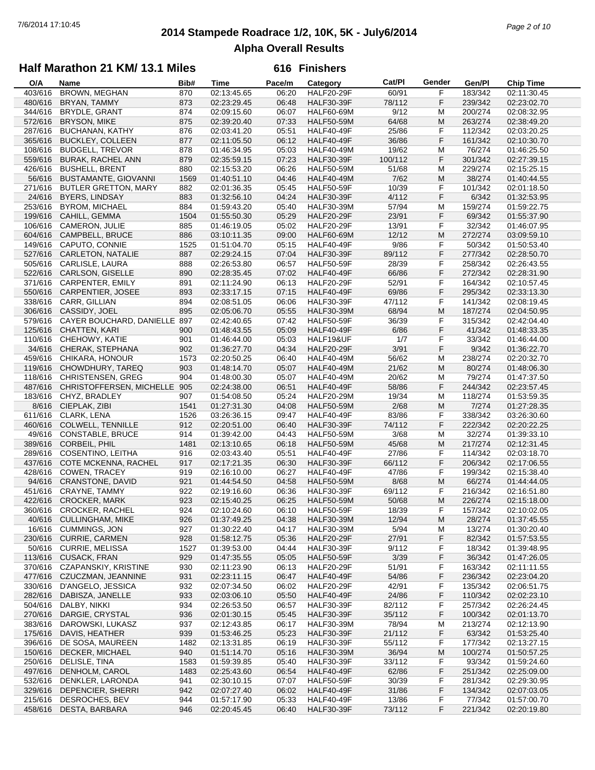## **2014 Stampede Roadrace 1/2, 10K, 5K - July6/2014** 7/6/2014 17:10:45 *Page 2 of 10* **Alpha Overall Results**

### **Half Marathon 21 KM/ 13.1 Miles**

| O/A     | Name                         | Bib# | <b>Time</b> | Pace/m | Category          | Cat/PI  | Gender | Gen/Pl  | <b>Chip Time</b> |
|---------|------------------------------|------|-------------|--------|-------------------|---------|--------|---------|------------------|
| 403/616 | BROWN, MEGHAN                | 870  | 02:13:45.65 | 06:20  | <b>HALF20-29F</b> | 60/91   | F      | 183/342 | 02:11:30.45      |
| 480/616 | BRYAN, TAMMY                 | 873  | 02:23:29.45 | 06:48  | <b>HALF30-39F</b> | 78/112  | F      | 239/342 | 02:23:02.70      |
| 344/616 | BRYDLE, GRANT                | 874  | 02:09:15.60 | 06:07  | <b>HALF60-69M</b> | 9/12    | M      | 200/274 | 02:08:32.95      |
| 572/616 | <b>BRYSON, MIKE</b>          | 875  | 02:39:20.40 | 07:33  | <b>HALF50-59M</b> | 64/68   | M      | 263/274 | 02:38:49.20      |
|         |                              |      |             |        |                   |         |        |         |                  |
| 287/616 | <b>BUCHANAN, KATHY</b>       | 876  | 02:03:41.20 | 05:51  | <b>HALF40-49F</b> | 25/86   | F      | 112/342 | 02:03:20.25      |
| 365/616 | <b>BUCKLEY, COLLEEN</b>      | 877  | 02:11:05.50 | 06:12  | <b>HALF40-49F</b> | 36/86   | F      | 161/342 | 02:10:30.70      |
| 108/616 | <b>BUDGELL, TREVOR</b>       | 878  | 01:46:34.95 | 05:03  | <b>HALF40-49M</b> | 19/62   | M      | 76/274  | 01:46:25.50      |
| 559/616 | <b>BURAK, RACHEL ANN</b>     | 879  | 02:35:59.15 | 07:23  | <b>HALF30-39F</b> | 100/112 | F      | 301/342 | 02:27:39.15      |
| 426/616 | <b>BUSHELL, BRENT</b>        | 880  | 02:15:53.20 | 06:26  | <b>HALF50-59M</b> | 51/68   | M      | 229/274 | 02:15:25.15      |
| 56/616  | <b>BUSTAMANTE, GIOVANNI</b>  | 1569 | 01:40:51.10 | 04:46  | <b>HALF40-49M</b> | 7/62    | M      | 38/274  | 01:40:44.55      |
| 271/616 | <b>BUTLER GRETTON, MARY</b>  | 882  | 02:01:36.35 | 05:45  | <b>HALF50-59F</b> | 10/39   | F      | 101/342 | 02:01:18.50      |
| 24/616  | <b>BYERS, LINDSAY</b>        | 883  | 01:32:56.10 | 04:24  | <b>HALF30-39F</b> | 4/112   | F      | 6/342   | 01:32:53.95      |
| 253/616 | <b>BYROM, MICHAEL</b>        | 884  | 01:59:43.20 | 05:40  | <b>HALF30-39M</b> | 57/94   | M      | 159/274 | 01:59:22.75      |
|         |                              |      |             |        |                   |         |        |         |                  |
| 199/616 | CAHILL, GEMMA                | 1504 | 01:55:50.30 | 05:29  | <b>HALF20-29F</b> | 23/91   | F      | 69/342  | 01:55:37.90      |
| 106/616 | CAMERON, JULIE               | 885  | 01:46:19.05 | 05:02  | <b>HALF20-29F</b> | 13/91   | F      | 32/342  | 01:46:07.95      |
| 604/616 | CAMPBELL, BRUCE              | 886  | 03:10:11.35 | 09:00  | <b>HALF60-69M</b> | 12/12   | M      | 272/274 | 03:09:59.10      |
| 149/616 | CAPUTO, CONNIE               | 1525 | 01:51:04.70 | 05:15  | <b>HALF40-49F</b> | 9/86    | F      | 50/342  | 01:50:53.40      |
| 527/616 | CARLETON, NATALIE            | 887  | 02:29:24.15 | 07:04  | <b>HALF30-39F</b> | 89/112  | F      | 277/342 | 02:28:50.70      |
| 505/616 | CARLISLE, LAURA              | 888  | 02:26:53.80 | 06:57  | <b>HALF50-59F</b> | 28/39   | F      | 258/342 | 02:26:43.55      |
| 522/616 | <b>CARLSON, GISELLE</b>      | 890  | 02:28:35.45 | 07:02  | <b>HALF40-49F</b> | 66/86   | F      | 272/342 | 02:28:31.90      |
| 371/616 | <b>CARPENTER, EMILY</b>      | 891  | 02:11:24.90 | 06:13  | <b>HALF20-29F</b> | 52/91   | F      | 164/342 | 02:10:57.45      |
| 550/616 | CARPENTIER, JOSEE            | 893  | 02:33:17.15 | 07:15  | <b>HALF40-49F</b> | 69/86   | F      | 295/342 | 02:33:13.30      |
| 338/616 |                              |      |             |        |                   |         |        |         |                  |
|         | CARR, GILLIAN                | 894  | 02:08:51.05 | 06:06  | HALF30-39F        | 47/112  | F      | 141/342 | 02:08:19.45      |
| 306/616 | CASSIDY, JOEL                | 895  | 02:05:06.70 | 05:55  | <b>HALF30-39M</b> | 68/94   | M      | 187/274 | 02:04:50.95      |
| 579/616 | CAYER BOUCHARD, DANIELLE 897 |      | 02:42:40.65 | 07:42  | <b>HALF50-59F</b> | 36/39   | F      | 315/342 | 02:42:04.40      |
| 125/616 | CHATTEN, KARI                | 900  | 01:48:43.55 | 05:09  | <b>HALF40-49F</b> | 6/86    | F      | 41/342  | 01:48:33.35      |
| 110/616 | CHEHOWY, KATIE               | 901  | 01:46:44.00 | 05:03  | HALF19&UF         | 1/7     | F      | 33/342  | 01:46:44.00      |
| 34/616  | CHERAK, STEPHANA             | 902  | 01:36:27.70 | 04:34  | <b>HALF20-29F</b> | 3/91    | F      | 9/342   | 01:36:22.70      |
| 459/616 | CHIKARA, HONOUR              | 1573 | 02:20:50.25 | 06:40  | <b>HALF40-49M</b> | 56/62   | M      | 238/274 | 02:20:32.70      |
| 119/616 | CHOWDHURY, TAREQ             | 903  | 01:48:14.70 | 05:07  | <b>HALF40-49M</b> | 21/62   | M      | 80/274  | 01:48:06.30      |
| 118/616 | <b>CHRISTENSEN, GREG</b>     | 904  | 01:48:00.30 | 05:07  | <b>HALF40-49M</b> | 20/62   | M      | 79/274  | 01:47:37.50      |
|         |                              |      |             |        |                   |         | F      | 244/342 |                  |
| 487/616 | CHRISTOFFERSEN, MICHELLE 905 |      | 02:24:38.00 | 06:51  | <b>HALF40-49F</b> | 58/86   |        |         | 02:23:57.45      |
| 183/616 | CHYZ, BRADLEY                | 907  | 01:54:08.50 | 05:24  | <b>HALF20-29M</b> | 19/34   | M      | 118/274 | 01:53:59.35      |
| 8/616   | CIEPLAK, ZIBI                | 1541 | 01:27:31.30 | 04:08  | <b>HALF50-59M</b> | 2/68    | M      | 7/274   | 01:27:28.35      |
| 611/616 | CLARK, LENA                  | 1526 | 03:26:36.15 | 09:47  | <b>HALF40-49F</b> | 83/86   | F      | 338/342 | 03:26:30.60      |
| 460/616 | <b>COLWELL, TENNILLE</b>     | 912  | 02:20:51.00 | 06:40  | <b>HALF30-39F</b> | 74/112  | F      | 222/342 | 02:20:22.25      |
| 49/616  | <b>CONSTABLE, BRUCE</b>      | 914  | 01:39:42.00 | 04:43  | <b>HALF50-59M</b> | 3/68    | M      | 32/274  | 01:39:33.10      |
| 389/616 | CORBEIL, PHIL                | 1481 | 02:13:10.65 | 06:18  | <b>HALF50-59M</b> | 45/68   | M      | 217/274 | 02:12:31.45      |
| 289/616 | COSENTINO, LEITHA            | 916  | 02:03:43.40 | 05:51  | HALF40-49F        | 27/86   | F      | 114/342 | 02:03:18.70      |
| 437/616 | COTE MCKENNA, RACHEL         | 917  | 02:17:21.35 | 06:30  | <b>HALF30-39F</b> | 66/112  | F      | 206/342 | 02:17:06.55      |
| 428/616 | <b>COWEN, TRACEY</b>         | 919  | 02:16:10.00 | 06:27  | <b>HALF40-49F</b> | 47/86   | F      | 199/342 | 02:15:38.40      |
| 94/616  | <b>CRANSTONE, DAVID</b>      | 921  | 01:44:54.50 | 04:58  | <b>HALF50-59M</b> | 8/68    | M      | 66/274  | 01:44:44.05      |
|         |                              |      | 02:19:16.60 |        |                   |         |        |         | 02:16:51.80      |
| 451/616 | <b>CRAYNE, TAMMY</b>         | 922  |             | 06:36  | <b>HALF30-39F</b> | 69/112  | F      | 216/342 |                  |
| 422/616 | <b>CROCKER, MARK</b>         | 923  | 02:15:40.25 | 06:25  | <b>HALF50-59M</b> | 50/68   | M      | 226/274 | 02:15:18.00      |
|         | 360/616 CROCKER, RACHEL      | 924  | 02:10:24.60 | 06:10  | <b>HALF50-59F</b> | 18/39   | F      | 157/342 | 02:10:02.05      |
| 40/616  | <b>CULLINGHAM, MIKE</b>      | 926  | 01:37:49.25 | 04:38  | <b>HALF30-39M</b> | 12/94   | M      | 28/274  | 01:37:45.55      |
| 16/616  | <b>CUMMINGS, JON</b>         | 927  | 01:30:22.40 | 04:17  | <b>HALF30-39M</b> | 5/94    | M      | 13/274  | 01:30:20.40      |
| 230/616 | <b>CURRIE, CARMEN</b>        | 928  | 01:58:12.75 | 05:36  | <b>HALF20-29F</b> | 27/91   | F      | 82/342  | 01:57:53.55      |
| 50/616  | <b>CURRIE, MELISSA</b>       | 1527 | 01:39:53.00 | 04:44  | <b>HALF30-39F</b> | 9/112   | F      | 18/342  | 01:39:48.95      |
| 113/616 | <b>CUSACK, FRAN</b>          | 929  | 01:47:35.55 | 05:05  | <b>HALF50-59F</b> | 3/39    | F      | 36/342  | 01:47:26.05      |
| 370/616 | CZAPANSKIY, KRISTINE         | 930  | 02:11:23.90 | 06:13  | <b>HALF20-29F</b> | 51/91   | F      | 163/342 | 02:11:11.55      |
| 477/616 | CZUCZMAN, JEANNINE           | 931  | 02:23:11.15 | 06:47  | <b>HALF40-49F</b> | 54/86   | F      | 236/342 | 02:23:04.20      |
| 330/616 | D'ANGELO, JESSICA            | 932  | 02:07:34.50 | 06:02  | <b>HALF20-29F</b> | 42/91   | F      | 135/342 | 02:06:51.75      |
|         |                              |      |             |        |                   |         |        |         |                  |
| 282/616 | DABISZA, JANELLE             | 933  | 02:03:06.10 | 05:50  | <b>HALF40-49F</b> | 24/86   | F      | 110/342 | 02:02:23.10      |
| 504/616 | DALBY, NIKKI                 | 934  | 02:26:53.50 | 06:57  | <b>HALF30-39F</b> | 82/112  | F      | 257/342 | 02:26:24.45      |
| 270/616 | DARGIE, CRYSTAL              | 936  | 02:01:30.15 | 05:45  | <b>HALF30-39F</b> | 35/112  | F      | 100/342 | 02:01:13.70      |
| 383/616 | DAROWSKI, LUKASZ             | 937  | 02:12:43.85 | 06:17  | <b>HALF30-39M</b> | 78/94   | M      | 213/274 | 02:12:13.90      |
| 175/616 | DAVIS, HEATHER               | 939  | 01:53:46.25 | 05:23  | <b>HALF30-39F</b> | 21/112  | F      | 63/342  | 01:53:25.40      |
| 396/616 | DE SOSA, MAUREEN             | 1482 | 02:13:31.85 | 06:19  | <b>HALF30-39F</b> | 55/112  | F      | 177/342 | 02:13:27.15      |
| 150/616 | DECKER, MICHAEL              | 940  | 01:51:14.70 | 05:16  | <b>HALF30-39M</b> | 36/94   | M      | 100/274 | 01:50:57.25      |
| 250/616 | DELISLE, TINA                | 1583 | 01:59:39.85 | 05:40  | <b>HALF30-39F</b> | 33/112  | F      | 93/342  | 01:59:24.60      |
| 497/616 | DENHOLM, CAROL               | 1483 | 02:25:43.60 | 06:54  | <b>HALF40-49F</b> | 62/86   | F      | 251/342 | 02:25:09.00      |
|         |                              |      |             |        |                   |         |        |         |                  |
| 532/616 | DENKLER, LARONDA             | 941  | 02:30:10.15 | 07:07  | <b>HALF50-59F</b> | 30/39   | F      | 281/342 | 02:29:30.95      |
| 329/616 | DEPENCIER, SHERRI            | 942  | 02:07:27.40 | 06:02  | <b>HALF40-49F</b> | 31/86   | F      | 134/342 | 02:07:03.05      |
| 215/616 | DESROCHES, BEV               | 944  | 01:57:17.90 | 05:33  | <b>HALF40-49F</b> | 13/86   | F      | 77/342  | 01:57:00.70      |
| 458/616 | DESTA, BARBARA               | 946  | 02:20:45.45 | 06:40  | <b>HALF30-39F</b> | 73/112  | F      | 221/342 | 02:20:19.80      |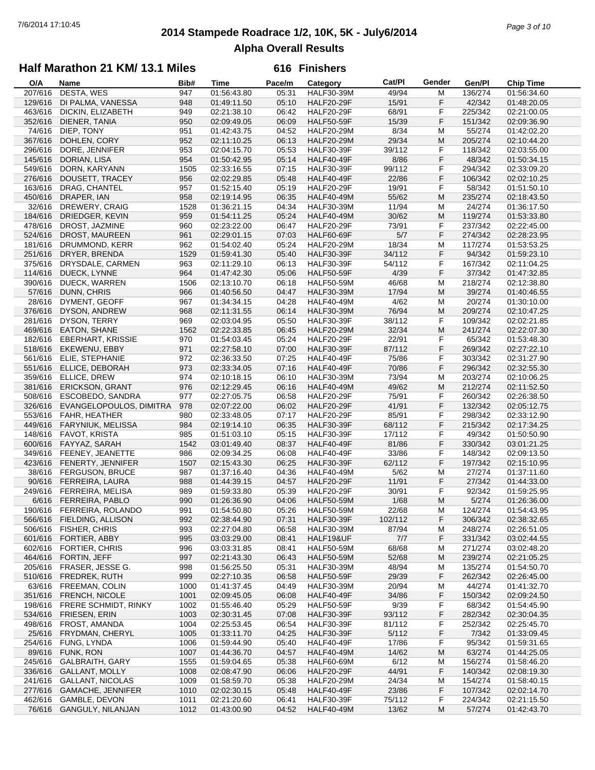## **2014 Stampede Roadrace 1/2, 10K, 5K - July6/2014** 7/6/2014 17:10:45 *Page 3 of 10* **Alpha Overall Results**

### **Half Marathon 21 KM/ 13.1 Miles**

| O/A     | Name                      | Bib# | <b>Time</b> | Pace/m | Category          | Cat/PI  | Gender    | Gen/Pl  | <b>Chip Time</b> |
|---------|---------------------------|------|-------------|--------|-------------------|---------|-----------|---------|------------------|
| 207/616 | DESTA, WES                | 947  | 01:56:43.80 | 05:31  | <b>HALF30-39M</b> | 49/94   | М         | 136/274 | 01:56:34.60      |
| 129/616 | DI PALMA, VANESSA         | 948  | 01:49:11.50 | 05:10  | <b>HALF20-29F</b> | 15/91   | F         | 42/342  | 01:48:20.05      |
| 463/616 | DICKIN, ELIZABETH         | 949  | 02:21:38.10 | 06:42  | <b>HALF20-29F</b> | 68/91   | F         | 225/342 | 02:21:00.05      |
| 352/616 | DIENER, TANIA             | 950  | 02:09:49.05 | 06:09  | <b>HALF50-59F</b> | 15/39   | F         | 151/342 | 02:09:36.90      |
| 74/616  | DIEP, TONY                | 951  | 01:42:43.75 | 04:52  | <b>HALF20-29M</b> | 8/34    | M         | 55/274  | 01:42:02.20      |
|         |                           |      |             |        |                   |         |           |         |                  |
| 367/616 | DOHLEN, CORY              | 952  | 02:11:10.25 | 06:13  | <b>HALF20-29M</b> | 29/34   | M         | 205/274 | 02:10:44.20      |
| 296/616 | DORE, JENNIFER            | 953  | 02:04:15.70 | 05:53  | <b>HALF30-39F</b> | 39/112  | F         | 118/342 | 02:03:55.00      |
| 145/616 | <b>DORIAN, LISA</b>       | 954  | 01:50:42.95 | 05:14  | <b>HALF40-49F</b> | 8/86    | F         | 48/342  | 01:50:34.15      |
| 549/616 | DORN, KARYANN             | 1505 | 02:33:16.55 | 07:15  | <b>HALF30-39F</b> | 99/112  | F         | 294/342 | 02:33:09.20      |
| 276/616 | DOUSETT, TRACEY           | 956  | 02:02:29.85 | 05:48  | <b>HALF40-49F</b> | 22/86   | F         | 106/342 | 02:02:10.25      |
| 163/616 | DRAG, CHANTEL             | 957  | 01:52:15.40 | 05:19  | <b>HALF20-29F</b> | 19/91   | F         | 58/342  | 01:51:50.10      |
| 450/616 | DRAPER, IAN               | 958  | 02:19:14.95 | 06:35  | <b>HALF40-49M</b> | 55/62   | M         | 235/274 | 02:18:43.50      |
| 32/616  | DREWERY, CRAIG            | 1528 | 01:36:21.15 | 04:34  | <b>HALF30-39M</b> | 11/94   | M         | 24/274  | 01:36:17.50      |
| 184/616 | DRIEDGER, KEVIN           | 959  | 01:54:11.25 | 05:24  | <b>HALF40-49M</b> | 30/62   | M         | 119/274 | 01:53:33.80      |
|         |                           |      |             |        |                   |         |           |         |                  |
| 478/616 | DROST, JAZMINE            | 960  | 02:23:22.00 | 06:47  | <b>HALF20-29F</b> | 73/91   | F         | 237/342 | 02:22:45.00      |
| 524/616 | DROST, MAUREEN            | 961  | 02:29:01.15 | 07:03  | <b>HALF60-69F</b> | 5/7     | F         | 274/342 | 02:28:23.95      |
| 181/616 | DRUMMOND, KERR            | 962  | 01:54:02.40 | 05:24  | <b>HALF20-29M</b> | 18/34   | М         | 117/274 | 01:53:53.25      |
| 251/616 | DRYER, BRENDA             | 1529 | 01:59:41.30 | 05:40  | <b>HALF30-39F</b> | 34/112  | F         | 94/342  | 01:59:23.10      |
| 375/616 | DRYSDALE, CARMEN          | 963  | 02:11:29.10 | 06:13  | <b>HALF30-39F</b> | 54/112  | F         | 167/342 | 02:11:04.25      |
| 114/616 | DUECK, LYNNE              | 964  | 01:47:42.30 | 05:06  | <b>HALF50-59F</b> | 4/39    | F         | 37/342  | 01:47:32.85      |
| 390/616 | DUECK, WARREN             | 1506 | 02:13:10.70 | 06:18  | <b>HALF50-59M</b> | 46/68   | M         | 218/274 | 02:12:38.80      |
| 57/616  | DUNN, CHRIS               | 966  | 01:40:56.50 | 04:47  | <b>HALF30-39M</b> | 17/94   | M         | 39/274  | 01:40:46.55      |
| 28/616  | DYMENT, GEOFF             | 967  | 01:34:34.15 | 04:28  | <b>HALF40-49M</b> | 4/62    | M         | 20/274  | 01:30:10.00      |
|         |                           |      |             |        |                   |         |           |         |                  |
| 376/616 | DYSON, ANDREW             | 968  | 02:11:31.55 | 06:14  | <b>HALF30-39M</b> | 76/94   | ${\sf M}$ | 209/274 | 02:10:47.25      |
| 281/616 | DYSON, TERRY              | 969  | 02:03:04.95 | 05:50  | <b>HALF30-39F</b> | 38/112  | F         | 109/342 | 02:02:21.85      |
| 469/616 | EATON, SHANE              | 1562 | 02:22:33.85 | 06:45  | <b>HALF20-29M</b> | 32/34   | M         | 241/274 | 02:22:07.30      |
| 182/616 | <b>EBERHART, KRISSIE</b>  | 970  | 01:54:03.45 | 05:24  | <b>HALF20-29F</b> | 22/91   | F         | 65/342  | 01:53:48.30      |
| 518/616 | EKEWENU, EBBY             | 971  | 02:27:58.10 | 07:00  | <b>HALF30-39F</b> | 87/112  | F         | 269/342 | 02:27:22.10      |
| 561/616 | ELIE, STEPHANIE           | 972  | 02:36:33.50 | 07:25  | <b>HALF40-49F</b> | 75/86   | F         | 303/342 | 02:31:27.90      |
| 551/616 | ELLICE, DEBORAH           | 973  | 02:33:34.05 | 07:16  | <b>HALF40-49F</b> | 70/86   | F         | 296/342 | 02:32:55.30      |
| 359/616 | ELLICE, DREW              | 974  | 02:10:18.15 | 06:10  | <b>HALF30-39M</b> | 73/94   | M         | 203/274 | 02:10:06.25      |
| 381/616 | ERICKSON, GRANT           | 976  | 02:12:29.45 | 06:16  | <b>HALF40-49M</b> | 49/62   | M         | 212/274 | 02:11:52.50      |
|         |                           | 977  | 02:27:05.75 |        |                   |         | F         |         |                  |
| 508/616 | ESCOBEDO, SANDRA          |      |             | 06:58  | <b>HALF20-29F</b> | 75/91   |           | 260/342 | 02:26:38.50      |
| 326/616 | EVANGELOPOULOS, DIMITRA   | 978  | 02:07:22.00 | 06:02  | <b>HALF20-29F</b> | 41/91   | F         | 132/342 | 02:05:12.75      |
| 553/616 | FAHR, HEATHER             | 980  | 02:33:48.05 | 07:17  | <b>HALF20-29F</b> | 85/91   | F         | 298/342 | 02:33:12.90      |
| 449/616 | FARYNIUK, MELISSA         | 984  | 02:19:14.10 | 06:35  | <b>HALF30-39F</b> | 68/112  | F         | 215/342 | 02:17:34.25      |
| 148/616 | FAVOT, KRISTA             | 985  | 01:51:03.10 | 05:15  | <b>HALF30-39F</b> | 17/112  | F         | 49/342  | 01:50:50.90      |
| 600/616 | FAYYAZ, SARAH             | 1542 | 03:01:49.40 | 08:37  | <b>HALF40-49F</b> | 81/86   | F         | 330/342 | 03:01:21.25      |
| 349/616 | FEENEY, JEANETTE          | 986  | 02:09:34.25 | 06:08  | <b>HALF40-49F</b> | 33/86   | F         | 148/342 | 02:09:13.50      |
| 423/616 | FENERTY, JENNIFER         | 1507 | 02:15:43.30 | 06:25  | <b>HALF30-39F</b> | 62/112  | F         | 197/342 | 02:15:10.95      |
| 38/616  | <b>FERGUSON, BRUCE</b>    | 987  | 01:37:16.40 | 04:36  | <b>HALF40-49M</b> | 5/62    | M         | 27/274  | 01:37:11.60      |
| 90/616  | FERREIRA, LAURA           | 988  | 01:44:39.15 | 04:57  | <b>HALF20-29F</b> | 11/91   | F         | 27/342  | 01:44:33.00      |
| 249/616 | FERREIRA, MELISA          | 989  | 01:59:33.80 | 05:39  | <b>HALF20-29F</b> | 30/91   | F         | 92/342  | 01:59:25.95      |
|         |                           |      |             |        |                   | 1/68    | M         |         |                  |
| 6/616   | FERREIRA, PABLO           | 990  | 01:26:36.90 | 04:06  | <b>HALF50-59M</b> |         |           | 5/274   | 01:26:36.00      |
|         | 190/616 FERREIRA, ROLANDO | 991  | 01:54:50.80 | 05:26  | <b>HALF50-59M</b> | 22/68   | M         | 124/274 | 01:54:43.95      |
|         | 566/616 FIELDING, ALLISON | 992  | 02:38:44.90 | 07:31  | <b>HALF30-39F</b> | 102/112 | F         | 306/342 | 02:38:32.65      |
| 506/616 | FISHER, CHRIS             | 993  | 02:27:04.80 | 06:58  | <b>HALF30-39M</b> | 87/94   | M         | 248/274 | 02:26:51.05      |
| 601/616 | FORTIER, ABBY             | 995  | 03:03:29.00 | 08:41  | HALF19&UF         | 7/7     | F         | 331/342 | 03:02:44.55      |
| 602/616 | <b>FORTIER, CHRIS</b>     | 996  | 03:03:31.85 | 08:41  | <b>HALF50-59M</b> | 68/68   | M         | 271/274 | 03:02:48.20      |
| 464/616 | FORTIN, JEFF              | 997  | 02:21:43.30 | 06:43  | <b>HALF50-59M</b> | 52/68   | M         | 239/274 | 02:21:05.25      |
| 205/616 | FRASER, JESSE G.          | 998  | 01:56:25.50 | 05:31  | <b>HALF30-39M</b> | 48/94   | M         | 135/274 | 01:54:50.70      |
| 510/616 | FREDREK, RUTH             | 999  | 02:27:10.35 | 06:58  | <b>HALF50-59F</b> | 29/39   | F         | 262/342 | 02:26:45.00      |
| 63/616  | FREEMAN, COLIN            | 1000 | 01:41:37.45 | 04:49  | <b>HALF30-39M</b> | 20/94   | M         | 44/274  | 01:41:32.70      |
| 351/616 | FRENCH, NICOLE            | 1001 |             | 06:08  | <b>HALF40-49F</b> |         | F         | 150/342 | 02:09:24.50      |
|         |                           |      | 02:09:45.05 |        |                   | 34/86   |           |         |                  |
| 198/616 | FRERE SCHMIDT, RINKY      | 1002 | 01:55:46.40 | 05:29  | <b>HALF50-59F</b> | 9/39    | F         | 68/342  | 01:54:45.90      |
| 534/616 | FRIESEN, ERIN             | 1003 | 02:30:31.45 | 07:08  | <b>HALF30-39F</b> | 93/112  | F         | 282/342 | 02:30:04.35      |
| 498/616 | FROST, AMANDA             | 1004 | 02:25:53.45 | 06:54  | <b>HALF30-39F</b> | 81/112  | F         | 252/342 | 02:25:45.70      |
| 25/616  | FRYDMAN, CHERYL           | 1005 | 01:33:11.70 | 04:25  | <b>HALF30-39F</b> | 5/112   | F         | 7/342   | 01:33:09.45      |
| 254/616 | FUNG, LYNDA               | 1006 | 01:59:44.90 | 05:40  | <b>HALF40-49F</b> | 17/86   | F         | 95/342  | 01:59:31.65      |
| 89/616  | FUNK, RON                 | 1007 | 01:44:36.70 | 04:57  | <b>HALF40-49M</b> | 14/62   | M         | 63/274  | 01:44:25.05      |
| 245/616 | <b>GALBRAITH, GARY</b>    | 1555 | 01:59:04.65 | 05:38  | <b>HALF60-69M</b> | 6/12    | M         | 156/274 | 01:58:46.20      |
| 336/616 | <b>GALLANT, MOLLY</b>     | 1008 | 02:08:47.90 | 06:06  | <b>HALF20-29F</b> | 44/91   | F         | 140/342 | 02:08:19.30      |
| 241/616 | <b>GALLANT, NICOLAS</b>   | 1009 | 01:58:59.70 | 05:38  | <b>HALF20-29M</b> | 24/34   | M         | 154/274 | 01:58:40.15      |
| 277/616 | <b>GAMACHE, JENNIFER</b>  | 1010 | 02:02:30.15 | 05:48  | <b>HALF40-49F</b> | 23/86   | F         | 107/342 | 02:02:14.70      |
|         |                           |      |             |        |                   |         |           |         |                  |
| 462/616 | GAMBLE, DEVON             | 1011 | 02:21:20.60 | 06:41  | <b>HALF30-39F</b> | 75/112  | F         | 224/342 | 02:21:15.50      |
|         | 76/616 GANGULY, NILANJAN  | 1012 | 01:43:00.90 | 04:52  | <b>HALF40-49M</b> | 13/62   | M         | 57/274  | 01:42:43.70      |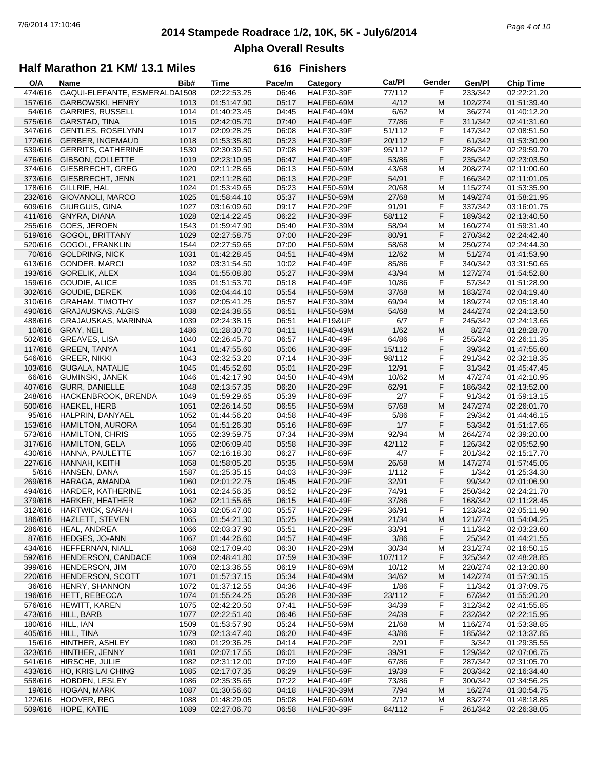## **2014 Stampede Roadrace 1/2, 10K, 5K - July6/2014** 7/6/2014 17:10:46 *Page 4 of 10* **Alpha Overall Results**

### **Half Marathon 21 KM/ 13.1 Miles**

| O/A     | Name                          | Bib# | <b>Time</b> | Pace/m | Category          | Cat/PI  | Gender | Gen/Pl  | <b>Chip Time</b>          |
|---------|-------------------------------|------|-------------|--------|-------------------|---------|--------|---------|---------------------------|
| 474/616 | GAQUI-ELEFANTE, ESMERALDA1508 |      | 02:22:53.25 | 06:46  | <b>HALF30-39F</b> | 77/112  | F      | 233/342 | $\overline{02}$ :22:21.20 |
| 157/616 | <b>GARBOWSKI, HENRY</b>       | 1013 | 01:51:47.90 | 05:17  | <b>HALF60-69M</b> | 4/12    | M      | 102/274 | 01:51:39.40               |
| 54/616  | <b>GARRIES, RUSSELL</b>       | 1014 | 01:40:23.45 | 04:45  | <b>HALF40-49M</b> | 6/62    | M      | 36/274  | 01:40:12.20               |
| 575/616 | GARSTAD, TINA                 | 1015 | 02:42:05.70 | 07:40  | HALF40-49F        | 77/86   | F      | 311/342 | 02:41:31.60               |
| 347/616 | <b>GENTLES, ROSELYNN</b>      | 1017 | 02:09:28.25 | 06:08  | <b>HALF30-39F</b> | 51/112  | F      | 147/342 | 02:08:51.50               |
|         |                               |      |             |        |                   |         |        |         |                           |
| 172/616 | <b>GERBER, INGEMAUD</b>       | 1018 | 01:53:35.80 | 05:23  | <b>HALF30-39F</b> | 20/112  | F      | 61/342  | 01:53:30.90               |
| 539/616 | <b>GERRITS, CATHERINE</b>     | 1530 | 02:30:39.50 | 07:08  | <b>HALF30-39F</b> | 95/112  | F      | 286/342 | 02:29:59.70               |
| 476/616 | GIBSON, COLLETTE              | 1019 | 02:23:10.95 | 06:47  | <b>HALF40-49F</b> | 53/86   | F      | 235/342 | 02:23:03.50               |
| 374/616 | GIESBRECHT, GREG              | 1020 | 02:11:28.65 | 06:13  | <b>HALF50-59M</b> | 43/68   | М      | 208/274 | 02:11:00.60               |
| 373/616 | GIESBRECHT, JENN              | 1021 | 02:11:28.60 | 06:13  | <b>HALF20-29F</b> | 54/91   | F      | 166/342 | 02:11:01.05               |
| 178/616 | GILLRIE, HAL                  | 1024 | 01:53:49.65 | 05:23  | <b>HALF50-59M</b> | 20/68   | M      | 115/274 | 01:53:35.90               |
| 232/616 | GIOVANOLI, MARCO              | 1025 | 01:58:44.10 | 05:37  | <b>HALF50-59M</b> | 27/68   | M      | 149/274 | 01:58:21.95               |
| 609/616 | GIURGUIS, GINA                | 1027 | 03:16:09.60 | 09:17  | <b>HALF20-29F</b> | 91/91   | F      | 337/342 | 03:16:01.75               |
|         | <b>GNYRA, DIANA</b>           |      |             |        |                   |         | F      |         |                           |
| 411/616 |                               | 1028 | 02:14:22.45 | 06:22  | <b>HALF30-39F</b> | 58/112  |        | 189/342 | 02:13:40.50               |
| 255/616 | GOES, JEROEN                  | 1543 | 01:59:47.90 | 05:40  | <b>HALF30-39M</b> | 58/94   | M      | 160/274 | 01:59:31.40               |
| 519/616 | <b>GOGOL, BRITTANY</b>        | 1029 | 02:27:58.75 | 07:00  | <b>HALF20-29F</b> | 80/91   | F      | 270/342 | 02:24:42.40               |
| 520/616 | <b>GOGOL, FRANKLIN</b>        | 1544 | 02:27:59.65 | 07:00  | <b>HALF50-59M</b> | 58/68   | M      | 250/274 | 02:24:44.30               |
| 70/616  | <b>GOLDRING, NICK</b>         | 1031 | 01:42:28.45 | 04:51  | <b>HALF40-49M</b> | 12/62   | M      | 51/274  | 01:41:53.90               |
| 613/616 | <b>GONDER, MARCI</b>          | 1032 | 03:31:54.50 | 10:02  | <b>HALF40-49F</b> | 85/86   | F      | 340/342 | 03:31:50.65               |
| 193/616 | <b>GORELIK, ALEX</b>          | 1034 | 01:55:08.80 | 05:27  | <b>HALF30-39M</b> | 43/94   | M      | 127/274 | 01:54:52.80               |
| 159/616 | GOUDIE, ALICE                 | 1035 | 01:51:53.70 | 05:18  | <b>HALF40-49F</b> | 10/86   | F      | 57/342  | 01:51:28.90               |
| 302/616 | <b>GOUDIE, DEREK</b>          | 1036 | 02:04:44.10 | 05:54  | <b>HALF50-59M</b> | 37/68   | M      | 183/274 | 02:04:19.40               |
|         |                               |      |             |        |                   |         |        |         |                           |
| 310/616 | <b>GRAHAM, TIMOTHY</b>        | 1037 | 02:05:41.25 | 05:57  | <b>HALF30-39M</b> | 69/94   | M      | 189/274 | 02:05:18.40               |
| 490/616 | <b>GRAJAUSKAS, ALGIS</b>      | 1038 | 02:24:38.55 | 06:51  | <b>HALF50-59M</b> | 54/68   | M      | 244/274 | 02:24:13.50               |
| 488/616 | GRAJAUSKAS, MARINNA           | 1039 | 02:24:38.15 | 06:51  | HALF19&UF         | 6/7     | F      | 245/342 | 02:24:13.65               |
| 10/616  | GRAY, NEIL                    | 1486 | 01:28:30.70 | 04:11  | <b>HALF40-49M</b> | 1/62    | M      | 8/274   | 01:28:28.70               |
| 502/616 | <b>GREAVES, LISA</b>          | 1040 | 02:26:45.70 | 06:57  | <b>HALF40-49F</b> | 64/86   | F      | 255/342 | 02:26:11.35               |
| 117/616 | <b>GREEN, TANYA</b>           | 1041 | 01:47:55.60 | 05:06  | <b>HALF30-39F</b> | 15/112  | F      | 39/342  | 01:47:55.60               |
| 546/616 | <b>GREER, NIKKI</b>           | 1043 | 02:32:53.20 | 07:14  | <b>HALF30-39F</b> | 98/112  | F      | 291/342 | 02:32:18.35               |
| 103/616 | <b>GUGALA, NATALIE</b>        | 1045 | 01:45:52.60 | 05:01  | <b>HALF20-29F</b> | 12/91   | F      | 31/342  | 01:45:47.45               |
| 66/616  | GUMINSKI, JANEK               | 1046 | 01:42:17.90 | 04:50  | <b>HALF40-49M</b> | 10/62   | M      | 47/274  | 01:42:10.95               |
| 407/616 | <b>GURR, DANIELLE</b>         | 1048 | 02:13:57.35 | 06:20  | <b>HALF20-29F</b> | 62/91   | F      | 186/342 | 02:13:52.00               |
|         |                               |      |             |        |                   |         |        |         |                           |
| 248/616 | HACKENBROOK, BRENDA           | 1049 | 01:59:29.65 | 05:39  | <b>HALF60-69F</b> | 2/7     | F      | 91/342  | 01:59:13.15               |
| 500/616 | HAEKEL, HERB                  | 1051 | 02:26:14.50 | 06:55  | <b>HALF50-59M</b> | 57/68   | M      | 247/274 | 02:26:01.70               |
| 95/616  | HALPRIN, DANYAEL              | 1052 | 01:44:56.20 | 04:58  | <b>HALF40-49F</b> | $5/86$  | F      | 29/342  | 01:44:46.15               |
| 153/616 | <b>HAMILTON, AURORA</b>       | 1054 | 01:51:26.30 | 05:16  | HALF60-69F        | 1/7     | F      | 53/342  | 01:51:17.65               |
| 573/616 | <b>HAMILTON, CHRIS</b>        | 1055 | 02:39:59.75 | 07:34  | <b>HALF30-39M</b> | 92/94   | M      | 264/274 | 02:39:20.00               |
| 317/616 | <b>HAMILTON, GELA</b>         | 1056 | 02:06:09.40 | 05:58  | <b>HALF30-39F</b> | 42/112  | F      | 126/342 | 02:05:52.90               |
| 430/616 | HANNA, PAULETTE               | 1057 | 02:16:18.30 | 06:27  | HALF60-69F        | 4/7     | F      | 201/342 | 02:15:17.70               |
| 227/616 | HANNAH, KEITH                 | 1058 | 01:58:05.20 | 05:35  | <b>HALF50-59M</b> | 26/68   | M      | 147/274 | 01:57:45.05               |
| 5/616   | HANSEN, DANA                  | 1587 | 01:25:35.15 | 04:03  | <b>HALF30-39F</b> | 1/112   | F      | 1/342   | 01:25:34.30               |
| 269/616 | HARAGA, AMANDA                | 1060 | 02:01:22.75 | 05:45  | <b>HALF20-29F</b> | 32/91   | F      | 99/342  | 02:01:06.90               |
| 494/616 | HARDER, KATHERINE             | 1061 | 02:24:56.35 | 06:52  | <b>HALF20-29F</b> | 74/91   | F      | 250/342 | 02:24:21.70               |
|         |                               |      |             |        |                   |         |        |         |                           |
| 379/616 | <b>HARKER, HEATHER</b>        | 1062 | 02:11:55.65 | 06:15  | HALF40-49F        | 37/86   | F      | 168/342 | 02:11:28.45               |
| 312/616 | HARTWICK, SARAH               | 1063 | 02:05:47.00 | 05:57  | <b>HALF20-29F</b> | 36/91   | F      | 123/342 | 02:05:11.90               |
|         | 186/616 HAZLETT, STEVEN       | 1065 | 01:54:21.30 | 05:25  | <b>HALF20-29M</b> | 21/34   | M      | 121/274 | 01:54:04.25               |
| 286/616 | HEAL, ANDREA                  | 1066 | 02:03:37.90 | 05:51  | <b>HALF20-29F</b> | 33/91   | F      | 111/342 | 02:03:23.60               |
| 87/616  | HEDGES, JO-ANN                | 1067 | 01:44:26.60 | 04:57  | <b>HALF40-49F</b> | 3/86    | F      | 25/342  | 01:44:21.55               |
| 434/616 | HEFFERNAN, NIALL              | 1068 | 02:17:09.40 | 06:30  | <b>HALF20-29M</b> | 30/34   | M      | 231/274 | 02:16:50.15               |
| 592/616 | HENDERSON, CANDACE            | 1069 | 02:48:41.80 | 07:59  | <b>HALF30-39F</b> | 107/112 | F      | 325/342 | 02:48:28.85               |
| 399/616 | <b>HENDERSON, JIM</b>         | 1070 | 02:13:36.55 | 06:19  | <b>HALF60-69M</b> | 10/12   | M      | 220/274 | 02:13:20.80               |
| 220/616 | HENDERSON, SCOTT              | 1071 | 01:57:37.15 | 05:34  | <b>HALF40-49M</b> | 34/62   | M      | 142/274 | 01:57:30.15               |
| 36/616  | HENRY, SHANNON                | 1072 | 01:37:12.55 | 04:36  | <b>HALF40-49F</b> | 1/86    | F      | 11/342  | 01:37:09.75               |
| 196/616 | <b>HETT, REBECCA</b>          | 1074 | 01:55:24.25 | 05:28  | <b>HALF30-39F</b> | 23/112  | F      | 67/342  | 01:55:20.20               |
|         |                               |      |             |        |                   |         |        |         |                           |
| 576/616 | HEWITT, KAREN                 | 1075 | 02:42:20.50 | 07:41  | <b>HALF50-59F</b> | 34/39   | F      | 312/342 | 02:41:55.85               |
| 473/616 | HILL, BARB                    | 1077 | 02:22:51.40 | 06:46  | <b>HALF50-59F</b> | 24/39   | F      | 232/342 | 02:22:15.95               |
| 180/616 | HILL, IAN                     | 1509 | 01:53:57.90 | 05:24  | <b>HALF50-59M</b> | 21/68   | M      | 116/274 | 01:53:38.85               |
| 405/616 | HILL, TINA                    | 1079 | 02:13:47.40 | 06:20  | <b>HALF40-49F</b> | 43/86   | F      | 185/342 | 02:13:37.85               |
| 15/616  | HINTHER, ASHLEY               | 1080 | 01:29:36.25 | 04:14  | <b>HALF20-29F</b> | 2/91    | F      | 3/342   | 01:29:35.55               |
| 323/616 | HINTHER, JENNY                | 1081 | 02:07:17.55 | 06:01  | <b>HALF20-29F</b> | 39/91   | F      | 129/342 | 02:07:06.75               |
| 541/616 | HIRSCHE, JULIE                | 1082 | 02:31:12.00 | 07:09  | <b>HALF40-49F</b> | 67/86   | F      | 287/342 | 02:31:05.70               |
| 433/616 | HO, KRIS LAI CHING            | 1085 | 02:17:07.35 | 06:29  | <b>HALF50-59F</b> | 19/39   | F      | 203/342 | 02:16:34.40               |
| 558/616 | HOBDEN, LESLEY                | 1086 | 02:35:35.65 | 07:22  | HALF40-49F        | 73/86   | F      | 300/342 | 02:34:56.25               |
|         |                               |      |             |        |                   |         |        |         |                           |
| 19/616  | HOGAN, MARK                   | 1087 | 01:30:56.60 | 04:18  | <b>HALF30-39M</b> | 7/94    | M      | 16/274  | 01:30:54.75               |
| 122/616 | HOOVER, REG                   | 1088 | 01:48:29.05 | 05:08  | HALF60-69M        | 2/12    | M      | 83/274  | 01:48:18.85               |
| 509/616 | HOPE, KATIE                   | 1089 | 02:27:06.70 | 06:58  | HALF30-39F        | 84/112  | F      | 261/342 | 02:26:38.05               |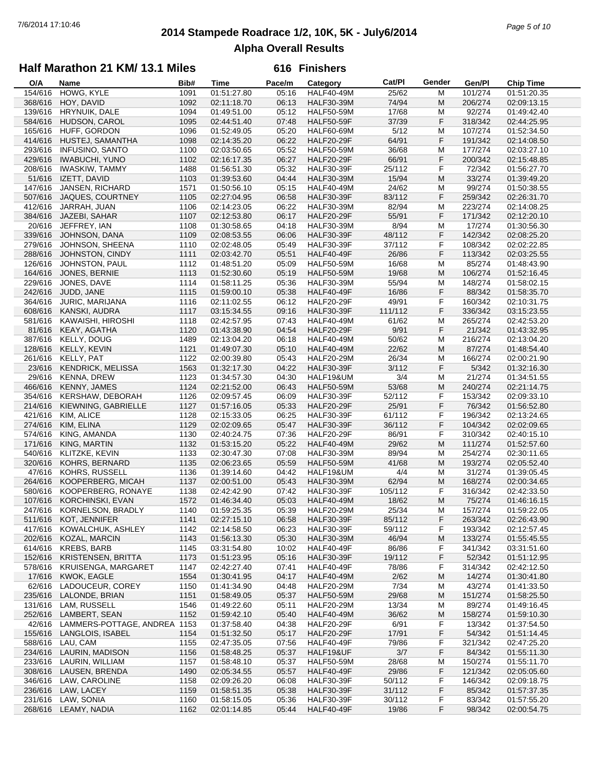## **2014 Stampede Roadrace 1/2, 10K, 5K - July6/2014** 7/6/2014 17:10:46 *Page 5 of 10* **Alpha Overall Results**

### **Half Marathon 21 KM/ 13.1 Miles**

| 154/616<br>HOWG, KYLE<br>1091<br>01:51:27.80<br>05:16<br><b>HALF40-49M</b><br>25/62<br>101/274<br>01:51:20.35<br>м<br>368/616<br>HOY, DAVID<br>1092<br>74/94<br>M<br>206/274<br>02:11:18.70<br>06:13<br><b>HALF30-39M</b><br>02:09:13.15<br>1094<br>05:12<br>17/68<br>139/616<br>HRYNUIK, DALE<br>01:49:51.00<br><b>HALF50-59M</b><br>М<br>92/274<br>01:49:42.40<br>1095<br>07:48<br>F<br>318/342<br>584/616<br>HUDSON, CAROL<br>02:44:51.40<br><b>HALF50-59F</b><br>37/39<br>02:44:25.95<br>165/616<br>HUFF, GORDON<br>1096<br>01:52:49.05<br>05:20<br>5/12<br>107/274<br>01:52:34.50<br><b>HALF60-69M</b><br>М<br>F<br>414/616<br>06:22<br>64/91<br>HUSTEJ, SAMANTHA<br>1098<br>02:14:35.20<br><b>HALF20-29F</b><br>191/342<br>02:14:08.50<br>293/616<br>05:52<br>36/68<br>177/274<br><b>INFUSINO, SANTO</b><br>1100<br>02:03:50.65<br><b>HALF50-59M</b><br>М<br>02:03:27.10<br>F<br>429/616<br><b>IWABUCHI, YUNO</b><br>1102<br>06:27<br>66/91<br>02:16:17.35<br><b>HALF20-29F</b><br>200/342<br>02:15:48.85<br>F<br>1488<br>05:32<br>72/342<br>208/616<br><b>IWASKIW, TAMMY</b><br>01:56:51.30<br><b>HALF30-39F</b><br>25/112<br>01:56:27.70<br>51/616<br>IZETT, DAVID<br>1103<br>01:39:53.60<br>04:44<br>15/94<br>M<br>33/274<br><b>HALF30-39M</b><br>01:39:49.20<br>147/616<br>JANSEN, RICHARD<br>1571<br>05:15<br>24/62<br>99/274<br>01:50:56.10<br><b>HALF40-49M</b><br>М<br>01:50:38.55<br>1105<br>06:58<br>83/112<br>F<br>259/342<br>507/616<br>JAQUES, COURTNEY<br>02:27:04.95<br><b>HALF30-39F</b><br>02:26:31.70<br>02:14:23.05<br>82/94<br>M<br>412/616<br>JARRAH, JUAN<br>1106<br>06:22<br><b>HALF30-39M</b><br>223/274<br>02:14:08.25<br>F<br>384/616<br>JAZEBI, SAHAR<br>55/91<br>1107<br>02:12:53.80<br>06:17<br><b>HALF20-29F</b><br>171/342<br>02:12:20.10<br>20/616<br>JEFFREY, IAN<br>1108<br>04:18<br>8/94<br>17/274<br>01:30:58.65<br><b>HALF30-39M</b><br>М<br>01:30:56.30<br>F<br>339/616<br>1109<br>48/112<br>142/342<br>JOHNSON, DANA<br>02:08:53.55<br>06:06<br><b>HALF30-39F</b><br>02:08:25.20<br>F<br>279/616<br>JOHNSON, SHEENA<br>1110<br>02:02:48.05<br>05:49<br><b>HALF30-39F</b><br>37/112<br>108/342<br>02:02:22.85<br>288/616<br>1111<br>05:51<br>26/86<br>F<br>113/342<br>JOHNSTON, CINDY<br>02:03:42.70<br>HALF40-49F<br>02:03:25.55<br>126/616<br>85/274<br>JOHNSTON, PAUL<br>1112<br>01:48:51.20<br>05:09<br><b>HALF50-59M</b><br>16/68<br>М<br>01:48:43.90<br>1113<br>M<br>164/616<br>JONES, BERNIE<br>01:52:30.60<br>05:19<br><b>HALF50-59M</b><br>19/68<br>106/274<br>01:52:16.45<br>229/616<br>JONES, DAVE<br>01:58:11.25<br>05:36<br>55/94<br>1114<br><b>HALF30-39M</b><br>М<br>148/274<br>01:58:02.15<br>F<br>242/616<br>1115<br>05:38<br>88/342<br>JUDD, JANE<br>01:59:00.10<br>HALF40-49F<br>16/86<br>01:58:35.70<br>364/616<br>1116<br>06:12<br>F<br>JURIC, MARIJANA<br>02:11:02.55<br><b>HALF20-29F</b><br>49/91<br>160/342<br>02:10:31.75<br>F<br>1117<br>608/616<br>KANSKI, AUDRA<br>03:15:34.55<br>09:16<br><b>HALF30-39F</b><br>111/112<br>336/342<br>03:15:23.55<br>02:42:57.95<br>265/274<br>581/616<br>KAWAISHI, HIROSHI<br>1118<br>07:43<br><b>HALF40-49M</b><br>61/62<br>М<br>02:42:53.20<br>F<br>04:54<br>9/91<br>21/342<br>81/616<br><b>KEAY, AGATHA</b><br>1120<br>01:43:38.90<br><b>HALF20-29F</b><br>01:43:32.95<br>387/616<br>KELLY, DOUG<br>1489<br>06:18<br>50/62<br>M<br>216/274<br>02:13:04.20<br><b>HALF40-49M</b><br>02:13:04.20<br>M<br>128/616<br>KELLY, KEVIN<br>1121<br>01:49:07.30<br>05:10<br><b>HALF40-49M</b><br>22/62<br>87/274<br>01:48:54.40<br>261/616<br>1122<br>166/274<br><b>KELLY, PAT</b><br>02:00:39.80<br>05:43<br><b>HALF20-29M</b><br>26/34<br>М<br>02:00:21.90<br>F<br>23/616<br>1563<br>04:22<br>3/112<br>5/342<br><b>KENDRICK, MELISSA</b><br>01:32:17.30<br><b>HALF30-39F</b><br>01:32:16.30<br>29/616<br>1123<br>04:30<br>3/4<br>21/274<br>KENNA, DREW<br>01:34:57.30<br>HALF19&UM<br>М<br>01:34:51.55<br>466/616<br>1124<br>02:21:52.00<br>53/68<br>M<br><b>KENNY, JAMES</b><br>06:43<br><b>HALF50-59M</b><br>240/274<br>02:21:14.75<br>F<br>1126<br>52/112<br>153/342<br>354/616<br>KERSHAW, DEBORAH<br>02:09:57.45<br>06:09<br><b>HALF30-39F</b><br>02:09:33.10<br>F<br>25/91<br>76/342<br>214/616<br>KIEWNING, GABRIELLE<br>1127<br>01:57:16.05<br>05:33<br><b>HALF20-29F</b><br>01:56:52.80<br>F<br>421/616<br>1128<br>06:25<br>61/112<br>KIM, ALICE<br>02:15:33.05<br><b>HALF30-39F</b><br>196/342<br>02:13:24.65<br>F<br>274/616<br>KIM, ELINA<br>1129<br>02:02:09.65<br>05:47<br><b>HALF30-39F</b><br>36/112<br>104/342<br>02:02:09.65<br>1130<br>02:40:24.75<br>07:36<br>86/91<br>F<br>574/616<br>KING, AMANDA<br><b>HALF20-29F</b><br>310/342<br>02:40:15.10<br>171/616<br>1132<br>05:22<br>29/62<br>M<br>KING, MARTIN<br>01:53:15.20<br><b>HALF40-49M</b><br>111/274<br>01:52:57.60<br>1133<br>07:08<br>540/616<br>KLITZKE, KEVIN<br>02:30:47.30<br><b>HALF30-39M</b><br>89/94<br>М<br>254/274<br>02:30:11.65<br>M<br>320/616<br>KOHRS, BERNARD<br>1135<br>02:06:23.65<br>05:59<br><b>HALF50-59M</b><br>41/68<br>193/274<br>02:05:52.40<br>1136<br>01:39:14.60<br>31/274<br>47/616<br>KOHRS, RUSSELL<br>04:42<br>HALF19&UM<br>4/4<br>М<br>01:39:05.45<br>264/616<br>62/94<br>M<br>168/274<br>KOOPERBERG, MICAH<br>1137<br>02:00:51.00<br>05:43<br><b>HALF30-39M</b><br>02:00:34.65<br>580/616<br>1138<br>07:42<br>105/112<br>F<br>KOOPERBERG, RONAYE<br>02:42:42.90<br><b>HALF30-39F</b><br>316/342<br>02:42:33.50<br>1572<br>M<br>107/616<br>01:46:34.40<br>05:03<br><b>HALF40-49M</b><br>18/62<br>75/274<br>01:46:16.15<br>KORCHINSKI, EVAN<br>1140<br>05:39<br>M<br>247/616<br>KORNELSON, BRADLY<br>01:59:25.35<br><b>HALF20-29M</b><br>25/34<br>157/274<br>01:59:22.05<br>KOT, JENNIFER<br>1141<br>85/112<br>F<br>02:26:43.90<br>511/616<br>02:27:15.10<br>06:58<br><b>HALF30-39F</b><br>263/342<br>F<br>417/616<br>KOWALCHUK, ASHLEY<br>1142<br>02:14:58.50<br>06:23<br><b>HALF30-39F</b><br>59/112<br>193/342<br>02:12:57.45<br>202/616<br>KOZAL, MARCIN<br>1143<br>01:56:13.30<br>05:30<br><b>HALF30-39M</b><br>46/94<br>M<br>133/274<br>01:55:45.55<br>614/616<br><b>KREBS, BARB</b><br>03:31:54.80<br>HALF40-49F<br>86/86<br>F<br>341/342<br>03:31:51.60<br>1145<br>10:02<br>F<br>152/616<br><b>KRISTENSEN, BRITTA</b><br>1173<br>01:51:23.95<br>05:16<br><b>HALF30-39F</b><br>19/112<br>52/342<br>01:51:12.95<br>F<br>578/616<br>KRUISENGA, MARGARET<br>1147<br>02:42:27.40<br>07:41<br><b>HALF40-49F</b><br>78/86<br>314/342<br>02:42:12.50<br>17/616<br>KWOK, EAGLE<br>1554<br>01:30:41.95<br>2/62<br>14/274<br>04:17<br><b>HALF40-49M</b><br>M<br>01:30:41.80<br>43/274<br>62/616<br>LADOUCEUR, COREY<br>1150<br>01:41:34.90<br><b>HALF20-29M</b><br>7/34<br>01:41:33.50<br>04:48<br>M<br>235/616<br>LALONDE, BRIAN<br>1151<br>05:37<br>29/68<br>M<br>151/274<br>01:58:49.05<br><b>HALF50-59M</b><br>01:58:25.50<br>131/616<br>LAM, RUSSELL<br>1546<br>01:49:22.60<br>05:11<br><b>HALF20-29M</b><br>13/34<br>M<br>89/274<br>01:49:16.45<br>252/616<br>LAMBERT, SEAN<br>1152<br>01:59:42.10<br>05:40<br><b>HALF40-49M</b><br>36/62<br>M<br>158/274<br>01:59:10.30<br>42/616<br>LAMMERS-POTTAGE, ANDREA 1153<br>01:37:58.40<br>04:38<br><b>HALF20-29F</b><br>6/91<br>F<br>13/342<br>01:37:54.50<br>F<br>155/616<br>LANGLOIS, ISABEL<br>1154<br>01:51:32.50<br>05:17<br><b>HALF20-29F</b><br>17/91<br>54/342<br>01:51:14.45<br>F<br>588/616<br>LAU, CAM<br>1155<br>02:47:35.05<br>07:56<br>HALF40-49F<br>79/86<br>321/342<br>02:47:25.20<br>234/616<br>LAURIN, MADISON<br>3/7<br>F<br>84/342<br>01:55:11.30<br>1156<br>01:58:48.25<br>05:37<br>HALF19&UF<br>150/274<br>233/616<br>LAURIN, WILLIAM<br>1157<br>01:58:48.10<br>05:37<br><b>HALF50-59M</b><br>28/68<br>M<br>01:55:11.70<br>F<br>308/616<br>LAUSEN, BRENDA<br>1490<br>02:05:34.55<br>05:57<br>HALF40-49F<br>29/86<br>121/342<br>02:05:05.60<br>F<br>346/616<br>LAW, CAROLINE<br>1158<br>02:09:26.20<br>06:08<br><b>HALF30-39F</b><br>50/112<br>146/342<br>02:09:18.75<br>F<br>236/616<br>LAW, LACEY<br>1159<br>01:58:51.35<br><b>HALF30-39F</b><br>31/112<br>85/342<br>01:57:37.35<br>05:38<br>231/616<br>LAW, SONIA<br>01:58:15.05<br>05:36<br><b>HALF30-39F</b><br>30/112<br>F<br>83/342<br>01:57:55.20<br>1160<br>F | O/A     | Name         | Bib# | <b>Time</b> | Pace/m | Category          | Cat/Pl | Gender | Gen/Pl | <b>Chip Time</b> |
|------------------------------------------------------------------------------------------------------------------------------------------------------------------------------------------------------------------------------------------------------------------------------------------------------------------------------------------------------------------------------------------------------------------------------------------------------------------------------------------------------------------------------------------------------------------------------------------------------------------------------------------------------------------------------------------------------------------------------------------------------------------------------------------------------------------------------------------------------------------------------------------------------------------------------------------------------------------------------------------------------------------------------------------------------------------------------------------------------------------------------------------------------------------------------------------------------------------------------------------------------------------------------------------------------------------------------------------------------------------------------------------------------------------------------------------------------------------------------------------------------------------------------------------------------------------------------------------------------------------------------------------------------------------------------------------------------------------------------------------------------------------------------------------------------------------------------------------------------------------------------------------------------------------------------------------------------------------------------------------------------------------------------------------------------------------------------------------------------------------------------------------------------------------------------------------------------------------------------------------------------------------------------------------------------------------------------------------------------------------------------------------------------------------------------------------------------------------------------------------------------------------------------------------------------------------------------------------------------------------------------------------------------------------------------------------------------------------------------------------------------------------------------------------------------------------------------------------------------------------------------------------------------------------------------------------------------------------------------------------------------------------------------------------------------------------------------------------------------------------------------------------------------------------------------------------------------------------------------------------------------------------------------------------------------------------------------------------------------------------------------------------------------------------------------------------------------------------------------------------------------------------------------------------------------------------------------------------------------------------------------------------------------------------------------------------------------------------------------------------------------------------------------------------------------------------------------------------------------------------------------------------------------------------------------------------------------------------------------------------------------------------------------------------------------------------------------------------------------------------------------------------------------------------------------------------------------------------------------------------------------------------------------------------------------------------------------------------------------------------------------------------------------------------------------------------------------------------------------------------------------------------------------------------------------------------------------------------------------------------------------------------------------------------------------------------------------------------------------------------------------------------------------------------------------------------------------------------------------------------------------------------------------------------------------------------------------------------------------------------------------------------------------------------------------------------------------------------------------------------------------------------------------------------------------------------------------------------------------------------------------------------------------------------------------------------------------------------------------------------------------------------------------------------------------------------------------------------------------------------------------------------------------------------------------------------------------------------------------------------------------------------------------------------------------------------------------------------------------------------------------------------------------------------------------------------------------------------------------------------------------------------------------------------------------------------------------------------------------------------------------------------------------------------------------------------------------------------------------------------------------------------------------------------------------------------------------------------------------------------------------------------------------------------------------------------------------------------------------------------------------------------------------------------------------------------------------------------------------------------------------------------------------------------------------------------------------------------------------------------------------------------------------------------------------------------------------------------------------------------------------------------------------------------------------------------------------------------------------------------------------------------------------------------------------------------------------------------------------------------------------------------------------------------------------------------------------------------------------------------------------------------------------------------------------------------------------------------------------------------------------------------------------------------------------------------------------------------------------------------------------------------------------------------------------------------------------------------------------------------------------------------------------------------------------------------------------------------------------------------------------------------------------------------------------------------------------------------------------------------------------------------------------------------------------------------------------------------------------------------------------------------------------------------------------------------------------------------------------------------------------------------------------------------------------------------------------------------------------------------------------------------------------------------------------------------------------------|---------|--------------|------|-------------|--------|-------------------|--------|--------|--------|------------------|
|                                                                                                                                                                                                                                                                                                                                                                                                                                                                                                                                                                                                                                                                                                                                                                                                                                                                                                                                                                                                                                                                                                                                                                                                                                                                                                                                                                                                                                                                                                                                                                                                                                                                                                                                                                                                                                                                                                                                                                                                                                                                                                                                                                                                                                                                                                                                                                                                                                                                                                                                                                                                                                                                                                                                                                                                                                                                                                                                                                                                                                                                                                                                                                                                                                                                                                                                                                                                                                                                                                                                                                                                                                                                                                                                                                                                                                                                                                                                                                                                                                                                                                                                                                                                                                                                                                                                                                                                                                                                                                                                                                                                                                                                                                                                                                                                                                                                                                                                                                                                                                                                                                                                                                                                                                                                                                                                                                                                                                                                                                                                                                                                                                                                                                                                                                                                                                                                                                                                                                                                                                                                                                                                                                                                                                                                                                                                                                                                                                                                                                                                                                                                                                                                                                                                                                                                                                                                                                                                                                                                                                                                                                                                                                                                                                                                                                                                                                                                                                                                                                                                                                                                                                                                                                                                                                                                                                                                                                                                                                                                                                                                                                                                                                                                            |         |              |      |             |        |                   |        |        |        |                  |
|                                                                                                                                                                                                                                                                                                                                                                                                                                                                                                                                                                                                                                                                                                                                                                                                                                                                                                                                                                                                                                                                                                                                                                                                                                                                                                                                                                                                                                                                                                                                                                                                                                                                                                                                                                                                                                                                                                                                                                                                                                                                                                                                                                                                                                                                                                                                                                                                                                                                                                                                                                                                                                                                                                                                                                                                                                                                                                                                                                                                                                                                                                                                                                                                                                                                                                                                                                                                                                                                                                                                                                                                                                                                                                                                                                                                                                                                                                                                                                                                                                                                                                                                                                                                                                                                                                                                                                                                                                                                                                                                                                                                                                                                                                                                                                                                                                                                                                                                                                                                                                                                                                                                                                                                                                                                                                                                                                                                                                                                                                                                                                                                                                                                                                                                                                                                                                                                                                                                                                                                                                                                                                                                                                                                                                                                                                                                                                                                                                                                                                                                                                                                                                                                                                                                                                                                                                                                                                                                                                                                                                                                                                                                                                                                                                                                                                                                                                                                                                                                                                                                                                                                                                                                                                                                                                                                                                                                                                                                                                                                                                                                                                                                                                                                            |         |              |      |             |        |                   |        |        |        |                  |
|                                                                                                                                                                                                                                                                                                                                                                                                                                                                                                                                                                                                                                                                                                                                                                                                                                                                                                                                                                                                                                                                                                                                                                                                                                                                                                                                                                                                                                                                                                                                                                                                                                                                                                                                                                                                                                                                                                                                                                                                                                                                                                                                                                                                                                                                                                                                                                                                                                                                                                                                                                                                                                                                                                                                                                                                                                                                                                                                                                                                                                                                                                                                                                                                                                                                                                                                                                                                                                                                                                                                                                                                                                                                                                                                                                                                                                                                                                                                                                                                                                                                                                                                                                                                                                                                                                                                                                                                                                                                                                                                                                                                                                                                                                                                                                                                                                                                                                                                                                                                                                                                                                                                                                                                                                                                                                                                                                                                                                                                                                                                                                                                                                                                                                                                                                                                                                                                                                                                                                                                                                                                                                                                                                                                                                                                                                                                                                                                                                                                                                                                                                                                                                                                                                                                                                                                                                                                                                                                                                                                                                                                                                                                                                                                                                                                                                                                                                                                                                                                                                                                                                                                                                                                                                                                                                                                                                                                                                                                                                                                                                                                                                                                                                                                            |         |              |      |             |        |                   |        |        |        |                  |
|                                                                                                                                                                                                                                                                                                                                                                                                                                                                                                                                                                                                                                                                                                                                                                                                                                                                                                                                                                                                                                                                                                                                                                                                                                                                                                                                                                                                                                                                                                                                                                                                                                                                                                                                                                                                                                                                                                                                                                                                                                                                                                                                                                                                                                                                                                                                                                                                                                                                                                                                                                                                                                                                                                                                                                                                                                                                                                                                                                                                                                                                                                                                                                                                                                                                                                                                                                                                                                                                                                                                                                                                                                                                                                                                                                                                                                                                                                                                                                                                                                                                                                                                                                                                                                                                                                                                                                                                                                                                                                                                                                                                                                                                                                                                                                                                                                                                                                                                                                                                                                                                                                                                                                                                                                                                                                                                                                                                                                                                                                                                                                                                                                                                                                                                                                                                                                                                                                                                                                                                                                                                                                                                                                                                                                                                                                                                                                                                                                                                                                                                                                                                                                                                                                                                                                                                                                                                                                                                                                                                                                                                                                                                                                                                                                                                                                                                                                                                                                                                                                                                                                                                                                                                                                                                                                                                                                                                                                                                                                                                                                                                                                                                                                                                            |         |              |      |             |        |                   |        |        |        |                  |
|                                                                                                                                                                                                                                                                                                                                                                                                                                                                                                                                                                                                                                                                                                                                                                                                                                                                                                                                                                                                                                                                                                                                                                                                                                                                                                                                                                                                                                                                                                                                                                                                                                                                                                                                                                                                                                                                                                                                                                                                                                                                                                                                                                                                                                                                                                                                                                                                                                                                                                                                                                                                                                                                                                                                                                                                                                                                                                                                                                                                                                                                                                                                                                                                                                                                                                                                                                                                                                                                                                                                                                                                                                                                                                                                                                                                                                                                                                                                                                                                                                                                                                                                                                                                                                                                                                                                                                                                                                                                                                                                                                                                                                                                                                                                                                                                                                                                                                                                                                                                                                                                                                                                                                                                                                                                                                                                                                                                                                                                                                                                                                                                                                                                                                                                                                                                                                                                                                                                                                                                                                                                                                                                                                                                                                                                                                                                                                                                                                                                                                                                                                                                                                                                                                                                                                                                                                                                                                                                                                                                                                                                                                                                                                                                                                                                                                                                                                                                                                                                                                                                                                                                                                                                                                                                                                                                                                                                                                                                                                                                                                                                                                                                                                                                            |         |              |      |             |        |                   |        |        |        |                  |
|                                                                                                                                                                                                                                                                                                                                                                                                                                                                                                                                                                                                                                                                                                                                                                                                                                                                                                                                                                                                                                                                                                                                                                                                                                                                                                                                                                                                                                                                                                                                                                                                                                                                                                                                                                                                                                                                                                                                                                                                                                                                                                                                                                                                                                                                                                                                                                                                                                                                                                                                                                                                                                                                                                                                                                                                                                                                                                                                                                                                                                                                                                                                                                                                                                                                                                                                                                                                                                                                                                                                                                                                                                                                                                                                                                                                                                                                                                                                                                                                                                                                                                                                                                                                                                                                                                                                                                                                                                                                                                                                                                                                                                                                                                                                                                                                                                                                                                                                                                                                                                                                                                                                                                                                                                                                                                                                                                                                                                                                                                                                                                                                                                                                                                                                                                                                                                                                                                                                                                                                                                                                                                                                                                                                                                                                                                                                                                                                                                                                                                                                                                                                                                                                                                                                                                                                                                                                                                                                                                                                                                                                                                                                                                                                                                                                                                                                                                                                                                                                                                                                                                                                                                                                                                                                                                                                                                                                                                                                                                                                                                                                                                                                                                                                            |         |              |      |             |        |                   |        |        |        |                  |
|                                                                                                                                                                                                                                                                                                                                                                                                                                                                                                                                                                                                                                                                                                                                                                                                                                                                                                                                                                                                                                                                                                                                                                                                                                                                                                                                                                                                                                                                                                                                                                                                                                                                                                                                                                                                                                                                                                                                                                                                                                                                                                                                                                                                                                                                                                                                                                                                                                                                                                                                                                                                                                                                                                                                                                                                                                                                                                                                                                                                                                                                                                                                                                                                                                                                                                                                                                                                                                                                                                                                                                                                                                                                                                                                                                                                                                                                                                                                                                                                                                                                                                                                                                                                                                                                                                                                                                                                                                                                                                                                                                                                                                                                                                                                                                                                                                                                                                                                                                                                                                                                                                                                                                                                                                                                                                                                                                                                                                                                                                                                                                                                                                                                                                                                                                                                                                                                                                                                                                                                                                                                                                                                                                                                                                                                                                                                                                                                                                                                                                                                                                                                                                                                                                                                                                                                                                                                                                                                                                                                                                                                                                                                                                                                                                                                                                                                                                                                                                                                                                                                                                                                                                                                                                                                                                                                                                                                                                                                                                                                                                                                                                                                                                                                            |         |              |      |             |        |                   |        |        |        |                  |
|                                                                                                                                                                                                                                                                                                                                                                                                                                                                                                                                                                                                                                                                                                                                                                                                                                                                                                                                                                                                                                                                                                                                                                                                                                                                                                                                                                                                                                                                                                                                                                                                                                                                                                                                                                                                                                                                                                                                                                                                                                                                                                                                                                                                                                                                                                                                                                                                                                                                                                                                                                                                                                                                                                                                                                                                                                                                                                                                                                                                                                                                                                                                                                                                                                                                                                                                                                                                                                                                                                                                                                                                                                                                                                                                                                                                                                                                                                                                                                                                                                                                                                                                                                                                                                                                                                                                                                                                                                                                                                                                                                                                                                                                                                                                                                                                                                                                                                                                                                                                                                                                                                                                                                                                                                                                                                                                                                                                                                                                                                                                                                                                                                                                                                                                                                                                                                                                                                                                                                                                                                                                                                                                                                                                                                                                                                                                                                                                                                                                                                                                                                                                                                                                                                                                                                                                                                                                                                                                                                                                                                                                                                                                                                                                                                                                                                                                                                                                                                                                                                                                                                                                                                                                                                                                                                                                                                                                                                                                                                                                                                                                                                                                                                                                            |         |              |      |             |        |                   |        |        |        |                  |
|                                                                                                                                                                                                                                                                                                                                                                                                                                                                                                                                                                                                                                                                                                                                                                                                                                                                                                                                                                                                                                                                                                                                                                                                                                                                                                                                                                                                                                                                                                                                                                                                                                                                                                                                                                                                                                                                                                                                                                                                                                                                                                                                                                                                                                                                                                                                                                                                                                                                                                                                                                                                                                                                                                                                                                                                                                                                                                                                                                                                                                                                                                                                                                                                                                                                                                                                                                                                                                                                                                                                                                                                                                                                                                                                                                                                                                                                                                                                                                                                                                                                                                                                                                                                                                                                                                                                                                                                                                                                                                                                                                                                                                                                                                                                                                                                                                                                                                                                                                                                                                                                                                                                                                                                                                                                                                                                                                                                                                                                                                                                                                                                                                                                                                                                                                                                                                                                                                                                                                                                                                                                                                                                                                                                                                                                                                                                                                                                                                                                                                                                                                                                                                                                                                                                                                                                                                                                                                                                                                                                                                                                                                                                                                                                                                                                                                                                                                                                                                                                                                                                                                                                                                                                                                                                                                                                                                                                                                                                                                                                                                                                                                                                                                                                            |         |              |      |             |        |                   |        |        |        |                  |
|                                                                                                                                                                                                                                                                                                                                                                                                                                                                                                                                                                                                                                                                                                                                                                                                                                                                                                                                                                                                                                                                                                                                                                                                                                                                                                                                                                                                                                                                                                                                                                                                                                                                                                                                                                                                                                                                                                                                                                                                                                                                                                                                                                                                                                                                                                                                                                                                                                                                                                                                                                                                                                                                                                                                                                                                                                                                                                                                                                                                                                                                                                                                                                                                                                                                                                                                                                                                                                                                                                                                                                                                                                                                                                                                                                                                                                                                                                                                                                                                                                                                                                                                                                                                                                                                                                                                                                                                                                                                                                                                                                                                                                                                                                                                                                                                                                                                                                                                                                                                                                                                                                                                                                                                                                                                                                                                                                                                                                                                                                                                                                                                                                                                                                                                                                                                                                                                                                                                                                                                                                                                                                                                                                                                                                                                                                                                                                                                                                                                                                                                                                                                                                                                                                                                                                                                                                                                                                                                                                                                                                                                                                                                                                                                                                                                                                                                                                                                                                                                                                                                                                                                                                                                                                                                                                                                                                                                                                                                                                                                                                                                                                                                                                                                            |         |              |      |             |        |                   |        |        |        |                  |
|                                                                                                                                                                                                                                                                                                                                                                                                                                                                                                                                                                                                                                                                                                                                                                                                                                                                                                                                                                                                                                                                                                                                                                                                                                                                                                                                                                                                                                                                                                                                                                                                                                                                                                                                                                                                                                                                                                                                                                                                                                                                                                                                                                                                                                                                                                                                                                                                                                                                                                                                                                                                                                                                                                                                                                                                                                                                                                                                                                                                                                                                                                                                                                                                                                                                                                                                                                                                                                                                                                                                                                                                                                                                                                                                                                                                                                                                                                                                                                                                                                                                                                                                                                                                                                                                                                                                                                                                                                                                                                                                                                                                                                                                                                                                                                                                                                                                                                                                                                                                                                                                                                                                                                                                                                                                                                                                                                                                                                                                                                                                                                                                                                                                                                                                                                                                                                                                                                                                                                                                                                                                                                                                                                                                                                                                                                                                                                                                                                                                                                                                                                                                                                                                                                                                                                                                                                                                                                                                                                                                                                                                                                                                                                                                                                                                                                                                                                                                                                                                                                                                                                                                                                                                                                                                                                                                                                                                                                                                                                                                                                                                                                                                                                                                            |         |              |      |             |        |                   |        |        |        |                  |
|                                                                                                                                                                                                                                                                                                                                                                                                                                                                                                                                                                                                                                                                                                                                                                                                                                                                                                                                                                                                                                                                                                                                                                                                                                                                                                                                                                                                                                                                                                                                                                                                                                                                                                                                                                                                                                                                                                                                                                                                                                                                                                                                                                                                                                                                                                                                                                                                                                                                                                                                                                                                                                                                                                                                                                                                                                                                                                                                                                                                                                                                                                                                                                                                                                                                                                                                                                                                                                                                                                                                                                                                                                                                                                                                                                                                                                                                                                                                                                                                                                                                                                                                                                                                                                                                                                                                                                                                                                                                                                                                                                                                                                                                                                                                                                                                                                                                                                                                                                                                                                                                                                                                                                                                                                                                                                                                                                                                                                                                                                                                                                                                                                                                                                                                                                                                                                                                                                                                                                                                                                                                                                                                                                                                                                                                                                                                                                                                                                                                                                                                                                                                                                                                                                                                                                                                                                                                                                                                                                                                                                                                                                                                                                                                                                                                                                                                                                                                                                                                                                                                                                                                                                                                                                                                                                                                                                                                                                                                                                                                                                                                                                                                                                                                            |         |              |      |             |        |                   |        |        |        |                  |
|                                                                                                                                                                                                                                                                                                                                                                                                                                                                                                                                                                                                                                                                                                                                                                                                                                                                                                                                                                                                                                                                                                                                                                                                                                                                                                                                                                                                                                                                                                                                                                                                                                                                                                                                                                                                                                                                                                                                                                                                                                                                                                                                                                                                                                                                                                                                                                                                                                                                                                                                                                                                                                                                                                                                                                                                                                                                                                                                                                                                                                                                                                                                                                                                                                                                                                                                                                                                                                                                                                                                                                                                                                                                                                                                                                                                                                                                                                                                                                                                                                                                                                                                                                                                                                                                                                                                                                                                                                                                                                                                                                                                                                                                                                                                                                                                                                                                                                                                                                                                                                                                                                                                                                                                                                                                                                                                                                                                                                                                                                                                                                                                                                                                                                                                                                                                                                                                                                                                                                                                                                                                                                                                                                                                                                                                                                                                                                                                                                                                                                                                                                                                                                                                                                                                                                                                                                                                                                                                                                                                                                                                                                                                                                                                                                                                                                                                                                                                                                                                                                                                                                                                                                                                                                                                                                                                                                                                                                                                                                                                                                                                                                                                                                                                            |         |              |      |             |        |                   |        |        |        |                  |
|                                                                                                                                                                                                                                                                                                                                                                                                                                                                                                                                                                                                                                                                                                                                                                                                                                                                                                                                                                                                                                                                                                                                                                                                                                                                                                                                                                                                                                                                                                                                                                                                                                                                                                                                                                                                                                                                                                                                                                                                                                                                                                                                                                                                                                                                                                                                                                                                                                                                                                                                                                                                                                                                                                                                                                                                                                                                                                                                                                                                                                                                                                                                                                                                                                                                                                                                                                                                                                                                                                                                                                                                                                                                                                                                                                                                                                                                                                                                                                                                                                                                                                                                                                                                                                                                                                                                                                                                                                                                                                                                                                                                                                                                                                                                                                                                                                                                                                                                                                                                                                                                                                                                                                                                                                                                                                                                                                                                                                                                                                                                                                                                                                                                                                                                                                                                                                                                                                                                                                                                                                                                                                                                                                                                                                                                                                                                                                                                                                                                                                                                                                                                                                                                                                                                                                                                                                                                                                                                                                                                                                                                                                                                                                                                                                                                                                                                                                                                                                                                                                                                                                                                                                                                                                                                                                                                                                                                                                                                                                                                                                                                                                                                                                                                            |         |              |      |             |        |                   |        |        |        |                  |
|                                                                                                                                                                                                                                                                                                                                                                                                                                                                                                                                                                                                                                                                                                                                                                                                                                                                                                                                                                                                                                                                                                                                                                                                                                                                                                                                                                                                                                                                                                                                                                                                                                                                                                                                                                                                                                                                                                                                                                                                                                                                                                                                                                                                                                                                                                                                                                                                                                                                                                                                                                                                                                                                                                                                                                                                                                                                                                                                                                                                                                                                                                                                                                                                                                                                                                                                                                                                                                                                                                                                                                                                                                                                                                                                                                                                                                                                                                                                                                                                                                                                                                                                                                                                                                                                                                                                                                                                                                                                                                                                                                                                                                                                                                                                                                                                                                                                                                                                                                                                                                                                                                                                                                                                                                                                                                                                                                                                                                                                                                                                                                                                                                                                                                                                                                                                                                                                                                                                                                                                                                                                                                                                                                                                                                                                                                                                                                                                                                                                                                                                                                                                                                                                                                                                                                                                                                                                                                                                                                                                                                                                                                                                                                                                                                                                                                                                                                                                                                                                                                                                                                                                                                                                                                                                                                                                                                                                                                                                                                                                                                                                                                                                                                                                            |         |              |      |             |        |                   |        |        |        |                  |
|                                                                                                                                                                                                                                                                                                                                                                                                                                                                                                                                                                                                                                                                                                                                                                                                                                                                                                                                                                                                                                                                                                                                                                                                                                                                                                                                                                                                                                                                                                                                                                                                                                                                                                                                                                                                                                                                                                                                                                                                                                                                                                                                                                                                                                                                                                                                                                                                                                                                                                                                                                                                                                                                                                                                                                                                                                                                                                                                                                                                                                                                                                                                                                                                                                                                                                                                                                                                                                                                                                                                                                                                                                                                                                                                                                                                                                                                                                                                                                                                                                                                                                                                                                                                                                                                                                                                                                                                                                                                                                                                                                                                                                                                                                                                                                                                                                                                                                                                                                                                                                                                                                                                                                                                                                                                                                                                                                                                                                                                                                                                                                                                                                                                                                                                                                                                                                                                                                                                                                                                                                                                                                                                                                                                                                                                                                                                                                                                                                                                                                                                                                                                                                                                                                                                                                                                                                                                                                                                                                                                                                                                                                                                                                                                                                                                                                                                                                                                                                                                                                                                                                                                                                                                                                                                                                                                                                                                                                                                                                                                                                                                                                                                                                                                            |         |              |      |             |        |                   |        |        |        |                  |
|                                                                                                                                                                                                                                                                                                                                                                                                                                                                                                                                                                                                                                                                                                                                                                                                                                                                                                                                                                                                                                                                                                                                                                                                                                                                                                                                                                                                                                                                                                                                                                                                                                                                                                                                                                                                                                                                                                                                                                                                                                                                                                                                                                                                                                                                                                                                                                                                                                                                                                                                                                                                                                                                                                                                                                                                                                                                                                                                                                                                                                                                                                                                                                                                                                                                                                                                                                                                                                                                                                                                                                                                                                                                                                                                                                                                                                                                                                                                                                                                                                                                                                                                                                                                                                                                                                                                                                                                                                                                                                                                                                                                                                                                                                                                                                                                                                                                                                                                                                                                                                                                                                                                                                                                                                                                                                                                                                                                                                                                                                                                                                                                                                                                                                                                                                                                                                                                                                                                                                                                                                                                                                                                                                                                                                                                                                                                                                                                                                                                                                                                                                                                                                                                                                                                                                                                                                                                                                                                                                                                                                                                                                                                                                                                                                                                                                                                                                                                                                                                                                                                                                                                                                                                                                                                                                                                                                                                                                                                                                                                                                                                                                                                                                                                            |         |              |      |             |        |                   |        |        |        |                  |
|                                                                                                                                                                                                                                                                                                                                                                                                                                                                                                                                                                                                                                                                                                                                                                                                                                                                                                                                                                                                                                                                                                                                                                                                                                                                                                                                                                                                                                                                                                                                                                                                                                                                                                                                                                                                                                                                                                                                                                                                                                                                                                                                                                                                                                                                                                                                                                                                                                                                                                                                                                                                                                                                                                                                                                                                                                                                                                                                                                                                                                                                                                                                                                                                                                                                                                                                                                                                                                                                                                                                                                                                                                                                                                                                                                                                                                                                                                                                                                                                                                                                                                                                                                                                                                                                                                                                                                                                                                                                                                                                                                                                                                                                                                                                                                                                                                                                                                                                                                                                                                                                                                                                                                                                                                                                                                                                                                                                                                                                                                                                                                                                                                                                                                                                                                                                                                                                                                                                                                                                                                                                                                                                                                                                                                                                                                                                                                                                                                                                                                                                                                                                                                                                                                                                                                                                                                                                                                                                                                                                                                                                                                                                                                                                                                                                                                                                                                                                                                                                                                                                                                                                                                                                                                                                                                                                                                                                                                                                                                                                                                                                                                                                                                                                            |         |              |      |             |        |                   |        |        |        |                  |
|                                                                                                                                                                                                                                                                                                                                                                                                                                                                                                                                                                                                                                                                                                                                                                                                                                                                                                                                                                                                                                                                                                                                                                                                                                                                                                                                                                                                                                                                                                                                                                                                                                                                                                                                                                                                                                                                                                                                                                                                                                                                                                                                                                                                                                                                                                                                                                                                                                                                                                                                                                                                                                                                                                                                                                                                                                                                                                                                                                                                                                                                                                                                                                                                                                                                                                                                                                                                                                                                                                                                                                                                                                                                                                                                                                                                                                                                                                                                                                                                                                                                                                                                                                                                                                                                                                                                                                                                                                                                                                                                                                                                                                                                                                                                                                                                                                                                                                                                                                                                                                                                                                                                                                                                                                                                                                                                                                                                                                                                                                                                                                                                                                                                                                                                                                                                                                                                                                                                                                                                                                                                                                                                                                                                                                                                                                                                                                                                                                                                                                                                                                                                                                                                                                                                                                                                                                                                                                                                                                                                                                                                                                                                                                                                                                                                                                                                                                                                                                                                                                                                                                                                                                                                                                                                                                                                                                                                                                                                                                                                                                                                                                                                                                                                            |         |              |      |             |        |                   |        |        |        |                  |
|                                                                                                                                                                                                                                                                                                                                                                                                                                                                                                                                                                                                                                                                                                                                                                                                                                                                                                                                                                                                                                                                                                                                                                                                                                                                                                                                                                                                                                                                                                                                                                                                                                                                                                                                                                                                                                                                                                                                                                                                                                                                                                                                                                                                                                                                                                                                                                                                                                                                                                                                                                                                                                                                                                                                                                                                                                                                                                                                                                                                                                                                                                                                                                                                                                                                                                                                                                                                                                                                                                                                                                                                                                                                                                                                                                                                                                                                                                                                                                                                                                                                                                                                                                                                                                                                                                                                                                                                                                                                                                                                                                                                                                                                                                                                                                                                                                                                                                                                                                                                                                                                                                                                                                                                                                                                                                                                                                                                                                                                                                                                                                                                                                                                                                                                                                                                                                                                                                                                                                                                                                                                                                                                                                                                                                                                                                                                                                                                                                                                                                                                                                                                                                                                                                                                                                                                                                                                                                                                                                                                                                                                                                                                                                                                                                                                                                                                                                                                                                                                                                                                                                                                                                                                                                                                                                                                                                                                                                                                                                                                                                                                                                                                                                                                            |         |              |      |             |        |                   |        |        |        |                  |
|                                                                                                                                                                                                                                                                                                                                                                                                                                                                                                                                                                                                                                                                                                                                                                                                                                                                                                                                                                                                                                                                                                                                                                                                                                                                                                                                                                                                                                                                                                                                                                                                                                                                                                                                                                                                                                                                                                                                                                                                                                                                                                                                                                                                                                                                                                                                                                                                                                                                                                                                                                                                                                                                                                                                                                                                                                                                                                                                                                                                                                                                                                                                                                                                                                                                                                                                                                                                                                                                                                                                                                                                                                                                                                                                                                                                                                                                                                                                                                                                                                                                                                                                                                                                                                                                                                                                                                                                                                                                                                                                                                                                                                                                                                                                                                                                                                                                                                                                                                                                                                                                                                                                                                                                                                                                                                                                                                                                                                                                                                                                                                                                                                                                                                                                                                                                                                                                                                                                                                                                                                                                                                                                                                                                                                                                                                                                                                                                                                                                                                                                                                                                                                                                                                                                                                                                                                                                                                                                                                                                                                                                                                                                                                                                                                                                                                                                                                                                                                                                                                                                                                                                                                                                                                                                                                                                                                                                                                                                                                                                                                                                                                                                                                                                            |         |              |      |             |        |                   |        |        |        |                  |
|                                                                                                                                                                                                                                                                                                                                                                                                                                                                                                                                                                                                                                                                                                                                                                                                                                                                                                                                                                                                                                                                                                                                                                                                                                                                                                                                                                                                                                                                                                                                                                                                                                                                                                                                                                                                                                                                                                                                                                                                                                                                                                                                                                                                                                                                                                                                                                                                                                                                                                                                                                                                                                                                                                                                                                                                                                                                                                                                                                                                                                                                                                                                                                                                                                                                                                                                                                                                                                                                                                                                                                                                                                                                                                                                                                                                                                                                                                                                                                                                                                                                                                                                                                                                                                                                                                                                                                                                                                                                                                                                                                                                                                                                                                                                                                                                                                                                                                                                                                                                                                                                                                                                                                                                                                                                                                                                                                                                                                                                                                                                                                                                                                                                                                                                                                                                                                                                                                                                                                                                                                                                                                                                                                                                                                                                                                                                                                                                                                                                                                                                                                                                                                                                                                                                                                                                                                                                                                                                                                                                                                                                                                                                                                                                                                                                                                                                                                                                                                                                                                                                                                                                                                                                                                                                                                                                                                                                                                                                                                                                                                                                                                                                                                                                            |         |              |      |             |        |                   |        |        |        |                  |
|                                                                                                                                                                                                                                                                                                                                                                                                                                                                                                                                                                                                                                                                                                                                                                                                                                                                                                                                                                                                                                                                                                                                                                                                                                                                                                                                                                                                                                                                                                                                                                                                                                                                                                                                                                                                                                                                                                                                                                                                                                                                                                                                                                                                                                                                                                                                                                                                                                                                                                                                                                                                                                                                                                                                                                                                                                                                                                                                                                                                                                                                                                                                                                                                                                                                                                                                                                                                                                                                                                                                                                                                                                                                                                                                                                                                                                                                                                                                                                                                                                                                                                                                                                                                                                                                                                                                                                                                                                                                                                                                                                                                                                                                                                                                                                                                                                                                                                                                                                                                                                                                                                                                                                                                                                                                                                                                                                                                                                                                                                                                                                                                                                                                                                                                                                                                                                                                                                                                                                                                                                                                                                                                                                                                                                                                                                                                                                                                                                                                                                                                                                                                                                                                                                                                                                                                                                                                                                                                                                                                                                                                                                                                                                                                                                                                                                                                                                                                                                                                                                                                                                                                                                                                                                                                                                                                                                                                                                                                                                                                                                                                                                                                                                                                            |         |              |      |             |        |                   |        |        |        |                  |
|                                                                                                                                                                                                                                                                                                                                                                                                                                                                                                                                                                                                                                                                                                                                                                                                                                                                                                                                                                                                                                                                                                                                                                                                                                                                                                                                                                                                                                                                                                                                                                                                                                                                                                                                                                                                                                                                                                                                                                                                                                                                                                                                                                                                                                                                                                                                                                                                                                                                                                                                                                                                                                                                                                                                                                                                                                                                                                                                                                                                                                                                                                                                                                                                                                                                                                                                                                                                                                                                                                                                                                                                                                                                                                                                                                                                                                                                                                                                                                                                                                                                                                                                                                                                                                                                                                                                                                                                                                                                                                                                                                                                                                                                                                                                                                                                                                                                                                                                                                                                                                                                                                                                                                                                                                                                                                                                                                                                                                                                                                                                                                                                                                                                                                                                                                                                                                                                                                                                                                                                                                                                                                                                                                                                                                                                                                                                                                                                                                                                                                                                                                                                                                                                                                                                                                                                                                                                                                                                                                                                                                                                                                                                                                                                                                                                                                                                                                                                                                                                                                                                                                                                                                                                                                                                                                                                                                                                                                                                                                                                                                                                                                                                                                                                            |         |              |      |             |        |                   |        |        |        |                  |
|                                                                                                                                                                                                                                                                                                                                                                                                                                                                                                                                                                                                                                                                                                                                                                                                                                                                                                                                                                                                                                                                                                                                                                                                                                                                                                                                                                                                                                                                                                                                                                                                                                                                                                                                                                                                                                                                                                                                                                                                                                                                                                                                                                                                                                                                                                                                                                                                                                                                                                                                                                                                                                                                                                                                                                                                                                                                                                                                                                                                                                                                                                                                                                                                                                                                                                                                                                                                                                                                                                                                                                                                                                                                                                                                                                                                                                                                                                                                                                                                                                                                                                                                                                                                                                                                                                                                                                                                                                                                                                                                                                                                                                                                                                                                                                                                                                                                                                                                                                                                                                                                                                                                                                                                                                                                                                                                                                                                                                                                                                                                                                                                                                                                                                                                                                                                                                                                                                                                                                                                                                                                                                                                                                                                                                                                                                                                                                                                                                                                                                                                                                                                                                                                                                                                                                                                                                                                                                                                                                                                                                                                                                                                                                                                                                                                                                                                                                                                                                                                                                                                                                                                                                                                                                                                                                                                                                                                                                                                                                                                                                                                                                                                                                                                            |         |              |      |             |        |                   |        |        |        |                  |
|                                                                                                                                                                                                                                                                                                                                                                                                                                                                                                                                                                                                                                                                                                                                                                                                                                                                                                                                                                                                                                                                                                                                                                                                                                                                                                                                                                                                                                                                                                                                                                                                                                                                                                                                                                                                                                                                                                                                                                                                                                                                                                                                                                                                                                                                                                                                                                                                                                                                                                                                                                                                                                                                                                                                                                                                                                                                                                                                                                                                                                                                                                                                                                                                                                                                                                                                                                                                                                                                                                                                                                                                                                                                                                                                                                                                                                                                                                                                                                                                                                                                                                                                                                                                                                                                                                                                                                                                                                                                                                                                                                                                                                                                                                                                                                                                                                                                                                                                                                                                                                                                                                                                                                                                                                                                                                                                                                                                                                                                                                                                                                                                                                                                                                                                                                                                                                                                                                                                                                                                                                                                                                                                                                                                                                                                                                                                                                                                                                                                                                                                                                                                                                                                                                                                                                                                                                                                                                                                                                                                                                                                                                                                                                                                                                                                                                                                                                                                                                                                                                                                                                                                                                                                                                                                                                                                                                                                                                                                                                                                                                                                                                                                                                                                            |         |              |      |             |        |                   |        |        |        |                  |
|                                                                                                                                                                                                                                                                                                                                                                                                                                                                                                                                                                                                                                                                                                                                                                                                                                                                                                                                                                                                                                                                                                                                                                                                                                                                                                                                                                                                                                                                                                                                                                                                                                                                                                                                                                                                                                                                                                                                                                                                                                                                                                                                                                                                                                                                                                                                                                                                                                                                                                                                                                                                                                                                                                                                                                                                                                                                                                                                                                                                                                                                                                                                                                                                                                                                                                                                                                                                                                                                                                                                                                                                                                                                                                                                                                                                                                                                                                                                                                                                                                                                                                                                                                                                                                                                                                                                                                                                                                                                                                                                                                                                                                                                                                                                                                                                                                                                                                                                                                                                                                                                                                                                                                                                                                                                                                                                                                                                                                                                                                                                                                                                                                                                                                                                                                                                                                                                                                                                                                                                                                                                                                                                                                                                                                                                                                                                                                                                                                                                                                                                                                                                                                                                                                                                                                                                                                                                                                                                                                                                                                                                                                                                                                                                                                                                                                                                                                                                                                                                                                                                                                                                                                                                                                                                                                                                                                                                                                                                                                                                                                                                                                                                                                                                            |         |              |      |             |        |                   |        |        |        |                  |
|                                                                                                                                                                                                                                                                                                                                                                                                                                                                                                                                                                                                                                                                                                                                                                                                                                                                                                                                                                                                                                                                                                                                                                                                                                                                                                                                                                                                                                                                                                                                                                                                                                                                                                                                                                                                                                                                                                                                                                                                                                                                                                                                                                                                                                                                                                                                                                                                                                                                                                                                                                                                                                                                                                                                                                                                                                                                                                                                                                                                                                                                                                                                                                                                                                                                                                                                                                                                                                                                                                                                                                                                                                                                                                                                                                                                                                                                                                                                                                                                                                                                                                                                                                                                                                                                                                                                                                                                                                                                                                                                                                                                                                                                                                                                                                                                                                                                                                                                                                                                                                                                                                                                                                                                                                                                                                                                                                                                                                                                                                                                                                                                                                                                                                                                                                                                                                                                                                                                                                                                                                                                                                                                                                                                                                                                                                                                                                                                                                                                                                                                                                                                                                                                                                                                                                                                                                                                                                                                                                                                                                                                                                                                                                                                                                                                                                                                                                                                                                                                                                                                                                                                                                                                                                                                                                                                                                                                                                                                                                                                                                                                                                                                                                                                            |         |              |      |             |        |                   |        |        |        |                  |
|                                                                                                                                                                                                                                                                                                                                                                                                                                                                                                                                                                                                                                                                                                                                                                                                                                                                                                                                                                                                                                                                                                                                                                                                                                                                                                                                                                                                                                                                                                                                                                                                                                                                                                                                                                                                                                                                                                                                                                                                                                                                                                                                                                                                                                                                                                                                                                                                                                                                                                                                                                                                                                                                                                                                                                                                                                                                                                                                                                                                                                                                                                                                                                                                                                                                                                                                                                                                                                                                                                                                                                                                                                                                                                                                                                                                                                                                                                                                                                                                                                                                                                                                                                                                                                                                                                                                                                                                                                                                                                                                                                                                                                                                                                                                                                                                                                                                                                                                                                                                                                                                                                                                                                                                                                                                                                                                                                                                                                                                                                                                                                                                                                                                                                                                                                                                                                                                                                                                                                                                                                                                                                                                                                                                                                                                                                                                                                                                                                                                                                                                                                                                                                                                                                                                                                                                                                                                                                                                                                                                                                                                                                                                                                                                                                                                                                                                                                                                                                                                                                                                                                                                                                                                                                                                                                                                                                                                                                                                                                                                                                                                                                                                                                                                            |         |              |      |             |        |                   |        |        |        |                  |
|                                                                                                                                                                                                                                                                                                                                                                                                                                                                                                                                                                                                                                                                                                                                                                                                                                                                                                                                                                                                                                                                                                                                                                                                                                                                                                                                                                                                                                                                                                                                                                                                                                                                                                                                                                                                                                                                                                                                                                                                                                                                                                                                                                                                                                                                                                                                                                                                                                                                                                                                                                                                                                                                                                                                                                                                                                                                                                                                                                                                                                                                                                                                                                                                                                                                                                                                                                                                                                                                                                                                                                                                                                                                                                                                                                                                                                                                                                                                                                                                                                                                                                                                                                                                                                                                                                                                                                                                                                                                                                                                                                                                                                                                                                                                                                                                                                                                                                                                                                                                                                                                                                                                                                                                                                                                                                                                                                                                                                                                                                                                                                                                                                                                                                                                                                                                                                                                                                                                                                                                                                                                                                                                                                                                                                                                                                                                                                                                                                                                                                                                                                                                                                                                                                                                                                                                                                                                                                                                                                                                                                                                                                                                                                                                                                                                                                                                                                                                                                                                                                                                                                                                                                                                                                                                                                                                                                                                                                                                                                                                                                                                                                                                                                                                            |         |              |      |             |        |                   |        |        |        |                  |
|                                                                                                                                                                                                                                                                                                                                                                                                                                                                                                                                                                                                                                                                                                                                                                                                                                                                                                                                                                                                                                                                                                                                                                                                                                                                                                                                                                                                                                                                                                                                                                                                                                                                                                                                                                                                                                                                                                                                                                                                                                                                                                                                                                                                                                                                                                                                                                                                                                                                                                                                                                                                                                                                                                                                                                                                                                                                                                                                                                                                                                                                                                                                                                                                                                                                                                                                                                                                                                                                                                                                                                                                                                                                                                                                                                                                                                                                                                                                                                                                                                                                                                                                                                                                                                                                                                                                                                                                                                                                                                                                                                                                                                                                                                                                                                                                                                                                                                                                                                                                                                                                                                                                                                                                                                                                                                                                                                                                                                                                                                                                                                                                                                                                                                                                                                                                                                                                                                                                                                                                                                                                                                                                                                                                                                                                                                                                                                                                                                                                                                                                                                                                                                                                                                                                                                                                                                                                                                                                                                                                                                                                                                                                                                                                                                                                                                                                                                                                                                                                                                                                                                                                                                                                                                                                                                                                                                                                                                                                                                                                                                                                                                                                                                                                            |         |              |      |             |        |                   |        |        |        |                  |
|                                                                                                                                                                                                                                                                                                                                                                                                                                                                                                                                                                                                                                                                                                                                                                                                                                                                                                                                                                                                                                                                                                                                                                                                                                                                                                                                                                                                                                                                                                                                                                                                                                                                                                                                                                                                                                                                                                                                                                                                                                                                                                                                                                                                                                                                                                                                                                                                                                                                                                                                                                                                                                                                                                                                                                                                                                                                                                                                                                                                                                                                                                                                                                                                                                                                                                                                                                                                                                                                                                                                                                                                                                                                                                                                                                                                                                                                                                                                                                                                                                                                                                                                                                                                                                                                                                                                                                                                                                                                                                                                                                                                                                                                                                                                                                                                                                                                                                                                                                                                                                                                                                                                                                                                                                                                                                                                                                                                                                                                                                                                                                                                                                                                                                                                                                                                                                                                                                                                                                                                                                                                                                                                                                                                                                                                                                                                                                                                                                                                                                                                                                                                                                                                                                                                                                                                                                                                                                                                                                                                                                                                                                                                                                                                                                                                                                                                                                                                                                                                                                                                                                                                                                                                                                                                                                                                                                                                                                                                                                                                                                                                                                                                                                                                            |         |              |      |             |        |                   |        |        |        |                  |
|                                                                                                                                                                                                                                                                                                                                                                                                                                                                                                                                                                                                                                                                                                                                                                                                                                                                                                                                                                                                                                                                                                                                                                                                                                                                                                                                                                                                                                                                                                                                                                                                                                                                                                                                                                                                                                                                                                                                                                                                                                                                                                                                                                                                                                                                                                                                                                                                                                                                                                                                                                                                                                                                                                                                                                                                                                                                                                                                                                                                                                                                                                                                                                                                                                                                                                                                                                                                                                                                                                                                                                                                                                                                                                                                                                                                                                                                                                                                                                                                                                                                                                                                                                                                                                                                                                                                                                                                                                                                                                                                                                                                                                                                                                                                                                                                                                                                                                                                                                                                                                                                                                                                                                                                                                                                                                                                                                                                                                                                                                                                                                                                                                                                                                                                                                                                                                                                                                                                                                                                                                                                                                                                                                                                                                                                                                                                                                                                                                                                                                                                                                                                                                                                                                                                                                                                                                                                                                                                                                                                                                                                                                                                                                                                                                                                                                                                                                                                                                                                                                                                                                                                                                                                                                                                                                                                                                                                                                                                                                                                                                                                                                                                                                                                            |         |              |      |             |        |                   |        |        |        |                  |
|                                                                                                                                                                                                                                                                                                                                                                                                                                                                                                                                                                                                                                                                                                                                                                                                                                                                                                                                                                                                                                                                                                                                                                                                                                                                                                                                                                                                                                                                                                                                                                                                                                                                                                                                                                                                                                                                                                                                                                                                                                                                                                                                                                                                                                                                                                                                                                                                                                                                                                                                                                                                                                                                                                                                                                                                                                                                                                                                                                                                                                                                                                                                                                                                                                                                                                                                                                                                                                                                                                                                                                                                                                                                                                                                                                                                                                                                                                                                                                                                                                                                                                                                                                                                                                                                                                                                                                                                                                                                                                                                                                                                                                                                                                                                                                                                                                                                                                                                                                                                                                                                                                                                                                                                                                                                                                                                                                                                                                                                                                                                                                                                                                                                                                                                                                                                                                                                                                                                                                                                                                                                                                                                                                                                                                                                                                                                                                                                                                                                                                                                                                                                                                                                                                                                                                                                                                                                                                                                                                                                                                                                                                                                                                                                                                                                                                                                                                                                                                                                                                                                                                                                                                                                                                                                                                                                                                                                                                                                                                                                                                                                                                                                                                                                            |         |              |      |             |        |                   |        |        |        |                  |
|                                                                                                                                                                                                                                                                                                                                                                                                                                                                                                                                                                                                                                                                                                                                                                                                                                                                                                                                                                                                                                                                                                                                                                                                                                                                                                                                                                                                                                                                                                                                                                                                                                                                                                                                                                                                                                                                                                                                                                                                                                                                                                                                                                                                                                                                                                                                                                                                                                                                                                                                                                                                                                                                                                                                                                                                                                                                                                                                                                                                                                                                                                                                                                                                                                                                                                                                                                                                                                                                                                                                                                                                                                                                                                                                                                                                                                                                                                                                                                                                                                                                                                                                                                                                                                                                                                                                                                                                                                                                                                                                                                                                                                                                                                                                                                                                                                                                                                                                                                                                                                                                                                                                                                                                                                                                                                                                                                                                                                                                                                                                                                                                                                                                                                                                                                                                                                                                                                                                                                                                                                                                                                                                                                                                                                                                                                                                                                                                                                                                                                                                                                                                                                                                                                                                                                                                                                                                                                                                                                                                                                                                                                                                                                                                                                                                                                                                                                                                                                                                                                                                                                                                                                                                                                                                                                                                                                                                                                                                                                                                                                                                                                                                                                                                            |         |              |      |             |        |                   |        |        |        |                  |
|                                                                                                                                                                                                                                                                                                                                                                                                                                                                                                                                                                                                                                                                                                                                                                                                                                                                                                                                                                                                                                                                                                                                                                                                                                                                                                                                                                                                                                                                                                                                                                                                                                                                                                                                                                                                                                                                                                                                                                                                                                                                                                                                                                                                                                                                                                                                                                                                                                                                                                                                                                                                                                                                                                                                                                                                                                                                                                                                                                                                                                                                                                                                                                                                                                                                                                                                                                                                                                                                                                                                                                                                                                                                                                                                                                                                                                                                                                                                                                                                                                                                                                                                                                                                                                                                                                                                                                                                                                                                                                                                                                                                                                                                                                                                                                                                                                                                                                                                                                                                                                                                                                                                                                                                                                                                                                                                                                                                                                                                                                                                                                                                                                                                                                                                                                                                                                                                                                                                                                                                                                                                                                                                                                                                                                                                                                                                                                                                                                                                                                                                                                                                                                                                                                                                                                                                                                                                                                                                                                                                                                                                                                                                                                                                                                                                                                                                                                                                                                                                                                                                                                                                                                                                                                                                                                                                                                                                                                                                                                                                                                                                                                                                                                                                            |         |              |      |             |        |                   |        |        |        |                  |
|                                                                                                                                                                                                                                                                                                                                                                                                                                                                                                                                                                                                                                                                                                                                                                                                                                                                                                                                                                                                                                                                                                                                                                                                                                                                                                                                                                                                                                                                                                                                                                                                                                                                                                                                                                                                                                                                                                                                                                                                                                                                                                                                                                                                                                                                                                                                                                                                                                                                                                                                                                                                                                                                                                                                                                                                                                                                                                                                                                                                                                                                                                                                                                                                                                                                                                                                                                                                                                                                                                                                                                                                                                                                                                                                                                                                                                                                                                                                                                                                                                                                                                                                                                                                                                                                                                                                                                                                                                                                                                                                                                                                                                                                                                                                                                                                                                                                                                                                                                                                                                                                                                                                                                                                                                                                                                                                                                                                                                                                                                                                                                                                                                                                                                                                                                                                                                                                                                                                                                                                                                                                                                                                                                                                                                                                                                                                                                                                                                                                                                                                                                                                                                                                                                                                                                                                                                                                                                                                                                                                                                                                                                                                                                                                                                                                                                                                                                                                                                                                                                                                                                                                                                                                                                                                                                                                                                                                                                                                                                                                                                                                                                                                                                                                            |         |              |      |             |        |                   |        |        |        |                  |
|                                                                                                                                                                                                                                                                                                                                                                                                                                                                                                                                                                                                                                                                                                                                                                                                                                                                                                                                                                                                                                                                                                                                                                                                                                                                                                                                                                                                                                                                                                                                                                                                                                                                                                                                                                                                                                                                                                                                                                                                                                                                                                                                                                                                                                                                                                                                                                                                                                                                                                                                                                                                                                                                                                                                                                                                                                                                                                                                                                                                                                                                                                                                                                                                                                                                                                                                                                                                                                                                                                                                                                                                                                                                                                                                                                                                                                                                                                                                                                                                                                                                                                                                                                                                                                                                                                                                                                                                                                                                                                                                                                                                                                                                                                                                                                                                                                                                                                                                                                                                                                                                                                                                                                                                                                                                                                                                                                                                                                                                                                                                                                                                                                                                                                                                                                                                                                                                                                                                                                                                                                                                                                                                                                                                                                                                                                                                                                                                                                                                                                                                                                                                                                                                                                                                                                                                                                                                                                                                                                                                                                                                                                                                                                                                                                                                                                                                                                                                                                                                                                                                                                                                                                                                                                                                                                                                                                                                                                                                                                                                                                                                                                                                                                                                            |         |              |      |             |        |                   |        |        |        |                  |
|                                                                                                                                                                                                                                                                                                                                                                                                                                                                                                                                                                                                                                                                                                                                                                                                                                                                                                                                                                                                                                                                                                                                                                                                                                                                                                                                                                                                                                                                                                                                                                                                                                                                                                                                                                                                                                                                                                                                                                                                                                                                                                                                                                                                                                                                                                                                                                                                                                                                                                                                                                                                                                                                                                                                                                                                                                                                                                                                                                                                                                                                                                                                                                                                                                                                                                                                                                                                                                                                                                                                                                                                                                                                                                                                                                                                                                                                                                                                                                                                                                                                                                                                                                                                                                                                                                                                                                                                                                                                                                                                                                                                                                                                                                                                                                                                                                                                                                                                                                                                                                                                                                                                                                                                                                                                                                                                                                                                                                                                                                                                                                                                                                                                                                                                                                                                                                                                                                                                                                                                                                                                                                                                                                                                                                                                                                                                                                                                                                                                                                                                                                                                                                                                                                                                                                                                                                                                                                                                                                                                                                                                                                                                                                                                                                                                                                                                                                                                                                                                                                                                                                                                                                                                                                                                                                                                                                                                                                                                                                                                                                                                                                                                                                                                            |         |              |      |             |        |                   |        |        |        |                  |
|                                                                                                                                                                                                                                                                                                                                                                                                                                                                                                                                                                                                                                                                                                                                                                                                                                                                                                                                                                                                                                                                                                                                                                                                                                                                                                                                                                                                                                                                                                                                                                                                                                                                                                                                                                                                                                                                                                                                                                                                                                                                                                                                                                                                                                                                                                                                                                                                                                                                                                                                                                                                                                                                                                                                                                                                                                                                                                                                                                                                                                                                                                                                                                                                                                                                                                                                                                                                                                                                                                                                                                                                                                                                                                                                                                                                                                                                                                                                                                                                                                                                                                                                                                                                                                                                                                                                                                                                                                                                                                                                                                                                                                                                                                                                                                                                                                                                                                                                                                                                                                                                                                                                                                                                                                                                                                                                                                                                                                                                                                                                                                                                                                                                                                                                                                                                                                                                                                                                                                                                                                                                                                                                                                                                                                                                                                                                                                                                                                                                                                                                                                                                                                                                                                                                                                                                                                                                                                                                                                                                                                                                                                                                                                                                                                                                                                                                                                                                                                                                                                                                                                                                                                                                                                                                                                                                                                                                                                                                                                                                                                                                                                                                                                                                            |         |              |      |             |        |                   |        |        |        |                  |
|                                                                                                                                                                                                                                                                                                                                                                                                                                                                                                                                                                                                                                                                                                                                                                                                                                                                                                                                                                                                                                                                                                                                                                                                                                                                                                                                                                                                                                                                                                                                                                                                                                                                                                                                                                                                                                                                                                                                                                                                                                                                                                                                                                                                                                                                                                                                                                                                                                                                                                                                                                                                                                                                                                                                                                                                                                                                                                                                                                                                                                                                                                                                                                                                                                                                                                                                                                                                                                                                                                                                                                                                                                                                                                                                                                                                                                                                                                                                                                                                                                                                                                                                                                                                                                                                                                                                                                                                                                                                                                                                                                                                                                                                                                                                                                                                                                                                                                                                                                                                                                                                                                                                                                                                                                                                                                                                                                                                                                                                                                                                                                                                                                                                                                                                                                                                                                                                                                                                                                                                                                                                                                                                                                                                                                                                                                                                                                                                                                                                                                                                                                                                                                                                                                                                                                                                                                                                                                                                                                                                                                                                                                                                                                                                                                                                                                                                                                                                                                                                                                                                                                                                                                                                                                                                                                                                                                                                                                                                                                                                                                                                                                                                                                                                            |         |              |      |             |        |                   |        |        |        |                  |
|                                                                                                                                                                                                                                                                                                                                                                                                                                                                                                                                                                                                                                                                                                                                                                                                                                                                                                                                                                                                                                                                                                                                                                                                                                                                                                                                                                                                                                                                                                                                                                                                                                                                                                                                                                                                                                                                                                                                                                                                                                                                                                                                                                                                                                                                                                                                                                                                                                                                                                                                                                                                                                                                                                                                                                                                                                                                                                                                                                                                                                                                                                                                                                                                                                                                                                                                                                                                                                                                                                                                                                                                                                                                                                                                                                                                                                                                                                                                                                                                                                                                                                                                                                                                                                                                                                                                                                                                                                                                                                                                                                                                                                                                                                                                                                                                                                                                                                                                                                                                                                                                                                                                                                                                                                                                                                                                                                                                                                                                                                                                                                                                                                                                                                                                                                                                                                                                                                                                                                                                                                                                                                                                                                                                                                                                                                                                                                                                                                                                                                                                                                                                                                                                                                                                                                                                                                                                                                                                                                                                                                                                                                                                                                                                                                                                                                                                                                                                                                                                                                                                                                                                                                                                                                                                                                                                                                                                                                                                                                                                                                                                                                                                                                                                            |         |              |      |             |        |                   |        |        |        |                  |
|                                                                                                                                                                                                                                                                                                                                                                                                                                                                                                                                                                                                                                                                                                                                                                                                                                                                                                                                                                                                                                                                                                                                                                                                                                                                                                                                                                                                                                                                                                                                                                                                                                                                                                                                                                                                                                                                                                                                                                                                                                                                                                                                                                                                                                                                                                                                                                                                                                                                                                                                                                                                                                                                                                                                                                                                                                                                                                                                                                                                                                                                                                                                                                                                                                                                                                                                                                                                                                                                                                                                                                                                                                                                                                                                                                                                                                                                                                                                                                                                                                                                                                                                                                                                                                                                                                                                                                                                                                                                                                                                                                                                                                                                                                                                                                                                                                                                                                                                                                                                                                                                                                                                                                                                                                                                                                                                                                                                                                                                                                                                                                                                                                                                                                                                                                                                                                                                                                                                                                                                                                                                                                                                                                                                                                                                                                                                                                                                                                                                                                                                                                                                                                                                                                                                                                                                                                                                                                                                                                                                                                                                                                                                                                                                                                                                                                                                                                                                                                                                                                                                                                                                                                                                                                                                                                                                                                                                                                                                                                                                                                                                                                                                                                                                            |         |              |      |             |        |                   |        |        |        |                  |
|                                                                                                                                                                                                                                                                                                                                                                                                                                                                                                                                                                                                                                                                                                                                                                                                                                                                                                                                                                                                                                                                                                                                                                                                                                                                                                                                                                                                                                                                                                                                                                                                                                                                                                                                                                                                                                                                                                                                                                                                                                                                                                                                                                                                                                                                                                                                                                                                                                                                                                                                                                                                                                                                                                                                                                                                                                                                                                                                                                                                                                                                                                                                                                                                                                                                                                                                                                                                                                                                                                                                                                                                                                                                                                                                                                                                                                                                                                                                                                                                                                                                                                                                                                                                                                                                                                                                                                                                                                                                                                                                                                                                                                                                                                                                                                                                                                                                                                                                                                                                                                                                                                                                                                                                                                                                                                                                                                                                                                                                                                                                                                                                                                                                                                                                                                                                                                                                                                                                                                                                                                                                                                                                                                                                                                                                                                                                                                                                                                                                                                                                                                                                                                                                                                                                                                                                                                                                                                                                                                                                                                                                                                                                                                                                                                                                                                                                                                                                                                                                                                                                                                                                                                                                                                                                                                                                                                                                                                                                                                                                                                                                                                                                                                                                            |         |              |      |             |        |                   |        |        |        |                  |
|                                                                                                                                                                                                                                                                                                                                                                                                                                                                                                                                                                                                                                                                                                                                                                                                                                                                                                                                                                                                                                                                                                                                                                                                                                                                                                                                                                                                                                                                                                                                                                                                                                                                                                                                                                                                                                                                                                                                                                                                                                                                                                                                                                                                                                                                                                                                                                                                                                                                                                                                                                                                                                                                                                                                                                                                                                                                                                                                                                                                                                                                                                                                                                                                                                                                                                                                                                                                                                                                                                                                                                                                                                                                                                                                                                                                                                                                                                                                                                                                                                                                                                                                                                                                                                                                                                                                                                                                                                                                                                                                                                                                                                                                                                                                                                                                                                                                                                                                                                                                                                                                                                                                                                                                                                                                                                                                                                                                                                                                                                                                                                                                                                                                                                                                                                                                                                                                                                                                                                                                                                                                                                                                                                                                                                                                                                                                                                                                                                                                                                                                                                                                                                                                                                                                                                                                                                                                                                                                                                                                                                                                                                                                                                                                                                                                                                                                                                                                                                                                                                                                                                                                                                                                                                                                                                                                                                                                                                                                                                                                                                                                                                                                                                                                            |         |              |      |             |        |                   |        |        |        |                  |
|                                                                                                                                                                                                                                                                                                                                                                                                                                                                                                                                                                                                                                                                                                                                                                                                                                                                                                                                                                                                                                                                                                                                                                                                                                                                                                                                                                                                                                                                                                                                                                                                                                                                                                                                                                                                                                                                                                                                                                                                                                                                                                                                                                                                                                                                                                                                                                                                                                                                                                                                                                                                                                                                                                                                                                                                                                                                                                                                                                                                                                                                                                                                                                                                                                                                                                                                                                                                                                                                                                                                                                                                                                                                                                                                                                                                                                                                                                                                                                                                                                                                                                                                                                                                                                                                                                                                                                                                                                                                                                                                                                                                                                                                                                                                                                                                                                                                                                                                                                                                                                                                                                                                                                                                                                                                                                                                                                                                                                                                                                                                                                                                                                                                                                                                                                                                                                                                                                                                                                                                                                                                                                                                                                                                                                                                                                                                                                                                                                                                                                                                                                                                                                                                                                                                                                                                                                                                                                                                                                                                                                                                                                                                                                                                                                                                                                                                                                                                                                                                                                                                                                                                                                                                                                                                                                                                                                                                                                                                                                                                                                                                                                                                                                                                            |         |              |      |             |        |                   |        |        |        |                  |
|                                                                                                                                                                                                                                                                                                                                                                                                                                                                                                                                                                                                                                                                                                                                                                                                                                                                                                                                                                                                                                                                                                                                                                                                                                                                                                                                                                                                                                                                                                                                                                                                                                                                                                                                                                                                                                                                                                                                                                                                                                                                                                                                                                                                                                                                                                                                                                                                                                                                                                                                                                                                                                                                                                                                                                                                                                                                                                                                                                                                                                                                                                                                                                                                                                                                                                                                                                                                                                                                                                                                                                                                                                                                                                                                                                                                                                                                                                                                                                                                                                                                                                                                                                                                                                                                                                                                                                                                                                                                                                                                                                                                                                                                                                                                                                                                                                                                                                                                                                                                                                                                                                                                                                                                                                                                                                                                                                                                                                                                                                                                                                                                                                                                                                                                                                                                                                                                                                                                                                                                                                                                                                                                                                                                                                                                                                                                                                                                                                                                                                                                                                                                                                                                                                                                                                                                                                                                                                                                                                                                                                                                                                                                                                                                                                                                                                                                                                                                                                                                                                                                                                                                                                                                                                                                                                                                                                                                                                                                                                                                                                                                                                                                                                                                            |         |              |      |             |        |                   |        |        |        |                  |
|                                                                                                                                                                                                                                                                                                                                                                                                                                                                                                                                                                                                                                                                                                                                                                                                                                                                                                                                                                                                                                                                                                                                                                                                                                                                                                                                                                                                                                                                                                                                                                                                                                                                                                                                                                                                                                                                                                                                                                                                                                                                                                                                                                                                                                                                                                                                                                                                                                                                                                                                                                                                                                                                                                                                                                                                                                                                                                                                                                                                                                                                                                                                                                                                                                                                                                                                                                                                                                                                                                                                                                                                                                                                                                                                                                                                                                                                                                                                                                                                                                                                                                                                                                                                                                                                                                                                                                                                                                                                                                                                                                                                                                                                                                                                                                                                                                                                                                                                                                                                                                                                                                                                                                                                                                                                                                                                                                                                                                                                                                                                                                                                                                                                                                                                                                                                                                                                                                                                                                                                                                                                                                                                                                                                                                                                                                                                                                                                                                                                                                                                                                                                                                                                                                                                                                                                                                                                                                                                                                                                                                                                                                                                                                                                                                                                                                                                                                                                                                                                                                                                                                                                                                                                                                                                                                                                                                                                                                                                                                                                                                                                                                                                                                                                            |         |              |      |             |        |                   |        |        |        |                  |
|                                                                                                                                                                                                                                                                                                                                                                                                                                                                                                                                                                                                                                                                                                                                                                                                                                                                                                                                                                                                                                                                                                                                                                                                                                                                                                                                                                                                                                                                                                                                                                                                                                                                                                                                                                                                                                                                                                                                                                                                                                                                                                                                                                                                                                                                                                                                                                                                                                                                                                                                                                                                                                                                                                                                                                                                                                                                                                                                                                                                                                                                                                                                                                                                                                                                                                                                                                                                                                                                                                                                                                                                                                                                                                                                                                                                                                                                                                                                                                                                                                                                                                                                                                                                                                                                                                                                                                                                                                                                                                                                                                                                                                                                                                                                                                                                                                                                                                                                                                                                                                                                                                                                                                                                                                                                                                                                                                                                                                                                                                                                                                                                                                                                                                                                                                                                                                                                                                                                                                                                                                                                                                                                                                                                                                                                                                                                                                                                                                                                                                                                                                                                                                                                                                                                                                                                                                                                                                                                                                                                                                                                                                                                                                                                                                                                                                                                                                                                                                                                                                                                                                                                                                                                                                                                                                                                                                                                                                                                                                                                                                                                                                                                                                                                            |         |              |      |             |        |                   |        |        |        |                  |
|                                                                                                                                                                                                                                                                                                                                                                                                                                                                                                                                                                                                                                                                                                                                                                                                                                                                                                                                                                                                                                                                                                                                                                                                                                                                                                                                                                                                                                                                                                                                                                                                                                                                                                                                                                                                                                                                                                                                                                                                                                                                                                                                                                                                                                                                                                                                                                                                                                                                                                                                                                                                                                                                                                                                                                                                                                                                                                                                                                                                                                                                                                                                                                                                                                                                                                                                                                                                                                                                                                                                                                                                                                                                                                                                                                                                                                                                                                                                                                                                                                                                                                                                                                                                                                                                                                                                                                                                                                                                                                                                                                                                                                                                                                                                                                                                                                                                                                                                                                                                                                                                                                                                                                                                                                                                                                                                                                                                                                                                                                                                                                                                                                                                                                                                                                                                                                                                                                                                                                                                                                                                                                                                                                                                                                                                                                                                                                                                                                                                                                                                                                                                                                                                                                                                                                                                                                                                                                                                                                                                                                                                                                                                                                                                                                                                                                                                                                                                                                                                                                                                                                                                                                                                                                                                                                                                                                                                                                                                                                                                                                                                                                                                                                                                            |         |              |      |             |        |                   |        |        |        |                  |
|                                                                                                                                                                                                                                                                                                                                                                                                                                                                                                                                                                                                                                                                                                                                                                                                                                                                                                                                                                                                                                                                                                                                                                                                                                                                                                                                                                                                                                                                                                                                                                                                                                                                                                                                                                                                                                                                                                                                                                                                                                                                                                                                                                                                                                                                                                                                                                                                                                                                                                                                                                                                                                                                                                                                                                                                                                                                                                                                                                                                                                                                                                                                                                                                                                                                                                                                                                                                                                                                                                                                                                                                                                                                                                                                                                                                                                                                                                                                                                                                                                                                                                                                                                                                                                                                                                                                                                                                                                                                                                                                                                                                                                                                                                                                                                                                                                                                                                                                                                                                                                                                                                                                                                                                                                                                                                                                                                                                                                                                                                                                                                                                                                                                                                                                                                                                                                                                                                                                                                                                                                                                                                                                                                                                                                                                                                                                                                                                                                                                                                                                                                                                                                                                                                                                                                                                                                                                                                                                                                                                                                                                                                                                                                                                                                                                                                                                                                                                                                                                                                                                                                                                                                                                                                                                                                                                                                                                                                                                                                                                                                                                                                                                                                                                            |         |              |      |             |        |                   |        |        |        |                  |
|                                                                                                                                                                                                                                                                                                                                                                                                                                                                                                                                                                                                                                                                                                                                                                                                                                                                                                                                                                                                                                                                                                                                                                                                                                                                                                                                                                                                                                                                                                                                                                                                                                                                                                                                                                                                                                                                                                                                                                                                                                                                                                                                                                                                                                                                                                                                                                                                                                                                                                                                                                                                                                                                                                                                                                                                                                                                                                                                                                                                                                                                                                                                                                                                                                                                                                                                                                                                                                                                                                                                                                                                                                                                                                                                                                                                                                                                                                                                                                                                                                                                                                                                                                                                                                                                                                                                                                                                                                                                                                                                                                                                                                                                                                                                                                                                                                                                                                                                                                                                                                                                                                                                                                                                                                                                                                                                                                                                                                                                                                                                                                                                                                                                                                                                                                                                                                                                                                                                                                                                                                                                                                                                                                                                                                                                                                                                                                                                                                                                                                                                                                                                                                                                                                                                                                                                                                                                                                                                                                                                                                                                                                                                                                                                                                                                                                                                                                                                                                                                                                                                                                                                                                                                                                                                                                                                                                                                                                                                                                                                                                                                                                                                                                                                            |         |              |      |             |        |                   |        |        |        |                  |
|                                                                                                                                                                                                                                                                                                                                                                                                                                                                                                                                                                                                                                                                                                                                                                                                                                                                                                                                                                                                                                                                                                                                                                                                                                                                                                                                                                                                                                                                                                                                                                                                                                                                                                                                                                                                                                                                                                                                                                                                                                                                                                                                                                                                                                                                                                                                                                                                                                                                                                                                                                                                                                                                                                                                                                                                                                                                                                                                                                                                                                                                                                                                                                                                                                                                                                                                                                                                                                                                                                                                                                                                                                                                                                                                                                                                                                                                                                                                                                                                                                                                                                                                                                                                                                                                                                                                                                                                                                                                                                                                                                                                                                                                                                                                                                                                                                                                                                                                                                                                                                                                                                                                                                                                                                                                                                                                                                                                                                                                                                                                                                                                                                                                                                                                                                                                                                                                                                                                                                                                                                                                                                                                                                                                                                                                                                                                                                                                                                                                                                                                                                                                                                                                                                                                                                                                                                                                                                                                                                                                                                                                                                                                                                                                                                                                                                                                                                                                                                                                                                                                                                                                                                                                                                                                                                                                                                                                                                                                                                                                                                                                                                                                                                                                            |         |              |      |             |        |                   |        |        |        |                  |
|                                                                                                                                                                                                                                                                                                                                                                                                                                                                                                                                                                                                                                                                                                                                                                                                                                                                                                                                                                                                                                                                                                                                                                                                                                                                                                                                                                                                                                                                                                                                                                                                                                                                                                                                                                                                                                                                                                                                                                                                                                                                                                                                                                                                                                                                                                                                                                                                                                                                                                                                                                                                                                                                                                                                                                                                                                                                                                                                                                                                                                                                                                                                                                                                                                                                                                                                                                                                                                                                                                                                                                                                                                                                                                                                                                                                                                                                                                                                                                                                                                                                                                                                                                                                                                                                                                                                                                                                                                                                                                                                                                                                                                                                                                                                                                                                                                                                                                                                                                                                                                                                                                                                                                                                                                                                                                                                                                                                                                                                                                                                                                                                                                                                                                                                                                                                                                                                                                                                                                                                                                                                                                                                                                                                                                                                                                                                                                                                                                                                                                                                                                                                                                                                                                                                                                                                                                                                                                                                                                                                                                                                                                                                                                                                                                                                                                                                                                                                                                                                                                                                                                                                                                                                                                                                                                                                                                                                                                                                                                                                                                                                                                                                                                                                            |         |              |      |             |        |                   |        |        |        |                  |
|                                                                                                                                                                                                                                                                                                                                                                                                                                                                                                                                                                                                                                                                                                                                                                                                                                                                                                                                                                                                                                                                                                                                                                                                                                                                                                                                                                                                                                                                                                                                                                                                                                                                                                                                                                                                                                                                                                                                                                                                                                                                                                                                                                                                                                                                                                                                                                                                                                                                                                                                                                                                                                                                                                                                                                                                                                                                                                                                                                                                                                                                                                                                                                                                                                                                                                                                                                                                                                                                                                                                                                                                                                                                                                                                                                                                                                                                                                                                                                                                                                                                                                                                                                                                                                                                                                                                                                                                                                                                                                                                                                                                                                                                                                                                                                                                                                                                                                                                                                                                                                                                                                                                                                                                                                                                                                                                                                                                                                                                                                                                                                                                                                                                                                                                                                                                                                                                                                                                                                                                                                                                                                                                                                                                                                                                                                                                                                                                                                                                                                                                                                                                                                                                                                                                                                                                                                                                                                                                                                                                                                                                                                                                                                                                                                                                                                                                                                                                                                                                                                                                                                                                                                                                                                                                                                                                                                                                                                                                                                                                                                                                                                                                                                                                            |         |              |      |             |        |                   |        |        |        |                  |
|                                                                                                                                                                                                                                                                                                                                                                                                                                                                                                                                                                                                                                                                                                                                                                                                                                                                                                                                                                                                                                                                                                                                                                                                                                                                                                                                                                                                                                                                                                                                                                                                                                                                                                                                                                                                                                                                                                                                                                                                                                                                                                                                                                                                                                                                                                                                                                                                                                                                                                                                                                                                                                                                                                                                                                                                                                                                                                                                                                                                                                                                                                                                                                                                                                                                                                                                                                                                                                                                                                                                                                                                                                                                                                                                                                                                                                                                                                                                                                                                                                                                                                                                                                                                                                                                                                                                                                                                                                                                                                                                                                                                                                                                                                                                                                                                                                                                                                                                                                                                                                                                                                                                                                                                                                                                                                                                                                                                                                                                                                                                                                                                                                                                                                                                                                                                                                                                                                                                                                                                                                                                                                                                                                                                                                                                                                                                                                                                                                                                                                                                                                                                                                                                                                                                                                                                                                                                                                                                                                                                                                                                                                                                                                                                                                                                                                                                                                                                                                                                                                                                                                                                                                                                                                                                                                                                                                                                                                                                                                                                                                                                                                                                                                                                            |         |              |      |             |        |                   |        |        |        |                  |
|                                                                                                                                                                                                                                                                                                                                                                                                                                                                                                                                                                                                                                                                                                                                                                                                                                                                                                                                                                                                                                                                                                                                                                                                                                                                                                                                                                                                                                                                                                                                                                                                                                                                                                                                                                                                                                                                                                                                                                                                                                                                                                                                                                                                                                                                                                                                                                                                                                                                                                                                                                                                                                                                                                                                                                                                                                                                                                                                                                                                                                                                                                                                                                                                                                                                                                                                                                                                                                                                                                                                                                                                                                                                                                                                                                                                                                                                                                                                                                                                                                                                                                                                                                                                                                                                                                                                                                                                                                                                                                                                                                                                                                                                                                                                                                                                                                                                                                                                                                                                                                                                                                                                                                                                                                                                                                                                                                                                                                                                                                                                                                                                                                                                                                                                                                                                                                                                                                                                                                                                                                                                                                                                                                                                                                                                                                                                                                                                                                                                                                                                                                                                                                                                                                                                                                                                                                                                                                                                                                                                                                                                                                                                                                                                                                                                                                                                                                                                                                                                                                                                                                                                                                                                                                                                                                                                                                                                                                                                                                                                                                                                                                                                                                                                            |         |              |      |             |        |                   |        |        |        |                  |
|                                                                                                                                                                                                                                                                                                                                                                                                                                                                                                                                                                                                                                                                                                                                                                                                                                                                                                                                                                                                                                                                                                                                                                                                                                                                                                                                                                                                                                                                                                                                                                                                                                                                                                                                                                                                                                                                                                                                                                                                                                                                                                                                                                                                                                                                                                                                                                                                                                                                                                                                                                                                                                                                                                                                                                                                                                                                                                                                                                                                                                                                                                                                                                                                                                                                                                                                                                                                                                                                                                                                                                                                                                                                                                                                                                                                                                                                                                                                                                                                                                                                                                                                                                                                                                                                                                                                                                                                                                                                                                                                                                                                                                                                                                                                                                                                                                                                                                                                                                                                                                                                                                                                                                                                                                                                                                                                                                                                                                                                                                                                                                                                                                                                                                                                                                                                                                                                                                                                                                                                                                                                                                                                                                                                                                                                                                                                                                                                                                                                                                                                                                                                                                                                                                                                                                                                                                                                                                                                                                                                                                                                                                                                                                                                                                                                                                                                                                                                                                                                                                                                                                                                                                                                                                                                                                                                                                                                                                                                                                                                                                                                                                                                                                                                            |         |              |      |             |        |                   |        |        |        |                  |
|                                                                                                                                                                                                                                                                                                                                                                                                                                                                                                                                                                                                                                                                                                                                                                                                                                                                                                                                                                                                                                                                                                                                                                                                                                                                                                                                                                                                                                                                                                                                                                                                                                                                                                                                                                                                                                                                                                                                                                                                                                                                                                                                                                                                                                                                                                                                                                                                                                                                                                                                                                                                                                                                                                                                                                                                                                                                                                                                                                                                                                                                                                                                                                                                                                                                                                                                                                                                                                                                                                                                                                                                                                                                                                                                                                                                                                                                                                                                                                                                                                                                                                                                                                                                                                                                                                                                                                                                                                                                                                                                                                                                                                                                                                                                                                                                                                                                                                                                                                                                                                                                                                                                                                                                                                                                                                                                                                                                                                                                                                                                                                                                                                                                                                                                                                                                                                                                                                                                                                                                                                                                                                                                                                                                                                                                                                                                                                                                                                                                                                                                                                                                                                                                                                                                                                                                                                                                                                                                                                                                                                                                                                                                                                                                                                                                                                                                                                                                                                                                                                                                                                                                                                                                                                                                                                                                                                                                                                                                                                                                                                                                                                                                                                                                            |         |              |      |             |        |                   |        |        |        |                  |
|                                                                                                                                                                                                                                                                                                                                                                                                                                                                                                                                                                                                                                                                                                                                                                                                                                                                                                                                                                                                                                                                                                                                                                                                                                                                                                                                                                                                                                                                                                                                                                                                                                                                                                                                                                                                                                                                                                                                                                                                                                                                                                                                                                                                                                                                                                                                                                                                                                                                                                                                                                                                                                                                                                                                                                                                                                                                                                                                                                                                                                                                                                                                                                                                                                                                                                                                                                                                                                                                                                                                                                                                                                                                                                                                                                                                                                                                                                                                                                                                                                                                                                                                                                                                                                                                                                                                                                                                                                                                                                                                                                                                                                                                                                                                                                                                                                                                                                                                                                                                                                                                                                                                                                                                                                                                                                                                                                                                                                                                                                                                                                                                                                                                                                                                                                                                                                                                                                                                                                                                                                                                                                                                                                                                                                                                                                                                                                                                                                                                                                                                                                                                                                                                                                                                                                                                                                                                                                                                                                                                                                                                                                                                                                                                                                                                                                                                                                                                                                                                                                                                                                                                                                                                                                                                                                                                                                                                                                                                                                                                                                                                                                                                                                                                            |         |              |      |             |        |                   |        |        |        |                  |
|                                                                                                                                                                                                                                                                                                                                                                                                                                                                                                                                                                                                                                                                                                                                                                                                                                                                                                                                                                                                                                                                                                                                                                                                                                                                                                                                                                                                                                                                                                                                                                                                                                                                                                                                                                                                                                                                                                                                                                                                                                                                                                                                                                                                                                                                                                                                                                                                                                                                                                                                                                                                                                                                                                                                                                                                                                                                                                                                                                                                                                                                                                                                                                                                                                                                                                                                                                                                                                                                                                                                                                                                                                                                                                                                                                                                                                                                                                                                                                                                                                                                                                                                                                                                                                                                                                                                                                                                                                                                                                                                                                                                                                                                                                                                                                                                                                                                                                                                                                                                                                                                                                                                                                                                                                                                                                                                                                                                                                                                                                                                                                                                                                                                                                                                                                                                                                                                                                                                                                                                                                                                                                                                                                                                                                                                                                                                                                                                                                                                                                                                                                                                                                                                                                                                                                                                                                                                                                                                                                                                                                                                                                                                                                                                                                                                                                                                                                                                                                                                                                                                                                                                                                                                                                                                                                                                                                                                                                                                                                                                                                                                                                                                                                                                            |         |              |      |             |        |                   |        |        |        |                  |
|                                                                                                                                                                                                                                                                                                                                                                                                                                                                                                                                                                                                                                                                                                                                                                                                                                                                                                                                                                                                                                                                                                                                                                                                                                                                                                                                                                                                                                                                                                                                                                                                                                                                                                                                                                                                                                                                                                                                                                                                                                                                                                                                                                                                                                                                                                                                                                                                                                                                                                                                                                                                                                                                                                                                                                                                                                                                                                                                                                                                                                                                                                                                                                                                                                                                                                                                                                                                                                                                                                                                                                                                                                                                                                                                                                                                                                                                                                                                                                                                                                                                                                                                                                                                                                                                                                                                                                                                                                                                                                                                                                                                                                                                                                                                                                                                                                                                                                                                                                                                                                                                                                                                                                                                                                                                                                                                                                                                                                                                                                                                                                                                                                                                                                                                                                                                                                                                                                                                                                                                                                                                                                                                                                                                                                                                                                                                                                                                                                                                                                                                                                                                                                                                                                                                                                                                                                                                                                                                                                                                                                                                                                                                                                                                                                                                                                                                                                                                                                                                                                                                                                                                                                                                                                                                                                                                                                                                                                                                                                                                                                                                                                                                                                                                            |         |              |      |             |        |                   |        |        |        |                  |
|                                                                                                                                                                                                                                                                                                                                                                                                                                                                                                                                                                                                                                                                                                                                                                                                                                                                                                                                                                                                                                                                                                                                                                                                                                                                                                                                                                                                                                                                                                                                                                                                                                                                                                                                                                                                                                                                                                                                                                                                                                                                                                                                                                                                                                                                                                                                                                                                                                                                                                                                                                                                                                                                                                                                                                                                                                                                                                                                                                                                                                                                                                                                                                                                                                                                                                                                                                                                                                                                                                                                                                                                                                                                                                                                                                                                                                                                                                                                                                                                                                                                                                                                                                                                                                                                                                                                                                                                                                                                                                                                                                                                                                                                                                                                                                                                                                                                                                                                                                                                                                                                                                                                                                                                                                                                                                                                                                                                                                                                                                                                                                                                                                                                                                                                                                                                                                                                                                                                                                                                                                                                                                                                                                                                                                                                                                                                                                                                                                                                                                                                                                                                                                                                                                                                                                                                                                                                                                                                                                                                                                                                                                                                                                                                                                                                                                                                                                                                                                                                                                                                                                                                                                                                                                                                                                                                                                                                                                                                                                                                                                                                                                                                                                                                            |         |              |      |             |        |                   |        |        |        |                  |
|                                                                                                                                                                                                                                                                                                                                                                                                                                                                                                                                                                                                                                                                                                                                                                                                                                                                                                                                                                                                                                                                                                                                                                                                                                                                                                                                                                                                                                                                                                                                                                                                                                                                                                                                                                                                                                                                                                                                                                                                                                                                                                                                                                                                                                                                                                                                                                                                                                                                                                                                                                                                                                                                                                                                                                                                                                                                                                                                                                                                                                                                                                                                                                                                                                                                                                                                                                                                                                                                                                                                                                                                                                                                                                                                                                                                                                                                                                                                                                                                                                                                                                                                                                                                                                                                                                                                                                                                                                                                                                                                                                                                                                                                                                                                                                                                                                                                                                                                                                                                                                                                                                                                                                                                                                                                                                                                                                                                                                                                                                                                                                                                                                                                                                                                                                                                                                                                                                                                                                                                                                                                                                                                                                                                                                                                                                                                                                                                                                                                                                                                                                                                                                                                                                                                                                                                                                                                                                                                                                                                                                                                                                                                                                                                                                                                                                                                                                                                                                                                                                                                                                                                                                                                                                                                                                                                                                                                                                                                                                                                                                                                                                                                                                                                            |         |              |      |             |        |                   |        |        |        |                  |
|                                                                                                                                                                                                                                                                                                                                                                                                                                                                                                                                                                                                                                                                                                                                                                                                                                                                                                                                                                                                                                                                                                                                                                                                                                                                                                                                                                                                                                                                                                                                                                                                                                                                                                                                                                                                                                                                                                                                                                                                                                                                                                                                                                                                                                                                                                                                                                                                                                                                                                                                                                                                                                                                                                                                                                                                                                                                                                                                                                                                                                                                                                                                                                                                                                                                                                                                                                                                                                                                                                                                                                                                                                                                                                                                                                                                                                                                                                                                                                                                                                                                                                                                                                                                                                                                                                                                                                                                                                                                                                                                                                                                                                                                                                                                                                                                                                                                                                                                                                                                                                                                                                                                                                                                                                                                                                                                                                                                                                                                                                                                                                                                                                                                                                                                                                                                                                                                                                                                                                                                                                                                                                                                                                                                                                                                                                                                                                                                                                                                                                                                                                                                                                                                                                                                                                                                                                                                                                                                                                                                                                                                                                                                                                                                                                                                                                                                                                                                                                                                                                                                                                                                                                                                                                                                                                                                                                                                                                                                                                                                                                                                                                                                                                                                            |         |              |      |             |        |                   |        |        |        |                  |
|                                                                                                                                                                                                                                                                                                                                                                                                                                                                                                                                                                                                                                                                                                                                                                                                                                                                                                                                                                                                                                                                                                                                                                                                                                                                                                                                                                                                                                                                                                                                                                                                                                                                                                                                                                                                                                                                                                                                                                                                                                                                                                                                                                                                                                                                                                                                                                                                                                                                                                                                                                                                                                                                                                                                                                                                                                                                                                                                                                                                                                                                                                                                                                                                                                                                                                                                                                                                                                                                                                                                                                                                                                                                                                                                                                                                                                                                                                                                                                                                                                                                                                                                                                                                                                                                                                                                                                                                                                                                                                                                                                                                                                                                                                                                                                                                                                                                                                                                                                                                                                                                                                                                                                                                                                                                                                                                                                                                                                                                                                                                                                                                                                                                                                                                                                                                                                                                                                                                                                                                                                                                                                                                                                                                                                                                                                                                                                                                                                                                                                                                                                                                                                                                                                                                                                                                                                                                                                                                                                                                                                                                                                                                                                                                                                                                                                                                                                                                                                                                                                                                                                                                                                                                                                                                                                                                                                                                                                                                                                                                                                                                                                                                                                                                            |         |              |      |             |        |                   |        |        |        |                  |
|                                                                                                                                                                                                                                                                                                                                                                                                                                                                                                                                                                                                                                                                                                                                                                                                                                                                                                                                                                                                                                                                                                                                                                                                                                                                                                                                                                                                                                                                                                                                                                                                                                                                                                                                                                                                                                                                                                                                                                                                                                                                                                                                                                                                                                                                                                                                                                                                                                                                                                                                                                                                                                                                                                                                                                                                                                                                                                                                                                                                                                                                                                                                                                                                                                                                                                                                                                                                                                                                                                                                                                                                                                                                                                                                                                                                                                                                                                                                                                                                                                                                                                                                                                                                                                                                                                                                                                                                                                                                                                                                                                                                                                                                                                                                                                                                                                                                                                                                                                                                                                                                                                                                                                                                                                                                                                                                                                                                                                                                                                                                                                                                                                                                                                                                                                                                                                                                                                                                                                                                                                                                                                                                                                                                                                                                                                                                                                                                                                                                                                                                                                                                                                                                                                                                                                                                                                                                                                                                                                                                                                                                                                                                                                                                                                                                                                                                                                                                                                                                                                                                                                                                                                                                                                                                                                                                                                                                                                                                                                                                                                                                                                                                                                                                            |         |              |      |             |        |                   |        |        |        |                  |
|                                                                                                                                                                                                                                                                                                                                                                                                                                                                                                                                                                                                                                                                                                                                                                                                                                                                                                                                                                                                                                                                                                                                                                                                                                                                                                                                                                                                                                                                                                                                                                                                                                                                                                                                                                                                                                                                                                                                                                                                                                                                                                                                                                                                                                                                                                                                                                                                                                                                                                                                                                                                                                                                                                                                                                                                                                                                                                                                                                                                                                                                                                                                                                                                                                                                                                                                                                                                                                                                                                                                                                                                                                                                                                                                                                                                                                                                                                                                                                                                                                                                                                                                                                                                                                                                                                                                                                                                                                                                                                                                                                                                                                                                                                                                                                                                                                                                                                                                                                                                                                                                                                                                                                                                                                                                                                                                                                                                                                                                                                                                                                                                                                                                                                                                                                                                                                                                                                                                                                                                                                                                                                                                                                                                                                                                                                                                                                                                                                                                                                                                                                                                                                                                                                                                                                                                                                                                                                                                                                                                                                                                                                                                                                                                                                                                                                                                                                                                                                                                                                                                                                                                                                                                                                                                                                                                                                                                                                                                                                                                                                                                                                                                                                                                            |         |              |      |             |        |                   |        |        |        |                  |
|                                                                                                                                                                                                                                                                                                                                                                                                                                                                                                                                                                                                                                                                                                                                                                                                                                                                                                                                                                                                                                                                                                                                                                                                                                                                                                                                                                                                                                                                                                                                                                                                                                                                                                                                                                                                                                                                                                                                                                                                                                                                                                                                                                                                                                                                                                                                                                                                                                                                                                                                                                                                                                                                                                                                                                                                                                                                                                                                                                                                                                                                                                                                                                                                                                                                                                                                                                                                                                                                                                                                                                                                                                                                                                                                                                                                                                                                                                                                                                                                                                                                                                                                                                                                                                                                                                                                                                                                                                                                                                                                                                                                                                                                                                                                                                                                                                                                                                                                                                                                                                                                                                                                                                                                                                                                                                                                                                                                                                                                                                                                                                                                                                                                                                                                                                                                                                                                                                                                                                                                                                                                                                                                                                                                                                                                                                                                                                                                                                                                                                                                                                                                                                                                                                                                                                                                                                                                                                                                                                                                                                                                                                                                                                                                                                                                                                                                                                                                                                                                                                                                                                                                                                                                                                                                                                                                                                                                                                                                                                                                                                                                                                                                                                                                            |         |              |      |             |        |                   |        |        |        |                  |
|                                                                                                                                                                                                                                                                                                                                                                                                                                                                                                                                                                                                                                                                                                                                                                                                                                                                                                                                                                                                                                                                                                                                                                                                                                                                                                                                                                                                                                                                                                                                                                                                                                                                                                                                                                                                                                                                                                                                                                                                                                                                                                                                                                                                                                                                                                                                                                                                                                                                                                                                                                                                                                                                                                                                                                                                                                                                                                                                                                                                                                                                                                                                                                                                                                                                                                                                                                                                                                                                                                                                                                                                                                                                                                                                                                                                                                                                                                                                                                                                                                                                                                                                                                                                                                                                                                                                                                                                                                                                                                                                                                                                                                                                                                                                                                                                                                                                                                                                                                                                                                                                                                                                                                                                                                                                                                                                                                                                                                                                                                                                                                                                                                                                                                                                                                                                                                                                                                                                                                                                                                                                                                                                                                                                                                                                                                                                                                                                                                                                                                                                                                                                                                                                                                                                                                                                                                                                                                                                                                                                                                                                                                                                                                                                                                                                                                                                                                                                                                                                                                                                                                                                                                                                                                                                                                                                                                                                                                                                                                                                                                                                                                                                                                                                            |         |              |      |             |        |                   |        |        |        |                  |
|                                                                                                                                                                                                                                                                                                                                                                                                                                                                                                                                                                                                                                                                                                                                                                                                                                                                                                                                                                                                                                                                                                                                                                                                                                                                                                                                                                                                                                                                                                                                                                                                                                                                                                                                                                                                                                                                                                                                                                                                                                                                                                                                                                                                                                                                                                                                                                                                                                                                                                                                                                                                                                                                                                                                                                                                                                                                                                                                                                                                                                                                                                                                                                                                                                                                                                                                                                                                                                                                                                                                                                                                                                                                                                                                                                                                                                                                                                                                                                                                                                                                                                                                                                                                                                                                                                                                                                                                                                                                                                                                                                                                                                                                                                                                                                                                                                                                                                                                                                                                                                                                                                                                                                                                                                                                                                                                                                                                                                                                                                                                                                                                                                                                                                                                                                                                                                                                                                                                                                                                                                                                                                                                                                                                                                                                                                                                                                                                                                                                                                                                                                                                                                                                                                                                                                                                                                                                                                                                                                                                                                                                                                                                                                                                                                                                                                                                                                                                                                                                                                                                                                                                                                                                                                                                                                                                                                                                                                                                                                                                                                                                                                                                                                                                            |         |              |      |             |        |                   |        |        |        |                  |
|                                                                                                                                                                                                                                                                                                                                                                                                                                                                                                                                                                                                                                                                                                                                                                                                                                                                                                                                                                                                                                                                                                                                                                                                                                                                                                                                                                                                                                                                                                                                                                                                                                                                                                                                                                                                                                                                                                                                                                                                                                                                                                                                                                                                                                                                                                                                                                                                                                                                                                                                                                                                                                                                                                                                                                                                                                                                                                                                                                                                                                                                                                                                                                                                                                                                                                                                                                                                                                                                                                                                                                                                                                                                                                                                                                                                                                                                                                                                                                                                                                                                                                                                                                                                                                                                                                                                                                                                                                                                                                                                                                                                                                                                                                                                                                                                                                                                                                                                                                                                                                                                                                                                                                                                                                                                                                                                                                                                                                                                                                                                                                                                                                                                                                                                                                                                                                                                                                                                                                                                                                                                                                                                                                                                                                                                                                                                                                                                                                                                                                                                                                                                                                                                                                                                                                                                                                                                                                                                                                                                                                                                                                                                                                                                                                                                                                                                                                                                                                                                                                                                                                                                                                                                                                                                                                                                                                                                                                                                                                                                                                                                                                                                                                                                            |         |              |      |             |        |                   |        |        |        |                  |
|                                                                                                                                                                                                                                                                                                                                                                                                                                                                                                                                                                                                                                                                                                                                                                                                                                                                                                                                                                                                                                                                                                                                                                                                                                                                                                                                                                                                                                                                                                                                                                                                                                                                                                                                                                                                                                                                                                                                                                                                                                                                                                                                                                                                                                                                                                                                                                                                                                                                                                                                                                                                                                                                                                                                                                                                                                                                                                                                                                                                                                                                                                                                                                                                                                                                                                                                                                                                                                                                                                                                                                                                                                                                                                                                                                                                                                                                                                                                                                                                                                                                                                                                                                                                                                                                                                                                                                                                                                                                                                                                                                                                                                                                                                                                                                                                                                                                                                                                                                                                                                                                                                                                                                                                                                                                                                                                                                                                                                                                                                                                                                                                                                                                                                                                                                                                                                                                                                                                                                                                                                                                                                                                                                                                                                                                                                                                                                                                                                                                                                                                                                                                                                                                                                                                                                                                                                                                                                                                                                                                                                                                                                                                                                                                                                                                                                                                                                                                                                                                                                                                                                                                                                                                                                                                                                                                                                                                                                                                                                                                                                                                                                                                                                                                            |         |              |      |             |        |                   |        |        |        |                  |
|                                                                                                                                                                                                                                                                                                                                                                                                                                                                                                                                                                                                                                                                                                                                                                                                                                                                                                                                                                                                                                                                                                                                                                                                                                                                                                                                                                                                                                                                                                                                                                                                                                                                                                                                                                                                                                                                                                                                                                                                                                                                                                                                                                                                                                                                                                                                                                                                                                                                                                                                                                                                                                                                                                                                                                                                                                                                                                                                                                                                                                                                                                                                                                                                                                                                                                                                                                                                                                                                                                                                                                                                                                                                                                                                                                                                                                                                                                                                                                                                                                                                                                                                                                                                                                                                                                                                                                                                                                                                                                                                                                                                                                                                                                                                                                                                                                                                                                                                                                                                                                                                                                                                                                                                                                                                                                                                                                                                                                                                                                                                                                                                                                                                                                                                                                                                                                                                                                                                                                                                                                                                                                                                                                                                                                                                                                                                                                                                                                                                                                                                                                                                                                                                                                                                                                                                                                                                                                                                                                                                                                                                                                                                                                                                                                                                                                                                                                                                                                                                                                                                                                                                                                                                                                                                                                                                                                                                                                                                                                                                                                                                                                                                                                                                            | 268/616 | LEAMY, NADIA | 1162 | 02:01:14.85 | 05:44  | <b>HALF40-49F</b> | 19/86  |        | 98/342 | 02:00:54.75      |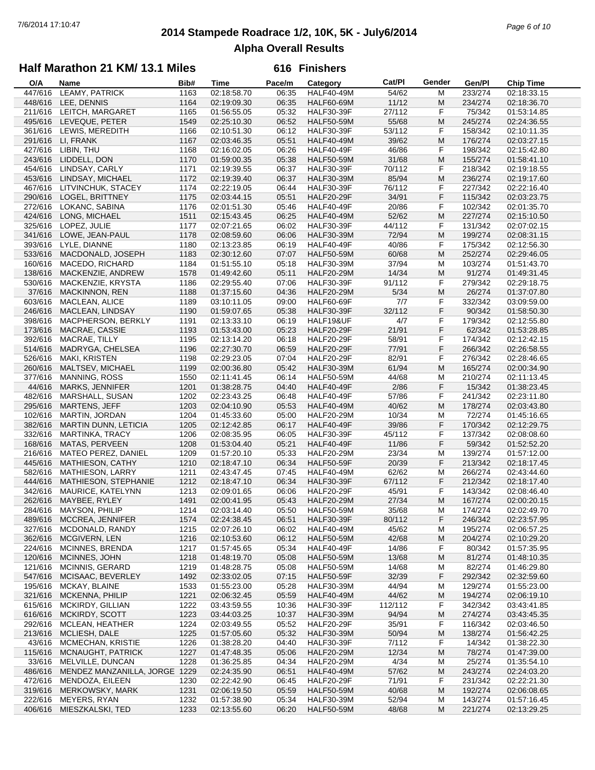## **2014 Stampede Roadrace 1/2, 10K, 5K - July6/2014** 7/6/2014 17:10:47 *Page 6 of 10* **Alpha Overall Results**

### **Half Marathon 21 KM/ 13.1 Miles**

| O/A     | Name                          | Bib# | Time        | Pace/m | Category          | Cat/PI  | Gender | Gen/Pl  | <b>Chip Time</b> |
|---------|-------------------------------|------|-------------|--------|-------------------|---------|--------|---------|------------------|
| 447/616 | LEAMY, PATRICK                | 1163 | 02:18:58.70 | 06:35  | <b>HALF40-49M</b> | 54/62   | М      | 233/274 | 02:18:33.15      |
| 448/616 | LEE, DENNIS                   | 1164 | 02:19:09.30 | 06:35  | <b>HALF60-69M</b> | 11/12   | M      | 234/274 | 02:18:36.70      |
|         | 211/616 LEITCH, MARGARET      | 1165 | 01:56:55.05 | 05:32  | <b>HALF30-39F</b> | 27/112  | F      | 75/342  | 01:53:14.85      |
| 495/616 | LEVEQUE, PETER                | 1549 | 02:25:10.30 | 06:52  | <b>HALF50-59M</b> | 55/68   | M      | 245/274 | 02:24:36.55      |
| 361/616 | LEWIS, MEREDITH               | 1166 | 02:10:51.30 | 06:12  | <b>HALF30-39F</b> | 53/112  | F      | 158/342 | 02:10:11.35      |
| 291/616 | LI, FRANK                     | 1167 | 02:03:46.35 | 05:51  | <b>HALF40-49M</b> | 39/62   | M      | 176/274 | 02:03:27.15      |
| 427/616 | LIBIN, THU                    | 1168 | 02:16:02.05 | 06:26  | HALF40-49F        | 46/86   | F      | 198/342 | 02:15:42.80      |
| 243/616 | LIDDELL, DON                  | 1170 | 01:59:00.35 | 05:38  | <b>HALF50-59M</b> | 31/68   | M      | 155/274 | 01:58:41.10      |
| 454/616 | LINDSAY, CARLY                | 1171 | 02:19:39.55 | 06:37  | <b>HALF30-39F</b> | 70/112  | F      | 218/342 | 02:19:18.55      |
| 453/616 | LINDSAY, MICHAEL              | 1172 | 02:19:39.40 | 06:37  | <b>HALF30-39M</b> | 85/94   | M      | 236/274 | 02:19:17.60      |
| 467/616 | LITVINCHUK, STACEY            | 1174 | 02:22:19.05 | 06:44  | <b>HALF30-39F</b> | 76/112  | F      | 227/342 | 02:22:16.40      |
|         |                               |      |             |        |                   |         |        |         |                  |
| 290/616 | LOGEL, BRITTNEY               | 1175 | 02:03:44.15 | 05:51  | <b>HALF20-29F</b> | 34/91   | F      | 115/342 | 02:03:23.75      |
| 272/616 | LOKANC, SABINA                | 1176 | 02:01:51.30 | 05:46  | HALF40-49F        | 20/86   | F      | 102/342 | 02:01:35.70      |
| 424/616 | LONG, MICHAEL                 | 1511 | 02:15:43.45 | 06:25  | <b>HALF40-49M</b> | 52/62   | M      | 227/274 | 02:15:10.50      |
| 325/616 | LOPEZ, JULIE                  | 1177 | 02:07:21.65 | 06:02  | <b>HALF30-39F</b> | 44/112  | F      | 131/342 | 02:07:02.15      |
| 341/616 | LOWE, JEAN-PAUL               | 1178 | 02:08:59.60 | 06:06  | <b>HALF30-39M</b> | 72/94   | M      | 199/274 | 02:08:31.15      |
| 393/616 | LYLE, DIANNE                  | 1180 | 02:13:23.85 | 06:19  | HALF40-49F        | 40/86   | F      | 175/342 | 02:12:56.30      |
| 533/616 | MACDONALD, JOSEPH             | 1183 | 02:30:12.60 | 07:07  | <b>HALF50-59M</b> | 60/68   | M      | 252/274 | 02:29:46.05      |
| 160/616 | MACEDO, RICHARD               | 1184 | 01:51:55.10 | 05:18  | <b>HALF30-39M</b> | 37/94   | M      | 103/274 | 01:51:43.70      |
| 138/616 | MACKENZIE, ANDREW             | 1578 | 01:49:42.60 | 05:11  | <b>HALF20-29M</b> | 14/34   | M      | 91/274  | 01:49:31.45      |
| 530/616 | MACKENZIE, KRYSTA             | 1186 | 02:29:55.40 | 07:06  | <b>HALF30-39F</b> | 91/112  | F      | 279/342 | 02:29:18.75      |
| 37/616  | <b>MACKINNON, REN</b>         | 1188 | 01:37:15.60 | 04:36  | <b>HALF20-29M</b> | 5/34    | M      | 26/274  | 01:37:07.80      |
| 603/616 | MACLEAN, ALICE                | 1189 | 03:10:11.05 | 09:00  | <b>HALF60-69F</b> | 7/7     | F      | 332/342 | 03:09:59.00      |
| 246/616 | MACLEAN, LINDSAY              | 1190 | 01:59:07.65 | 05:38  | <b>HALF30-39F</b> | 32/112  | F      | 90/342  | 01:58:50.30      |
| 398/616 | MACPHERSON, BERKLY            | 1191 | 02:13:33.10 | 06:19  | HALF19&UF         | 4/7     | F      | 179/342 | 02:12:55.80      |
| 173/616 | MACRAE, CASSIE                | 1193 | 01:53:43.00 | 05:23  | <b>HALF20-29F</b> | 21/91   | F      | 62/342  | 01:53:28.85      |
| 392/616 | MACRAE, TILLY                 | 1195 | 02:13:14.20 | 06:18  | <b>HALF20-29F</b> | 58/91   | F      | 174/342 | 02:12:42.15      |
| 514/616 | MADRYGA, CHELSEA              | 1196 | 02:27:30.70 | 06:59  | <b>HALF20-29F</b> | 77/91   | F      | 266/342 | 02:26:58.55      |
| 526/616 | MAKI, KRISTEN                 | 1198 | 02:29:23.05 | 07:04  | <b>HALF20-29F</b> | 82/91   | F      | 276/342 | 02:28:46.65      |
| 260/616 | MALTSEV, MICHAEL              | 1199 | 02:00:36.80 | 05:42  | <b>HALF30-39M</b> | 61/94   | M      | 165/274 | 02:00:34.90      |
|         |                               |      |             |        |                   |         |        |         |                  |
| 377/616 | <b>MANNING, ROSS</b>          | 1550 | 02:11:41.45 | 06:14  | <b>HALF50-59M</b> | 44/68   | M      | 210/274 | 02:11:13.45      |
| 44/616  | MARKS, JENNIFER               | 1201 | 01:38:28.75 | 04:40  | HALF40-49F        | 2/86    | F      | 15/342  | 01:38:23.45      |
| 482/616 | MARSHALL, SUSAN               | 1202 | 02:23:43.25 | 06:48  | <b>HALF40-49F</b> | 57/86   | F      | 241/342 | 02:23:11.80      |
| 295/616 | <b>MARTENS, JEFF</b>          | 1203 | 02:04:10.90 | 05:53  | <b>HALF40-49M</b> | 40/62   | M      | 178/274 | 02:03:43.80      |
| 102/616 | MARTIN, JORDAN                | 1204 | 01:45:33.60 | 05:00  | <b>HALF20-29M</b> | 10/34   | M      | 72/274  | 01:45:16.65      |
| 382/616 | <b>MARTIN DUNN, LETICIA</b>   | 1205 | 02:12:42.85 | 06:17  | <b>HALF40-49F</b> | 39/86   | F      | 170/342 | 02:12:29.75      |
| 332/616 | <b>MARTINKA, TRACY</b>        | 1206 | 02:08:35.95 | 06:05  | <b>HALF30-39F</b> | 45/112  | F      | 137/342 | 02:08:08.60      |
| 168/616 | MATAS, PERVEEN                | 1208 | 01:53:04.40 | 05:21  | <b>HALF40-49F</b> | 11/86   | F      | 59/342  | 01:52:52.20      |
| 216/616 | MATEO PEREZ, DANIEL           | 1209 | 01:57:20.10 | 05:33  | <b>HALF20-29M</b> | 23/34   | М      | 139/274 | 01:57:12.00      |
| 445/616 | <b>MATHIESON, CATHY</b>       | 1210 | 02:18:47.10 | 06:34  | <b>HALF50-59F</b> | 20/39   | F      | 213/342 | 02:18:17.45      |
| 582/616 | <b>MATHIESON, LARRY</b>       | 1211 | 02:43:47.45 | 07:45  | <b>HALF40-49M</b> | 62/62   | М      | 266/274 | 02:43:44.60      |
| 444/616 | MATHIESON, STEPHANIE          | 1212 | 02:18:47.10 | 06:34  | <b>HALF30-39F</b> | 67/112  | F      | 212/342 | 02:18:17.40      |
| 342/616 | MAURICE, KATELYNN             | 1213 | 02:09:01.65 | 06:06  | <b>HALF20-29F</b> | 45/91   | F      | 143/342 | 02:08:46.40      |
| 262/616 | MAYBEE, RYLEY                 | 1491 | 02:00:41.95 | 05:43  | <b>HALF20-29M</b> | 27/34   | M      | 167/274 | 02:00:20.15      |
| 284/616 | <b>MAYSON, PHILIP</b>         | 1214 | 02:03:14.40 | 05:50  | <b>HALF50-59M</b> | 35/68   | M      | 174/274 | 02:02:49.70      |
|         | 489/616 MCCREA, JENNIFER      | 1574 | 02:24:38.45 | 06:51  | <b>HALF30-39F</b> | 80/112  | F      | 246/342 | 02:23:57.95      |
| 327/616 | MCDONALD, RANDY               | 1215 | 02:07:26.10 | 06:02  | <b>HALF40-49M</b> | 45/62   | M      | 195/274 | 02:06:57.25      |
| 362/616 | MCGIVERN, LEN                 | 1216 | 02:10:53.60 | 06:12  | <b>HALF50-59M</b> | 42/68   | M      | 204/274 | 02:10:29.20      |
| 224/616 | <b>MCINNES, BRENDA</b>        | 1217 | 01:57:45.65 | 05:34  | HALF40-49F        | 14/86   | F      | 80/342  | 01:57:35.95      |
| 120/616 | MCINNES, JOHN                 | 1218 | 01:48:19.70 | 05:08  | <b>HALF50-59M</b> | 13/68   | M      | 81/274  | 01:48:10.35      |
| 121/616 | <b>MCINNIS, GERARD</b>        | 1219 | 01:48:28.75 | 05:08  | <b>HALF50-59M</b> | 14/68   | M      | 82/274  | 01:46:29.80      |
| 547/616 | MCISAAC, BEVERLEY             | 1492 | 02:33:02.05 | 07:15  | <b>HALF50-59F</b> | 32/39   | F      | 292/342 | 02:32:59.60      |
| 195/616 | MCKAY, BLAINE                 | 1533 | 01:55:23.00 | 05:28  | <b>HALF30-39M</b> | 44/94   | м      | 129/274 | 01:55:23.00      |
| 321/616 | MCKENNA, PHILIP               | 1221 | 02:06:32.45 | 05:59  | <b>HALF40-49M</b> | 44/62   | M      | 194/274 | 02:06:19.10      |
| 615/616 | MCKIRDY, GILLIAN              |      | 03:43:59.55 |        | <b>HALF30-39F</b> | 112/112 |        | 342/342 | 03:43:41.85      |
|         | MCKIRDY, SCOTT                | 1222 |             | 10:36  |                   |         | F      |         |                  |
| 616/616 |                               | 1223 | 03:44:03.25 | 10:37  | <b>HALF30-39M</b> | 94/94   | M      | 274/274 | 03:43:45.35      |
| 292/616 | MCLEAN, HEATHER               | 1224 | 02:03:49.55 | 05:52  | <b>HALF20-29F</b> | 35/91   | F      | 116/342 | 02:03:46.50      |
| 213/616 | MCLIESH, DALE                 | 1225 | 01:57:05.60 | 05:32  | <b>HALF30-39M</b> | 50/94   | M      | 138/274 | 01:56:42.25      |
| 43/616  | MCMECHAN, KRISTIE             | 1226 | 01:38:28.20 | 04:40  | <b>HALF30-39F</b> | 7/112   | F      | 14/342  | 01:38:22.30      |
| 115/616 | MCNAUGHT, PATRICK             | 1227 | 01:47:48.35 | 05:06  | <b>HALF20-29M</b> | 12/34   | M      | 78/274  | 01:47:39.00      |
| 33/616  | MELVILLE, DUNCAN              | 1228 | 01:36:25.85 | 04:34  | <b>HALF20-29M</b> | 4/34    | м      | 25/274  | 01:35:54.10      |
| 486/616 | MENDEZ MANZANILLA, JORGE 1229 |      | 02:24:35.90 | 06:51  | <b>HALF40-49M</b> | 57/62   | M      | 243/274 | 02:24:03.20      |
| 472/616 | MENDOZA, EILEEN               | 1230 | 02:22:42.90 | 06:45  | <b>HALF20-29F</b> | 71/91   | F      | 231/342 | 02:22:21.30      |
| 319/616 | MERKOWSKY, MARK               | 1231 | 02:06:19.50 | 05:59  | <b>HALF50-59M</b> | 40/68   | M      | 192/274 | 02:06:08.65      |
| 222/616 | MEYERS, RYAN                  | 1232 | 01:57:38.90 | 05:34  | <b>HALF30-39M</b> | 52/94   | м      | 143/274 | 01:57:16.45      |
| 406/616 | MIESZKALSKI, TED              | 1233 | 02:13:55.60 | 06:20  | <b>HALF50-59M</b> | 48/68   | M      | 221/274 | 02:13:29.25      |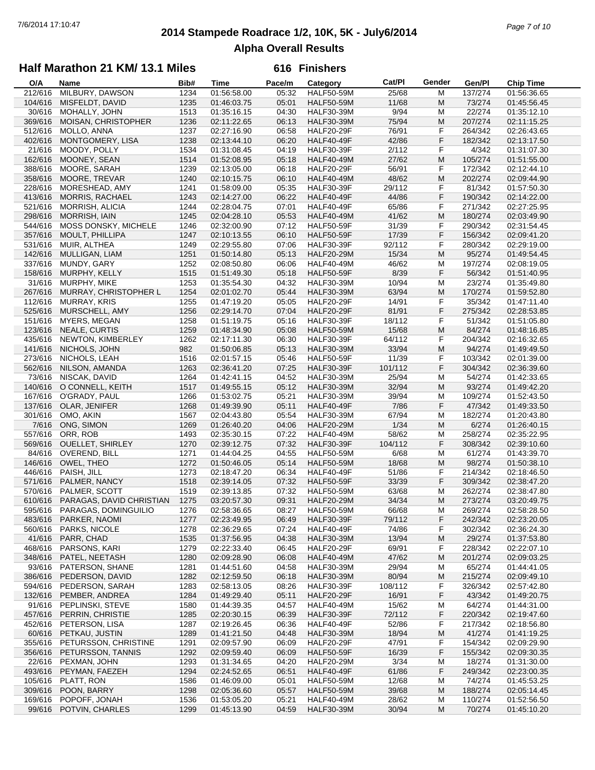## **2014 Stampede Roadrace 1/2, 10K, 5K - July6/2014** 7/6/2014 17:10:47 *Page 7 of 10* **Alpha Overall Results**

### **Half Marathon 21 KM/ 13.1 Miles**

| O/A     | Name                         | Bib# | Time        | Pace/m | Category          | Cat/Pl  | Gender | Gen/Pl  | <b>Chip Time</b> |
|---------|------------------------------|------|-------------|--------|-------------------|---------|--------|---------|------------------|
| 212/616 | MILBURY, DAWSON              | 1234 | 01:56:58.00 | 05:32  | <b>HALF50-59M</b> | 25/68   | м      | 137/274 | 01:56:36.65      |
| 104/616 | MISFELDT, DAVID              | 1235 | 01:46:03.75 | 05:01  | <b>HALF50-59M</b> | 11/68   | М      | 73/274  | 01:45:56.45      |
| 30/616  | MOHALLY, JOHN                | 1513 | 01:35:16.15 | 04:30  | <b>HALF30-39M</b> | 9/94    | M      | 22/274  | 01:35:12.10      |
| 369/616 | MOISAN, CHRISTOPHER          | 1236 | 02:11:22.65 | 06:13  | <b>HALF30-39M</b> | 75/94   | M      | 207/274 | 02:11:15.25      |
| 512/616 | MOLLO, ANNA                  | 1237 | 02:27:16.90 | 06:58  | <b>HALF20-29F</b> | 76/91   | F      | 264/342 | 02:26:43.65      |
|         |                              |      |             |        |                   |         | F      |         |                  |
| 402/616 | MONTGOMERY, LISA             | 1238 | 02:13:44.10 | 06:20  | <b>HALF40-49F</b> | 42/86   |        | 182/342 | 02:13:17.50      |
| 21/616  | MOODY, POLLY                 | 1534 | 01:31:08.45 | 04:19  | <b>HALF30-39F</b> | 2/112   | F      | 4/342   | 01:31:07.30      |
| 162/616 | MOONEY, SEAN                 | 1514 | 01:52:08.95 | 05:18  | <b>HALF40-49M</b> | 27/62   | M      | 105/274 | 01:51:55.00      |
| 388/616 | MOORE, SARAH                 | 1239 | 02:13:05.00 | 06:18  | <b>HALF20-29F</b> | 56/91   | F      | 172/342 | 02:12:44.10      |
| 358/616 | MOORE, TREVAR                | 1240 | 02:10:15.75 | 06:10  | <b>HALF40-49M</b> | 48/62   | M      | 202/274 | 02:09:44.90      |
| 228/616 | MORESHEAD, AMY               | 1241 | 01:58:09.00 | 05:35  | <b>HALF30-39F</b> | 29/112  | F      | 81/342  | 01:57:50.30      |
| 413/616 | <b>MORRIS, RACHAEL</b>       | 1243 | 02:14:27.00 | 06:22  | <b>HALF40-49F</b> | 44/86   | F      | 190/342 | 02:14:22.00      |
| 521/616 | <b>MORRISH, ALICIA</b>       | 1244 | 02:28:04.75 | 07:01  | <b>HALF40-49F</b> | 65/86   | F      | 271/342 | 02:27:25.95      |
| 298/616 | <b>MORRISH, IAIN</b>         | 1245 | 02:04:28.10 | 05:53  | <b>HALF40-49M</b> | 41/62   | M      | 180/274 | 02:03:49.90      |
| 544/616 | MOSS DONSKY, MICHELE         | 1246 | 02:32:00.90 | 07:12  | <b>HALF50-59F</b> | 31/39   | F      | 290/342 | 02:31:54.45      |
|         |                              |      |             |        |                   |         | F      |         |                  |
| 357/616 | MOULT, PHILLIPA              | 1247 | 02:10:13.55 | 06:10  | <b>HALF50-59F</b> | 17/39   |        | 156/342 | 02:09:41.20      |
| 531/616 | MUIR, ALTHEA                 | 1249 | 02:29:55.80 | 07:06  | <b>HALF30-39F</b> | 92/112  | F      | 280/342 | 02:29:19.00      |
| 142/616 | MULLIGAN, LIAM               | 1251 | 01:50:14.80 | 05:13  | <b>HALF20-29M</b> | 15/34   | M      | 95/274  | 01:49:54.45      |
| 337/616 | MUNDY, GARY                  | 1252 | 02:08:50.80 | 06:06  | <b>HALF40-49M</b> | 46/62   | M      | 197/274 | 02:08:19.05      |
| 158/616 | MURPHY, KELLY                | 1515 | 01:51:49.30 | 05:18  | <b>HALF50-59F</b> | 8/39    | F      | 56/342  | 01:51:40.95      |
| 31/616  | MURPHY, MIKE                 | 1253 | 01:35:54.30 | 04:32  | <b>HALF30-39M</b> | 10/94   | M      | 23/274  | 01:35:49.80      |
| 267/616 | MURRAY, CHRISTOPHER L        | 1254 | 02:01:02.70 | 05:44  | <b>HALF30-39M</b> | 63/94   | M      | 170/274 | 01:59:52.80      |
| 112/616 | <b>MURRAY, KRIS</b>          | 1255 | 01:47:19.20 | 05:05  | <b>HALF20-29F</b> | 14/91   | F      | 35/342  | 01:47:11.40      |
| 525/616 | MURSCHELL, AMY               | 1256 | 02:29:14.70 | 07:04  | <b>HALF20-29F</b> | 81/91   | F      | 275/342 | 02:28:53.85      |
| 151/616 | MYERS, MEGAN                 | 1258 | 01:51:19.75 | 05:16  | <b>HALF30-39F</b> | 18/112  | F      | 51/342  | 01:51:05.80      |
| 123/616 | NEALE, CURTIS                | 1259 | 01:48:34.90 | 05:08  | <b>HALF50-59M</b> | 15/68   | M      | 84/274  |                  |
|         |                              |      |             |        |                   |         |        |         | 01:48:16.85      |
| 435/616 | NEWTON, KIMBERLEY            | 1262 | 02:17:11.30 | 06:30  | <b>HALF30-39F</b> | 64/112  | F      | 204/342 | 02:16:32.65      |
| 141/616 | NICHOLS, JOHN                | 982  | 01:50:06.85 | 05:13  | <b>HALF30-39M</b> | 33/94   | M      | 94/274  | 01:49:49.50      |
| 273/616 | NICHOLS, LEAH                | 1516 | 02:01:57.15 | 05:46  | <b>HALF50-59F</b> | 11/39   | F      | 103/342 | 02:01:39.00      |
| 562/616 | NILSON, AMANDA               | 1263 | 02:36:41.20 | 07:25  | <b>HALF30-39F</b> | 101/112 | F      | 304/342 | 02:36:39.60      |
| 73/616  | NISCAK, DAVID                | 1264 | 01:42:41.15 | 04:52  | <b>HALF30-39M</b> | 25/94   | M      | 54/274  | 01:42:33.65      |
| 140/616 | O CONNELL, KEITH             | 1517 | 01:49:55.15 | 05:12  | <b>HALF30-39M</b> | 32/94   | M      | 93/274  | 01:49:42.20      |
| 167/616 | O'GRADY, PAUL                | 1266 | 01:53:02.75 | 05:21  | <b>HALF30-39M</b> | 39/94   | M      | 109/274 | 01:52:43.50      |
| 137/616 | OLAR, JENIFER                | 1268 | 01:49:39.90 | 05:11  | <b>HALF40-49F</b> | 7/86    | F      | 47/342  | 01:49:33.50      |
| 301/616 | OMO, AKIN                    | 1567 | 02:04:43.80 | 05:54  | <b>HALF30-39M</b> | 67/94   | M      | 182/274 | 01:20:43.80      |
| 7/616   | ONG, SIMON                   | 1269 | 01:26:40.20 | 04:06  | <b>HALF20-29M</b> | 1/34    | M      | 6/274   | 01:26:40.15      |
| 557/616 | ORR, ROB                     | 1493 | 02:35:30.15 | 07:22  | <b>HALF40-49M</b> | 58/62   | M      | 258/274 | 02:35:22.95      |
| 569/616 | <b>OUELLET, SHIRLEY</b>      | 1270 | 02:39:12.75 | 07:32  | <b>HALF30-39F</b> | 104/112 | F      | 308/342 | 02:39:10.60      |
|         |                              |      |             |        |                   |         |        |         |                  |
| 84/616  | OVEREND, BILL                | 1271 | 01:44:04.25 | 04:55  | <b>HALF50-59M</b> | 6/68    | M      | 61/274  | 01:43:39.70      |
| 146/616 | OWEL, THEO                   | 1272 | 01:50:46.05 | 05:14  | <b>HALF50-59M</b> | 18/68   | M      | 98/274  | 01:50:38.10      |
| 446/616 | PAISH, JILL                  | 1273 | 02:18:47.20 | 06:34  | <b>HALF40-49F</b> | 51/86   | F      | 214/342 | 02:18:46.50      |
| 571/616 | PALMER, NANCY                | 1518 | 02:39:14.05 | 07:32  | <b>HALF50-59F</b> | 33/39   | F      | 309/342 | 02:38:47.20      |
| 570/616 | PALMER, SCOTT                | 1519 | 02:39:13.85 | 07:32  | <b>HALF50-59M</b> | 63/68   | M      | 262/274 | 02:38:47.80      |
| 610/616 | PARAGAS, DAVID CHRISTIAN     | 1275 | 03:20:57.30 | 09:31  | <b>HALF20-29M</b> | 34/34   | M      | 273/274 | 03:20:49.75      |
|         | 595/616 PARAGAS, DOMINGUILIO | 1276 | 02:58:36.65 | 08:27  | <b>HALF50-59M</b> | 66/68   | M      | 269/274 | 02:58:28.50      |
| 483/616 | PARKER, NAOMI                | 1277 | 02:23:49.95 | 06:49  | <b>HALF30-39F</b> | 79/112  | F      | 242/342 | 02:23:20.05      |
| 560/616 | PARKS, NICOLE                | 1278 | 02:36:29.65 | 07:24  | HALF40-49F        | 74/86   | F      | 302/342 | 02:36:24.30      |
| 41/616  | PARR, CHAD                   | 1535 | 01:37:56.95 | 04:38  | <b>HALF30-39M</b> | 13/94   | M      | 29/274  | 01:37:53.80      |
| 468/616 | PARSONS, KARI                | 1279 | 02:22:33.40 | 06:45  |                   | 69/91   | F      | 228/342 | 02:22:07.10      |
|         |                              |      |             |        | HALF20-29F        |         |        |         |                  |
| 348/616 | PATEL, NEETASH               | 1280 | 02:09:28.90 | 06:08  | <b>HALF40-49M</b> | 47/62   | M      | 201/274 | 02:09:03.25      |
| 93/616  | PATERSON, SHANE              | 1281 | 01:44:51.60 | 04:58  | <b>HALF30-39M</b> | 29/94   | M      | 65/274  | 01:44:41.05      |
| 386/616 | PEDERSON, DAVID              | 1282 | 02:12:59.50 | 06:18  | <b>HALF30-39M</b> | 80/94   | M      | 215/274 | 02:09:49.10      |
| 594/616 | PEDERSON, SARAH              | 1283 | 02:58:13.05 | 08:26  | <b>HALF30-39F</b> | 108/112 | F      | 326/342 | 02:57:42.80      |
| 132/616 | PEMBER, ANDREA               | 1284 | 01:49:29.40 | 05:11  | <b>HALF20-29F</b> | 16/91   | F      | 43/342  | 01:49:20.75      |
| 91/616  | PEPLINSKI, STEVE             | 1580 | 01:44:39.35 | 04:57  | <b>HALF40-49M</b> | 15/62   | M      | 64/274  | 01:44:31.00      |
| 457/616 | PERRIN, CHRISTIE             | 1285 | 02:20:30.15 | 06:39  | <b>HALF30-39F</b> | 72/112  | F      | 220/342 | 02:19:47.60      |
| 452/616 | PETERSON, LISA               | 1287 | 02:19:26.45 | 06:36  | HALF40-49F        | 52/86   | F      | 217/342 | 02:18:56.80      |
| 60/616  | PETKAU, JUSTIN               | 1289 | 01:41:21.50 | 04:48  | <b>HALF30-39M</b> | 18/94   | M      | 41/274  | 01:41:19.25      |
| 355/616 | PETURSSON, CHRISTINE         | 1291 | 02:09:57.90 |        | <b>HALF20-29F</b> | 47/91   | F      | 154/342 |                  |
|         |                              |      |             | 06:09  |                   |         |        |         | 02:09:29.90      |
| 356/616 | PETURSSON, TANNIS            | 1292 | 02:09:59.40 | 06:09  | <b>HALF50-59F</b> | 16/39   | F      | 155/342 | 02:09:30.35      |
| 22/616  | PEXMAN, JOHN                 | 1293 | 01:31:34.65 | 04:20  | <b>HALF20-29M</b> | 3/34    | M      | 18/274  | 01:31:30.00      |
| 493/616 | PEYMAN, FAEZEH               | 1294 | 02:24:52.65 | 06:51  | <b>HALF40-49F</b> | 61/86   | F      | 249/342 | 02:23:00.35      |
| 105/616 | PLATT, RON                   | 1586 | 01:46:09.00 | 05:01  | <b>HALF50-59M</b> | 12/68   | M      | 74/274  | 01:45:53.25      |
| 309/616 | POON, BARRY                  | 1298 | 02:05:36.60 | 05:57  | <b>HALF50-59M</b> | 39/68   | M      | 188/274 | 02:05:14.45      |
| 169/616 | POPOFF, JONAH                | 1536 | 01:53:05.20 | 05:21  | HALF40-49M        | 28/62   | M      | 110/274 | 01:52:56.50      |
| 99/616  | POTVIN, CHARLES              | 1299 | 01:45:13.90 | 04:59  | HALF30-39M        | 30/94   | M      | 70/274  | 01:45:10.20      |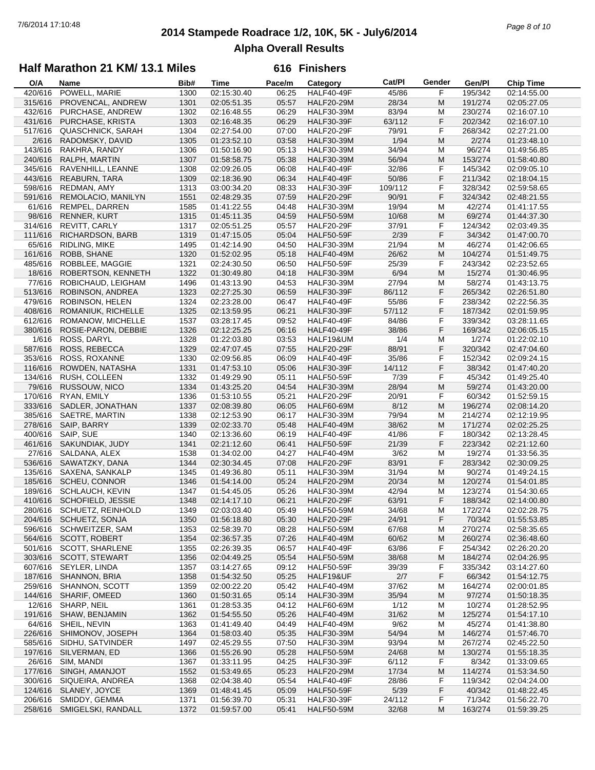## **2014 Stampede Roadrace 1/2, 10K, 5K - July6/2014** 7/6/2014 17:10:48 *Page 8 of 10* **Alpha Overall Results**

### **Half Marathon 21 KM/ 13.1 Miles**

| O/A     | Name                     | Bib# | <b>Time</b> | Pace/m | Category          | Cat/PI  | Gender | Gen/Pl  | <b>Chip Time</b> |
|---------|--------------------------|------|-------------|--------|-------------------|---------|--------|---------|------------------|
| 420/616 | POWELL, MARIE            | 1300 | 02:15:30.40 | 06:25  | HALF40-49F        | 45/86   | F      | 195/342 | 02:14:55.00      |
| 315/616 | PROVENCAL, ANDREW        | 1301 | 02:05:51.35 | 05:57  | <b>HALF20-29M</b> | 28/34   | M      | 191/274 | 02:05:27.05      |
| 432/616 | PURCHASE, ANDREW         | 1302 | 02:16:48.55 | 06:29  | <b>HALF30-39M</b> | 83/94   | M      | 230/274 | 02:16:07.10      |
| 431/616 | PURCHASE, KRISTA         | 1303 | 02:16:48.35 | 06:29  | <b>HALF30-39F</b> | 63/112  | F      | 202/342 | 02:16:07.10      |
|         |                          |      |             |        |                   |         |        |         |                  |
| 517/616 | <b>QUASCHNICK, SARAH</b> | 1304 | 02:27:54.00 | 07:00  | <b>HALF20-29F</b> | 79/91   | F      | 268/342 | 02:27:21.00      |
| 2/616   | RADOMSKY, DAVID          | 1305 | 01:23:52.10 | 03:58  | <b>HALF30-39M</b> | 1/94    | M      | 2/274   | 01:23:48.10      |
| 143/616 | RAKHRA, RANDY            | 1306 | 01:50:16.90 | 05:13  | <b>HALF30-39M</b> | 34/94   | M      | 96/274  | 01:49:56.85      |
| 240/616 | RALPH, MARTIN            | 1307 | 01:58:58.75 | 05:38  | <b>HALF30-39M</b> | 56/94   | M      | 153/274 | 01:58:40.80      |
| 345/616 | RAVENHILL, LEANNE        | 1308 | 02:09:26.05 | 06:08  | <b>HALF40-49F</b> | 32/86   | F      | 145/342 | 02:09:05.10      |
| 443/616 | <b>REABURN, TARA</b>     | 1309 | 02:18:36.90 | 06:34  | <b>HALF40-49F</b> | 50/86   | F      | 211/342 | 02:18:04.15      |
| 598/616 | REDMAN, AMY              | 1313 | 03:00:34.20 | 08:33  | <b>HALF30-39F</b> | 109/112 | F      | 328/342 | 02:59:58.65      |
| 591/616 | REMOLACIO, MANILYN       | 1551 | 02:48:29.35 | 07:59  | <b>HALF20-29F</b> | 90/91   | F      | 324/342 | 02:48:21.55      |
| 61/616  | REMPEL, DARREN           | 1585 | 01:41:22.55 | 04:48  | <b>HALF30-39M</b> | 19/94   | M      | 42/274  |                  |
|         |                          |      |             |        |                   |         |        |         | 01:41:17.55      |
| 98/616  | <b>RENNER, KURT</b>      | 1315 | 01:45:11.35 | 04:59  | <b>HALF50-59M</b> | 10/68   | M      | 69/274  | 01:44:37.30      |
| 314/616 | REVITT, CARLY            | 1317 | 02:05:51.25 | 05:57  | <b>HALF20-29F</b> | 37/91   | F      | 124/342 | 02:03:49.35      |
| 111/616 | RICHARDSON, BARB         | 1319 | 01:47:15.05 | 05:04  | <b>HALF50-59F</b> | 2/39    | F      | 34/342  | 01:47:00.70      |
| 65/616  | RIDLING, MIKE            | 1495 | 01:42:14.90 | 04:50  | <b>HALF30-39M</b> | 21/94   | M      | 46/274  | 01:42:06.65      |
| 161/616 | ROBB, SHANE              | 1320 | 01:52:02.95 | 05:18  | <b>HALF40-49M</b> | 26/62   | M      | 104/274 | 01:51:49.75      |
| 485/616 | ROBBLEE, MAGGIE          | 1321 | 02:24:30.50 | 06:50  | <b>HALF50-59F</b> | 25/39   | F      | 243/342 | 02:23:52.65      |
| 18/616  | ROBERTSON, KENNETH       | 1322 | 01:30:49.80 | 04:18  | <b>HALF30-39M</b> | 6/94    | M      | 15/274  | 01:30:46.95      |
| 77/616  | ROBICHAUD, LEIGHAM       | 1496 | 01:43:13.90 | 04:53  | <b>HALF30-39M</b> | 27/94   | M      | 58/274  | 01:43:13.75      |
| 513/616 | ROBINSON, ANDREA         | 1323 | 02:27:25.30 | 06:59  | <b>HALF30-39F</b> | 86/112  | F      | 265/342 | 02:26:51.80      |
|         | ROBINSON, HELEN          |      |             |        |                   |         |        |         |                  |
| 479/616 |                          | 1324 | 02:23:28.00 | 06:47  | HALF40-49F        | 55/86   | F      | 238/342 | 02:22:56.35      |
| 408/616 | ROMANIUK, RICHELLE       | 1325 | 02:13:59.95 | 06:21  | <b>HALF30-39F</b> | 57/112  | F      | 187/342 | 02:01:59.95      |
| 612/616 | ROMANOW, MICHELLE        | 1537 | 03:28:17.45 | 09:52  | <b>HALF40-49F</b> | 84/86   | F      | 339/342 | 03:28:11.65      |
| 380/616 | ROSIE-PARON, DEBBIE      | 1326 | 02:12:25.25 | 06:16  | <b>HALF40-49F</b> | 38/86   | F      | 169/342 | 02:06:05.15      |
| 1/616   | ROSS, DARYL              | 1328 | 01:22:03.80 | 03:53  | HALF19&UM         | 1/4     | M      | 1/274   | 01:22:02.10      |
| 587/616 | <b>ROSS, REBECCA</b>     | 1329 | 02:47:07.45 | 07:55  | <b>HALF20-29F</b> | 88/91   | F      | 320/342 | 02:47:04.60      |
| 353/616 | ROSS, ROXANNE            | 1330 | 02:09:56.85 | 06:09  | <b>HALF40-49F</b> | 35/86   | F      | 152/342 | 02:09:24.15      |
| 116/616 | ROWDEN, NATASHA          | 1331 | 01:47:53.10 | 05:06  | <b>HALF30-39F</b> | 14/112  | F      | 38/342  | 01:47:40.20      |
| 134/616 | RUSH, COLLEEN            | 1332 | 01:49:29.90 | 05:11  | <b>HALF50-59F</b> | 7/39    | F      | 45/342  | 01:49:25.40      |
| 79/616  | RUSSOUW, NICO            | 1334 | 01:43:25.20 | 04:54  | <b>HALF30-39M</b> | 28/94   | M      | 59/274  | 01:43:20.00      |
| 170/616 | RYAN, EMILY              | 1336 | 01:53:10.55 | 05:21  | <b>HALF20-29F</b> | 20/91   | F      | 60/342  |                  |
|         |                          |      |             |        |                   |         |        |         | 01:52:59.15      |
| 333/616 | SADLER, JONATHAN         | 1337 | 02:08:39.80 | 06:05  | <b>HALF60-69M</b> | 8/12    | M      | 196/274 | 02:08:14.20      |
| 385/616 | SAETRE, MARTIN           | 1338 | 02:12:53.90 | 06:17  | <b>HALF30-39M</b> | 79/94   | M      | 214/274 | 02:12:19.95      |
| 278/616 | SAIP, BARRY              | 1339 | 02:02:33.70 | 05:48  | <b>HALF40-49M</b> | 38/62   | M      | 171/274 | 02:02:25.25      |
| 400/616 | SAIP, SUE                | 1340 | 02:13:36.60 | 06:19  | <b>HALF40-49F</b> | 41/86   | F      | 180/342 | 02:13:28.45      |
| 461/616 | SAKUNDIAK, JUDY          | 1341 | 02:21:12.60 | 06:41  | <b>HALF50-59F</b> | 21/39   | F      | 223/342 | 02:21:12.60      |
| 27/616  | SALDANA, ALEX            | 1538 | 01:34:02.00 | 04:27  | <b>HALF40-49M</b> | 3/62    | M      | 19/274  | 01:33:56.35      |
| 536/616 | SAWATZKY, DANA           | 1344 | 02:30:34.45 | 07:08  | <b>HALF20-29F</b> | 83/91   | F      | 283/342 | 02:30:09.25      |
| 135/616 | SAXENA, SANKALP          | 1345 | 01:49:36.80 | 05:11  | <b>HALF30-39M</b> | 31/94   | M      | 90/274  | 01:49:24.15      |
| 185/616 | <b>SCHEU, CONNOR</b>     | 1346 | 01:54:14.00 | 05:24  | <b>HALF20-29M</b> | 20/34   | M      | 120/274 | 01:54:01.85      |
| 189/616 | <b>SCHLAUCH, KEVIN</b>   | 1347 | 01:54:45.05 | 05:26  | <b>HALF30-39M</b> | 42/94   | M      | 123/274 | 01:54:30.65      |
| 410/616 | SCHOFIELD, JESSIE        | 1348 | 02:14:17.10 | 06:21  | <b>HALF20-29F</b> | 63/91   | F      | 188/342 | 02:14:00.80      |
| 280/616 | SCHUETZ, REINHOLD        | 1349 | 02:03:03.40 | 05:49  | <b>HALF50-59M</b> | 34/68   | M      | 172/274 | 02:02:28.75      |
|         | SCHUETZ, SONJA           |      |             |        |                   |         |        |         | 01:55:53.85      |
| 204/616 |                          | 1350 | 01:56:18.80 | 05:30  | <b>HALF20-29F</b> | 24/91   | F      | 70/342  |                  |
| 596/616 | SCHWEITZER, SAM          | 1353 | 02:58:39.70 | 08:28  | <b>HALF50-59M</b> | 67/68   | M      | 270/274 | 02:58:35.65      |
| 564/616 | <b>SCOTT, ROBERT</b>     | 1354 | 02:36:57.35 | 07:26  | <b>HALF40-49M</b> | 60/62   | M      | 260/274 | 02:36:48.60      |
| 501/616 | SCOTT, SHARLENE          | 1355 | 02:26:39.35 | 06:57  | <b>HALF40-49F</b> | 63/86   | F      | 254/342 | 02:26:20.20      |
| 303/616 | <b>SCOTT, STEWART</b>    | 1356 | 02:04:49.25 | 05:54  | <b>HALF50-59M</b> | 38/68   | M      | 184/274 | 02:04:26.95      |
| 607/616 | SEYLER, LINDA            | 1357 | 03:14:27.65 | 09:12  | <b>HALF50-59F</b> | 39/39   | F      | 335/342 | 03:14:27.60      |
| 187/616 | SHANNON, BRIA            | 1358 | 01:54:32.50 | 05:25  | HALF19&UF         | 2/7     | F      | 66/342  | 01:54:12.75      |
| 259/616 | <b>SHANNON, SCOTT</b>    | 1359 | 02:00:22.20 | 05:42  | <b>HALF40-49M</b> | 37/62   | м      | 164/274 | 02:00:01.85      |
| 144/616 | SHARIF, OMEED            | 1360 | 01:50:31.65 | 05:14  | <b>HALF30-39M</b> | 35/94   | M      | 97/274  | 01:50:18.35      |
| 12/616  | SHARP, NEIL              | 1361 | 01:28:53.35 | 04:12  | <b>HALF60-69M</b> | 1/12    | м      | 10/274  | 01:28:52.95      |
| 191/616 | SHAW, BENJAMIN           | 1362 | 01:54:55.50 | 05:26  | <b>HALF40-49M</b> | 31/62   | M      | 125/274 | 01:54:17.10      |
|         |                          |      |             |        |                   |         |        |         |                  |
| 64/616  | SHEIL, NEVIN             | 1363 | 01:41:49.40 | 04:49  | <b>HALF40-49M</b> | 9/62    | м      | 45/274  | 01:41:38.80      |
| 226/616 | SHIMONOV, JOSEPH         | 1364 | 01:58:03.40 | 05:35  | <b>HALF30-39M</b> | 54/94   | M      | 146/274 | 01:57:46.70      |
| 585/616 | SIDHU, SATVINDER         | 1497 | 02:45:29.55 | 07:50  | <b>HALF30-39M</b> | 93/94   | м      | 267/274 | 02:45:22.50      |
| 197/616 | SILVERMAN, ED            | 1366 | 01:55:26.90 | 05:28  | <b>HALF50-59M</b> | 24/68   | M      | 130/274 | 01:55:18.35      |
| 26/616  | SIM, MANDI               | 1367 | 01:33:11.95 | 04:25  | <b>HALF30-39F</b> | 6/112   | F      | 8/342   | 01:33:09.65      |
| 177/616 | SINGH, AMANJOT           | 1552 | 01:53:49.65 | 05:23  | <b>HALF20-29M</b> | 17/34   | M      | 114/274 | 01:53:34.50      |
| 300/616 | SIQUEIRA, ANDREA         | 1368 | 02:04:38.40 | 05:54  | <b>HALF40-49F</b> | 28/86   | F      | 119/342 | 02:04:24.00      |
| 124/616 | SLANEY, JOYCE            | 1369 | 01:48:41.45 | 05:09  | <b>HALF50-59F</b> | 5/39    | F      | 40/342  | 01:48:22.45      |
| 206/616 | SMIDDY, GEMMA            | 1371 | 01:56:39.70 | 05:31  | <b>HALF30-39F</b> | 24/112  | F      | 71/342  | 01:56:22.70      |
| 258/616 | SMIGELSKI, RANDALL       | 1372 | 01:59:57.00 | 05:41  | <b>HALF50-59M</b> | 32/68   | M      | 163/274 | 01:59:39.25      |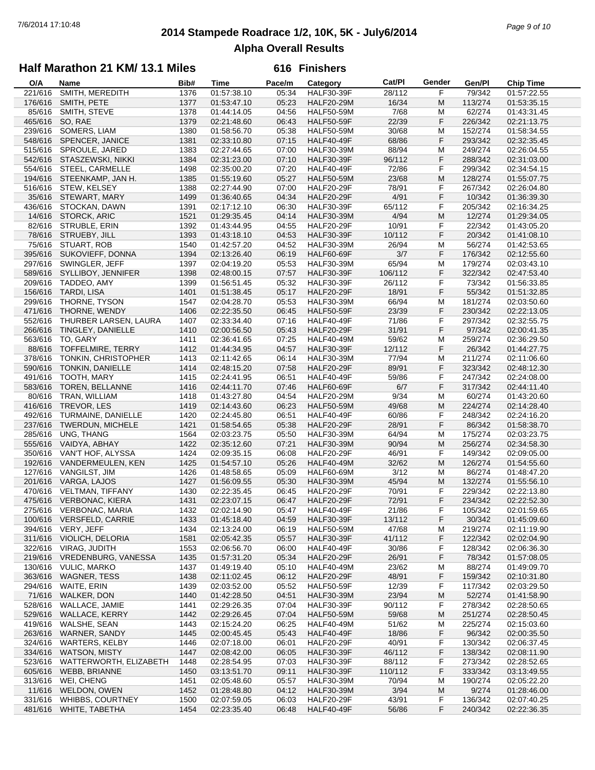## **2014 Stampede Roadrace 1/2, 10K, 5K - July6/2014** 7/6/2014 17:10:48 *Page 9 of 10* **Alpha Overall Results**

### **Half Marathon 21 KM/ 13.1 Miles**

| O/A     | Name                     | Bib# | <b>Time</b> | Pace/m | Category          | Cat/PI  | Gender | Gen/Pl  | <b>Chip Time</b> |
|---------|--------------------------|------|-------------|--------|-------------------|---------|--------|---------|------------------|
| 221/616 | SMITH, MEREDITH          | 1376 | 01:57:38.10 | 05:34  | <b>HALF30-39F</b> | 28/112  | F      | 79/342  | 01:57:22.55      |
| 176/616 | SMITH, PETE              | 1377 | 01:53:47.10 | 05:23  | <b>HALF20-29M</b> | 16/34   | M      | 113/274 | 01:53:35.15      |
| 85/616  | SMITH, STEVE             | 1378 | 01:44:14.05 | 04:56  | <b>HALF50-59M</b> | 7/68    | M      | 62/274  | 01:43:31.45      |
| 465/616 | SO, RAE                  | 1379 | 02:21:48.60 | 06:43  | <b>HALF50-59F</b> | 22/39   | F      | 226/342 | 02:21:13.75      |
| 239/616 | SOMERS, LIAM             | 1380 | 01:58:56.70 | 05:38  | <b>HALF50-59M</b> | 30/68   | М      | 152/274 | 01:58:34.55      |
|         |                          |      |             |        |                   |         |        |         |                  |
| 548/616 | SPENCER, JANICE          | 1381 | 02:33:10.80 | 07:15  | <b>HALF40-49F</b> | 68/86   | F      | 293/342 | 02:32:35.45      |
| 515/616 | SPROULE, JARED           | 1383 | 02:27:44.65 | 07:00  | <b>HALF30-39M</b> | 88/94   | M      | 249/274 | 02:26:04.55      |
| 542/616 | STASZEWSKI, NIKKI        | 1384 | 02:31:23.00 | 07:10  | <b>HALF30-39F</b> | 96/112  | F      | 288/342 | 02:31:03.00      |
| 554/616 | STEEL, CARMELLE          | 1498 | 02:35:00.20 | 07:20  | <b>HALF40-49F</b> | 72/86   | F      | 299/342 | 02:34:54.15      |
| 194/616 | STEENKAMP, JAN H.        | 1385 | 01:55:19.60 | 05:27  | <b>HALF50-59M</b> | 23/68   | M      | 128/274 | 01:55:07.75      |
| 516/616 | STEW, KELSEY             | 1388 | 02:27:44.90 | 07:00  | <b>HALF20-29F</b> | 78/91   | F      | 267/342 | 02:26:04.80      |
| 35/616  | STEWART, MARY            | 1499 | 01:36:40.65 | 04:34  | <b>HALF20-29F</b> | 4/91    | F      | 10/342  | 01:36:39.30      |
| 436/616 | STOCKAN, DAWN            | 1391 | 02:17:12.10 | 06:30  | <b>HALF30-39F</b> | 65/112  | F      | 205/342 | 02:16:34.25      |
| 14/616  | <b>STORCK, ARIC</b>      | 1521 | 01:29:35.45 | 04:14  | <b>HALF30-39M</b> | 4/94    | M      | 12/274  | 01:29:34.05      |
|         |                          |      |             |        |                   |         |        |         |                  |
| 82/616  | STRUBLE, ERIN            | 1392 | 01:43:44.95 | 04:55  | <b>HALF20-29F</b> | 10/91   | F      | 22/342  | 01:43:05.20      |
| 78/616  | STRUEBY, JILL            | 1393 | 01:43:18.10 | 04:53  | <b>HALF30-39F</b> | 10/112  | F      | 20/342  | 01:41:08.10      |
| 75/616  | STUART, ROB              | 1540 | 01:42:57.20 | 04:52  | <b>HALF30-39M</b> | 26/94   | М      | 56/274  | 01:42:53.65      |
| 395/616 | SUKOVIEFF, DONNA         | 1394 | 02:13:26.40 | 06:19  | <b>HALF60-69F</b> | 3/7     | F      | 176/342 | 02:12:55.60      |
| 297/616 | SWINGLER, JEFF           | 1397 | 02:04:19.20 | 05:53  | <b>HALF30-39M</b> | 65/94   | M      | 179/274 | 02:03:43.10      |
| 589/616 | SYLLIBOY, JENNIFER       | 1398 | 02:48:00.15 | 07:57  | <b>HALF30-39F</b> | 106/112 | F      | 322/342 | 02:47:53.40      |
| 209/616 | TADDEO, AMY              | 1399 | 01:56:51.45 | 05:32  | <b>HALF30-39F</b> | 26/112  | F      | 73/342  | 01:56:33.85      |
| 156/616 | TARDI, LISA              | 1401 | 01:51:38.45 | 05:17  | <b>HALF20-29F</b> | 18/91   | F      | 55/342  | 01:51:32.85      |
| 299/616 | THORNE, TYSON            | 1547 | 02:04:28.70 | 05:53  | <b>HALF30-39M</b> | 66/94   | М      | 181/274 | 02:03:50.60      |
|         |                          |      |             |        |                   |         |        |         |                  |
| 471/616 | THORNE, WENDY            | 1406 | 02:22:35.50 | 06:45  | <b>HALF50-59F</b> | 23/39   | F      | 230/342 | 02:22:13.05      |
| 552/616 | THURBER LARSEN, LAURA    | 1407 | 02:33:34.40 | 07:16  | HALF40-49F        | 71/86   | F      | 297/342 | 02:32:55.75      |
| 266/616 | TINGLEY, DANIELLE        | 1410 | 02:00:56.50 | 05:43  | <b>HALF20-29F</b> | 31/91   | F      | 97/342  | 02:00:41.35      |
| 563/616 | TO, GARY                 | 1411 | 02:36:41.65 | 07:25  | <b>HALF40-49M</b> | 59/62   | M      | 259/274 | 02:36:29.50      |
| 88/616  | TOFFELMIRE, TERRY        | 1412 | 01:44:34.95 | 04:57  | <b>HALF30-39F</b> | 12/112  | F      | 26/342  | 01:44:27.75      |
| 378/616 | TONKIN, CHRISTOPHER      | 1413 | 02:11:42.65 | 06:14  | <b>HALF30-39M</b> | 77/94   | М      | 211/274 | 02:11:06.60      |
| 590/616 | TONKIN, DANIELLE         | 1414 | 02:48:15.20 | 07:58  | <b>HALF20-29F</b> | 89/91   | F      | 323/342 | 02:48:12.30      |
| 491/616 | TOOTH, MARY              | 1415 | 02:24:41.95 | 06:51  | <b>HALF40-49F</b> | 59/86   | F      | 247/342 | 02:24:08.00      |
| 583/616 | TOREN, BELLANNE          | 1416 | 02:44:11.70 | 07:46  | <b>HALF60-69F</b> | 6/7     | F      | 317/342 | 02:44:11.40      |
|         |                          |      |             |        |                   |         |        |         |                  |
| 80/616  | TRAN, WILLIAM            | 1418 | 01:43:27.80 | 04:54  | <b>HALF20-29M</b> | 9/34    | М      | 60/274  | 01:43:20.60      |
| 416/616 | TREVOR, LES              | 1419 | 02:14:43.60 | 06:23  | <b>HALF50-59M</b> | 49/68   | M      | 224/274 | 02:14:28.40      |
| 492/616 | TURMAINE, DANIELLE       | 1420 | 02:24:45.80 | 06:51  | <b>HALF40-49F</b> | 60/86   | F      | 248/342 | 02:24:16.20      |
| 237/616 | <b>TWERDUN, MICHELE</b>  | 1421 | 01:58:54.65 | 05:38  | HALF20-29F        | 28/91   | F      | 86/342  | 01:58:38.70      |
| 285/616 | UNG, THANG               | 1564 | 02:03:23.75 | 05:50  | <b>HALF30-39M</b> | 64/94   | M      | 175/274 | 02:03:23.75      |
| 555/616 | VAIDYA, ABHAY            | 1422 | 02:35:12.60 | 07:21  | <b>HALF30-39M</b> | 90/94   | M      | 256/274 | 02:34:58.30      |
| 350/616 | VAN'T HOF, ALYSSA        | 1424 | 02:09:35.15 | 06:08  | <b>HALF20-29F</b> | 46/91   | F      | 149/342 | 02:09:05.00      |
| 192/616 | VANDERMEULEN, KEN        | 1425 | 01:54:57.10 | 05:26  | <b>HALF40-49M</b> | 32/62   | M      | 126/274 | 01:54:55.60      |
| 127/616 | VANGILST, JIM            | 1426 | 01:48:58.65 | 05:09  | <b>HALF60-69M</b> | 3/12    | М      | 86/274  | 01:48:47.20      |
| 201/616 | VARGA, LAJOS             | 1427 | 01:56:09.55 | 05:30  | <b>HALF30-39M</b> | 45/94   | M      | 132/274 | 01:55:56.10      |
|         |                          |      | 02:22:35.45 |        |                   | 70/91   | F      |         |                  |
| 470/616 | <b>VELTMAN, TIFFANY</b>  | 1430 |             | 06:45  | <b>HALF20-29F</b> |         |        | 229/342 | 02:22:13.80      |
| 475/616 | <b>VERBONAC, KIERA</b>   | 1431 | 02:23:07.15 | 06:47  | HALF20-29F        | 72/91   | F      | 234/342 | 02:22:52.30      |
|         | 275/616 VERBONAC, MARIA  | 1432 | 02:02:14.90 | 05:47  | HALF40-49F        | 21/86   | F      | 105/342 | 02:01:59.65      |
|         | 100/616 VERSFELD, CARRIE | 1433 | 01:45:18.40 | 04:59  | <b>HALF30-39F</b> | 13/112  | F      | 30/342  | 01:45:09.60      |
| 394/616 | VERY, JEFF               | 1434 | 02:13:24.00 | 06:19  | <b>HALF50-59M</b> | 47/68   | M      | 219/274 | 02:11:19.90      |
| 311/616 | VIOLICH, DELORIA         | 1581 | 02:05:42.35 | 05:57  | <b>HALF30-39F</b> | 41/112  | F      | 122/342 | 02:02:04.90      |
| 322/616 | VIRAG, JUDITH            | 1553 | 02:06:56.70 | 06:00  | HALF40-49F        | 30/86   | F      | 128/342 | 02:06:36.30      |
| 219/616 | VREDENBURG, VANESSA      | 1435 | 01:57:31.20 | 05:34  | <b>HALF20-29F</b> | 26/91   | F      | 78/342  | 01:57:08.05      |
| 130/616 | <b>VULIC, MARKO</b>      | 1437 | 01:49:19.40 | 05:10  | <b>HALF40-49M</b> | 23/62   | M      | 88/274  | 01:49:09.70      |
| 363/616 | <b>WAGNER, TESS</b>      | 1438 | 02:11:02.45 | 06:12  | <b>HALF20-29F</b> | 48/91   | F      | 159/342 | 02:10:31.80      |
| 294/616 | WAITE, ERIN              | 1439 | 02:03:52.00 | 05:52  | <b>HALF50-59F</b> | 12/39   | F      | 117/342 | 02:03:29.50      |
|         |                          |      |             |        |                   |         |        |         |                  |
| 71/616  | <b>WALKER, DON</b>       | 1440 | 01:42:28.50 | 04:51  | <b>HALF30-39M</b> | 23/94   | M      | 52/274  | 01:41:58.90      |
| 528/616 | WALLACE, JAMIE           | 1441 | 02:29:26.35 | 07:04  | <b>HALF30-39F</b> | 90/112  | F      | 278/342 | 02:28:50.65      |
| 529/616 | <b>WALLACE, KERRY</b>    | 1442 | 02:29:26.45 | 07:04  | <b>HALF50-59M</b> | 59/68   | M      | 251/274 | 02:28:50.45      |
| 419/616 | WALSHE, SEAN             | 1443 | 02:15:24.20 | 06:25  | <b>HALF40-49M</b> | 51/62   | м      | 225/274 | 02:15:03.60      |
| 263/616 | WARNER, SANDY            | 1445 | 02:00:45.45 | 05:43  | <b>HALF40-49F</b> | 18/86   | F      | 96/342  | 02:00:35.50      |
| 324/616 | <b>WARTERS, KELBY</b>    | 1446 | 02:07:18.00 | 06:01  | <b>HALF20-29F</b> | 40/91   | F      | 130/342 | 02:06:37.45      |
| 334/616 | <b>WATSON, MISTY</b>     | 1447 | 02:08:42.00 | 06:05  | HALF30-39F        | 46/112  | F      | 138/342 | 02:08:11.90      |
| 523/616 | WATTERWORTH, ELIZABETH   | 1448 | 02:28:54.95 | 07:03  | <b>HALF30-39F</b> | 88/112  | F      | 273/342 | 02:28:52.65      |
| 605/616 | WEBB, BRIANNE            | 1450 | 03:13:51.70 | 09:11  | <b>HALF30-39F</b> | 110/112 | F      | 333/342 | 03:13:49.55      |
| 313/616 | WEI, CHENG               | 1451 | 02:05:48.60 | 05:57  | <b>HALF30-39M</b> | 70/94   | M      | 190/274 | 02:05:22.20      |
|         |                          |      |             |        |                   |         |        |         |                  |
| 11/616  | WELDON, OWEN             | 1452 | 01:28:48.80 | 04:12  | <b>HALF30-39M</b> | 3/94    | M      | 9/274   | 01:28:46.00      |
| 331/616 | WHIBBS, COURTNEY         | 1500 | 02:07:59.05 | 06:03  | <b>HALF20-29F</b> | 43/91   | F      | 136/342 | 02:07:40.25      |
|         | 481/616 WHITE, TABETHA   | 1454 | 02:23:35.40 | 06:48  | <b>HALF40-49F</b> | 56/86   | F      | 240/342 | 02:22:36.35      |